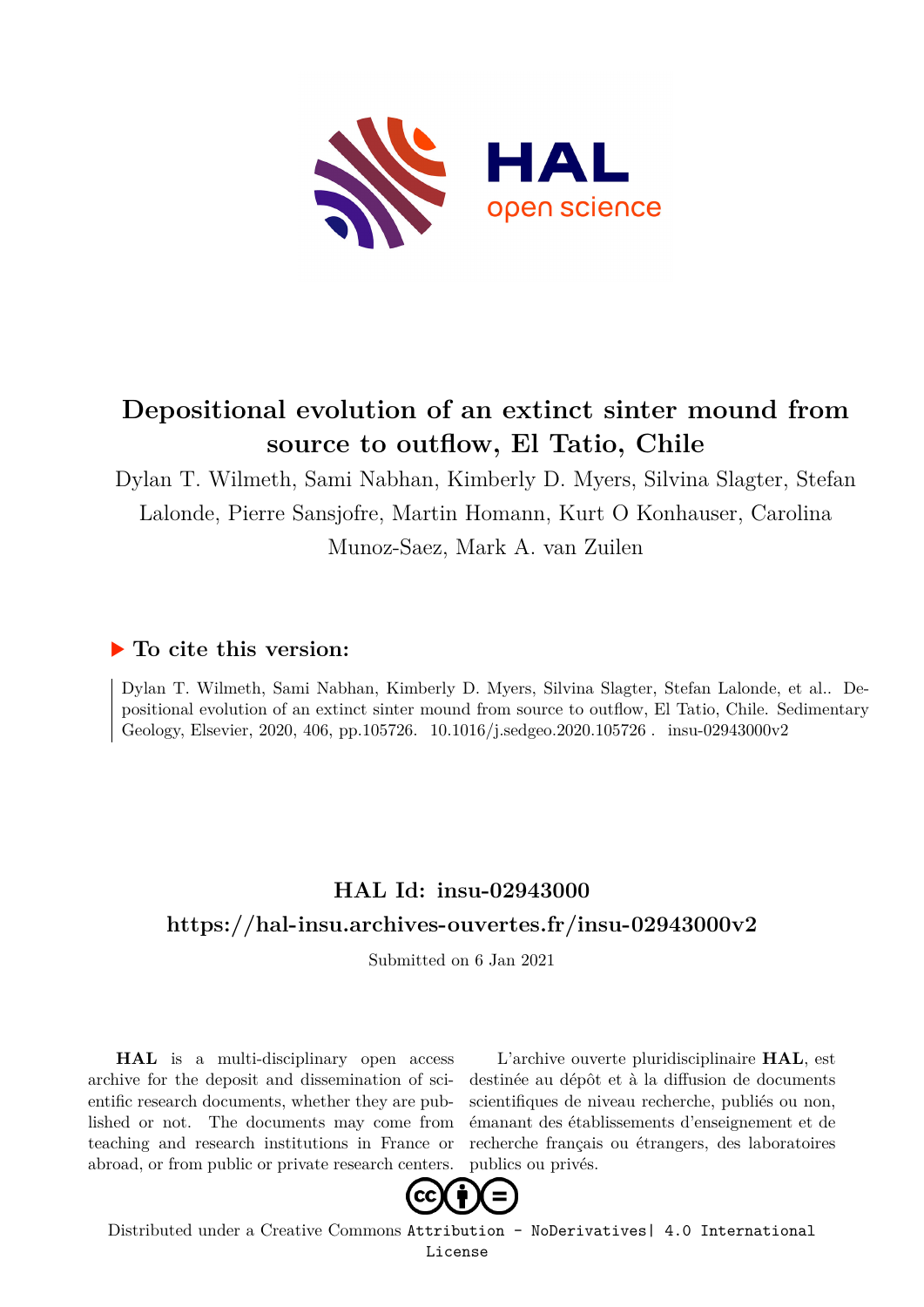

# **Depositional evolution of an extinct sinter mound from source to outflow, El Tatio, Chile**

Dylan T. Wilmeth, Sami Nabhan, Kimberly D. Myers, Silvina Slagter, Stefan Lalonde, Pierre Sansjofre, Martin Homann, Kurt O Konhauser, Carolina Munoz-Saez, Mark A. van Zuilen

# **To cite this version:**

Dylan T. Wilmeth, Sami Nabhan, Kimberly D. Myers, Silvina Slagter, Stefan Lalonde, et al.. Depositional evolution of an extinct sinter mound from source to outflow, El Tatio, Chile. Sedimentary Geology, Elsevier, 2020, 406, pp.105726. 10.1016/j.sedgeo.2020.105726. insu-02943000v2

# **HAL Id: insu-02943000 <https://hal-insu.archives-ouvertes.fr/insu-02943000v2>**

Submitted on 6 Jan 2021

**HAL** is a multi-disciplinary open access archive for the deposit and dissemination of scientific research documents, whether they are published or not. The documents may come from teaching and research institutions in France or abroad, or from public or private research centers.

L'archive ouverte pluridisciplinaire **HAL**, est destinée au dépôt et à la diffusion de documents scientifiques de niveau recherche, publiés ou non, émanant des établissements d'enseignement et de recherche français ou étrangers, des laboratoires publics ou privés.



Distributed under a Creative Commons [Attribution - NoDerivatives| 4.0 International](http://creativecommons.org/licenses/by-nd/4.0/) [License](http://creativecommons.org/licenses/by-nd/4.0/)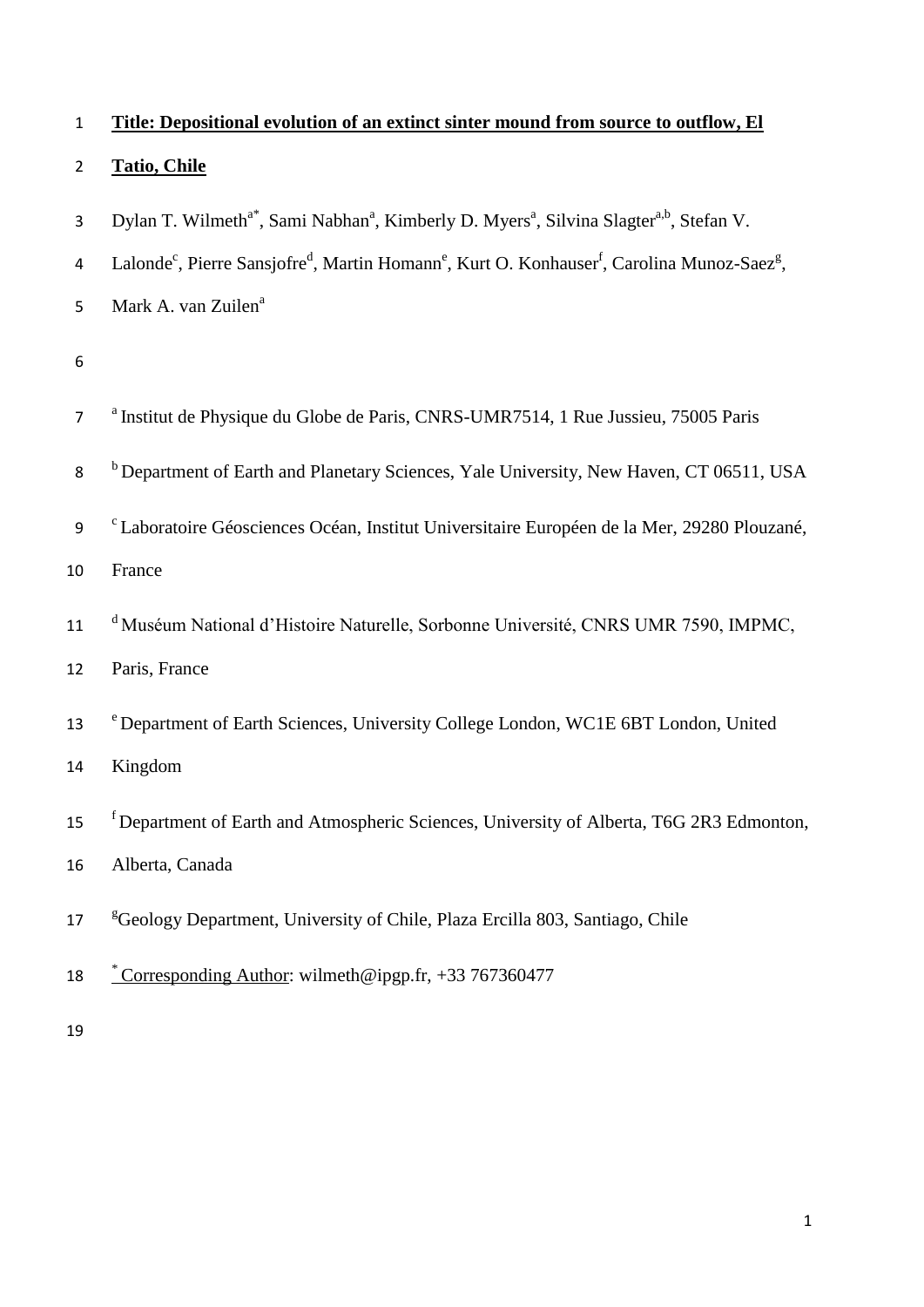| $\mathbf{1}$   | Title: Depositional evolution of an extinct sinter mound from source to outflow, El                                                                     |
|----------------|---------------------------------------------------------------------------------------------------------------------------------------------------------|
| $\overline{2}$ | <b>Tatio, Chile</b>                                                                                                                                     |
| 3              | Dylan T. Wilmeth <sup>a*</sup> , Sami Nabhan <sup>a</sup> , Kimberly D. Myers <sup>a</sup> , Silvina Slagter <sup>a,b</sup> , Stefan V.                 |
| 4              | Lalonde <sup>c</sup> , Pierre Sansjofre <sup>d</sup> , Martin Homann <sup>e</sup> , Kurt O. Konhauser <sup>f</sup> , Carolina Munoz-Saez <sup>g</sup> , |
| 5              | Mark A. van Zuilen <sup>a</sup>                                                                                                                         |
| 6              |                                                                                                                                                         |
| $\overline{7}$ | <sup>a</sup> Institut de Physique du Globe de Paris, CNRS-UMR7514, 1 Rue Jussieu, 75005 Paris                                                           |
| 8              | <sup>b</sup> Department of Earth and Planetary Sciences, Yale University, New Haven, CT 06511, USA                                                      |
| 9              | <sup>c</sup> Laboratoire Géosciences Océan, Institut Universitaire Européen de la Mer, 29280 Plouzané,                                                  |
| 10             | France                                                                                                                                                  |
| 11             | <sup>d</sup> Muséum National d'Histoire Naturelle, Sorbonne Université, CNRS UMR 7590, IMPMC,                                                           |
| 12             | Paris, France                                                                                                                                           |
| 13             | <sup>e</sup> Department of Earth Sciences, University College London, WC1E 6BT London, United                                                           |
| 14             | Kingdom                                                                                                                                                 |
| 15             | <sup>f</sup> Department of Earth and Atmospheric Sciences, University of Alberta, T6G 2R3 Edmonton,                                                     |
| 16             | Alberta, Canada                                                                                                                                         |
| 17             | <sup>g</sup> Geology Department, University of Chile, Plaza Ercilla 803, Santiago, Chile                                                                |
| 18             | <u>*Corresponding Author</u> : wilmeth@ipgp.fr, +33 767360477                                                                                           |
| 19             |                                                                                                                                                         |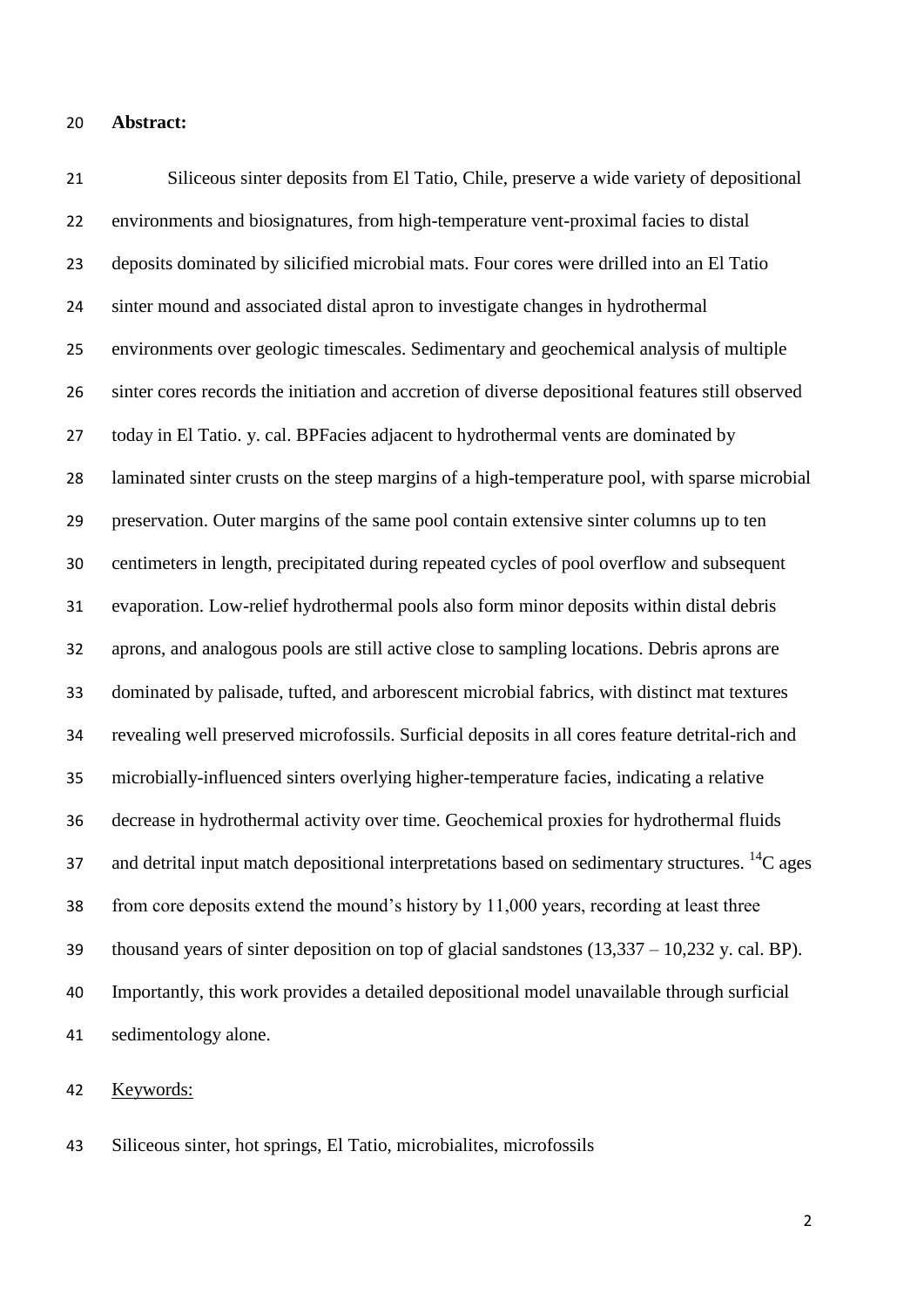#### **Abstract:**

 Siliceous sinter deposits from El Tatio, Chile, preserve a wide variety of depositional environments and biosignatures, from high-temperature vent-proximal facies to distal deposits dominated by silicified microbial mats. Four cores were drilled into an El Tatio sinter mound and associated distal apron to investigate changes in hydrothermal environments over geologic timescales. Sedimentary and geochemical analysis of multiple sinter cores records the initiation and accretion of diverse depositional features still observed today in El Tatio. y. cal. BPFacies adjacent to hydrothermal vents are dominated by laminated sinter crusts on the steep margins of a high-temperature pool, with sparse microbial preservation. Outer margins of the same pool contain extensive sinter columns up to ten centimeters in length, precipitated during repeated cycles of pool overflow and subsequent evaporation. Low-relief hydrothermal pools also form minor deposits within distal debris aprons, and analogous pools are still active close to sampling locations. Debris aprons are dominated by palisade, tufted, and arborescent microbial fabrics, with distinct mat textures revealing well preserved microfossils. Surficial deposits in all cores feature detrital-rich and microbially-influenced sinters overlying higher-temperature facies, indicating a relative decrease in hydrothermal activity over time. Geochemical proxies for hydrothermal fluids 37 and detrital input match depositional interpretations based on sedimentary structures.  $^{14}C$  ages from core deposits extend the mound's history by 11,000 years, recording at least three thousand years of sinter deposition on top of glacial sandstones (13,337 – 10,232 y. cal. BP). Importantly, this work provides a detailed depositional model unavailable through surficial sedimentology alone.

Keywords:

Siliceous sinter, hot springs, El Tatio, microbialites, microfossils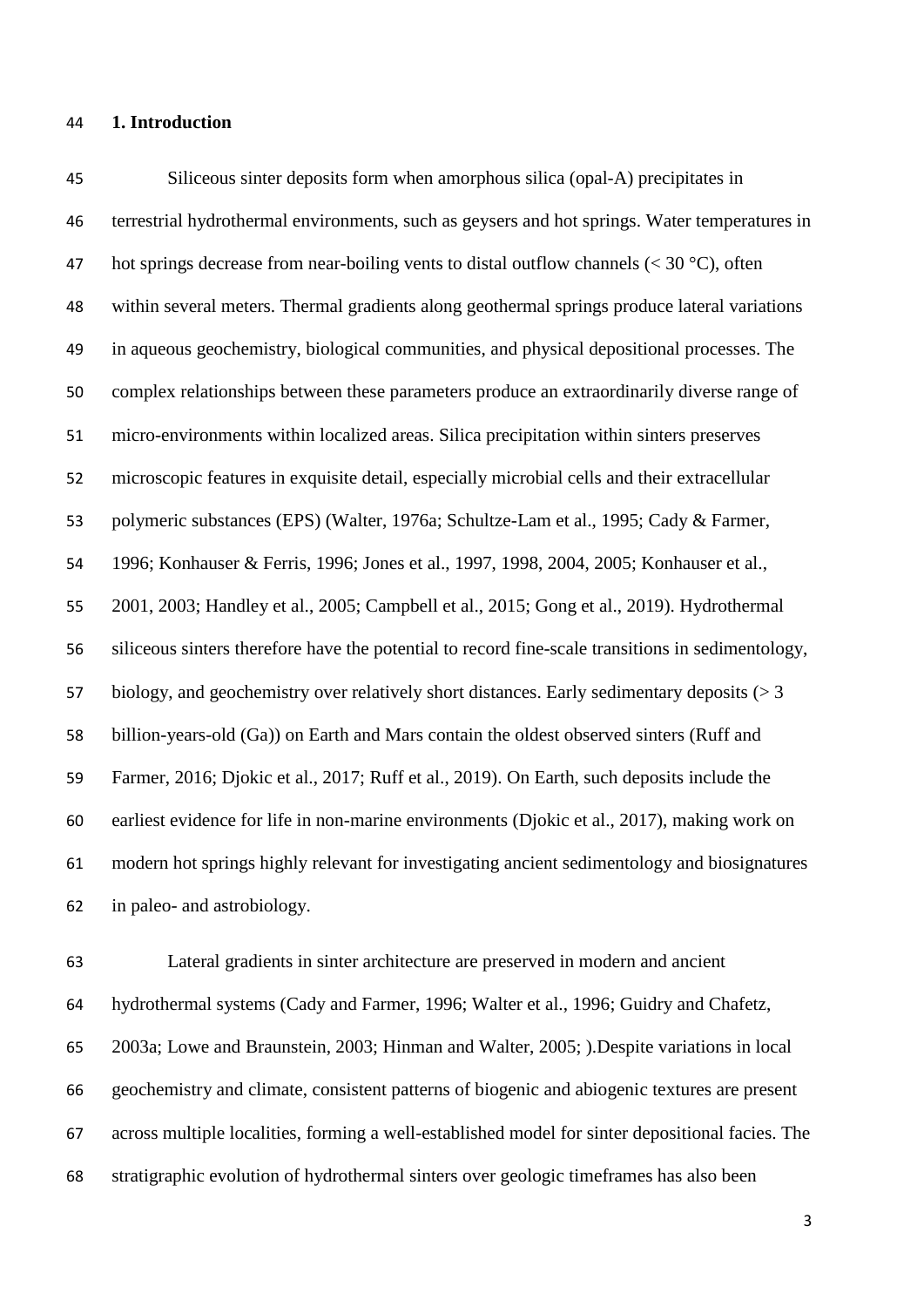#### **1. Introduction**

 Siliceous sinter deposits form when amorphous silica (opal-A) precipitates in terrestrial hydrothermal environments, such as geysers and hot springs. Water temperatures in 47 hot springs decrease from near-boiling vents to distal outflow channels  $( $30^{\circ}$ C)$ , often within several meters. Thermal gradients along geothermal springs produce lateral variations in aqueous geochemistry, biological communities, and physical depositional processes. The complex relationships between these parameters produce an extraordinarily diverse range of micro-environments within localized areas. Silica precipitation within sinters preserves microscopic features in exquisite detail, especially microbial cells and their extracellular polymeric substances (EPS) (Walter, 1976a; Schultze-Lam et al., 1995; Cady & Farmer, 1996; Konhauser & Ferris, 1996; Jones et al., 1997, 1998, 2004, 2005; Konhauser et al., 2001, 2003; Handley et al., 2005; Campbell et al., 2015; Gong et al., 2019). Hydrothermal siliceous sinters therefore have the potential to record fine-scale transitions in sedimentology, biology, and geochemistry over relatively short distances. Early sedimentary deposits (> 3 billion-years-old (Ga)) on Earth and Mars contain the oldest observed sinters (Ruff and Farmer, 2016; Djokic et al., 2017; Ruff et al., 2019). On Earth, such deposits include the earliest evidence for life in non-marine environments (Djokic et al., 2017), making work on modern hot springs highly relevant for investigating ancient sedimentology and biosignatures in paleo- and astrobiology.

 Lateral gradients in sinter architecture are preserved in modern and ancient hydrothermal systems (Cady and Farmer, 1996; Walter et al., 1996; Guidry and Chafetz, 2003a; Lowe and Braunstein, 2003; Hinman and Walter, 2005; ).Despite variations in local geochemistry and climate, consistent patterns of biogenic and abiogenic textures are present across multiple localities, forming a well-established model for sinter depositional facies. The stratigraphic evolution of hydrothermal sinters over geologic timeframes has also been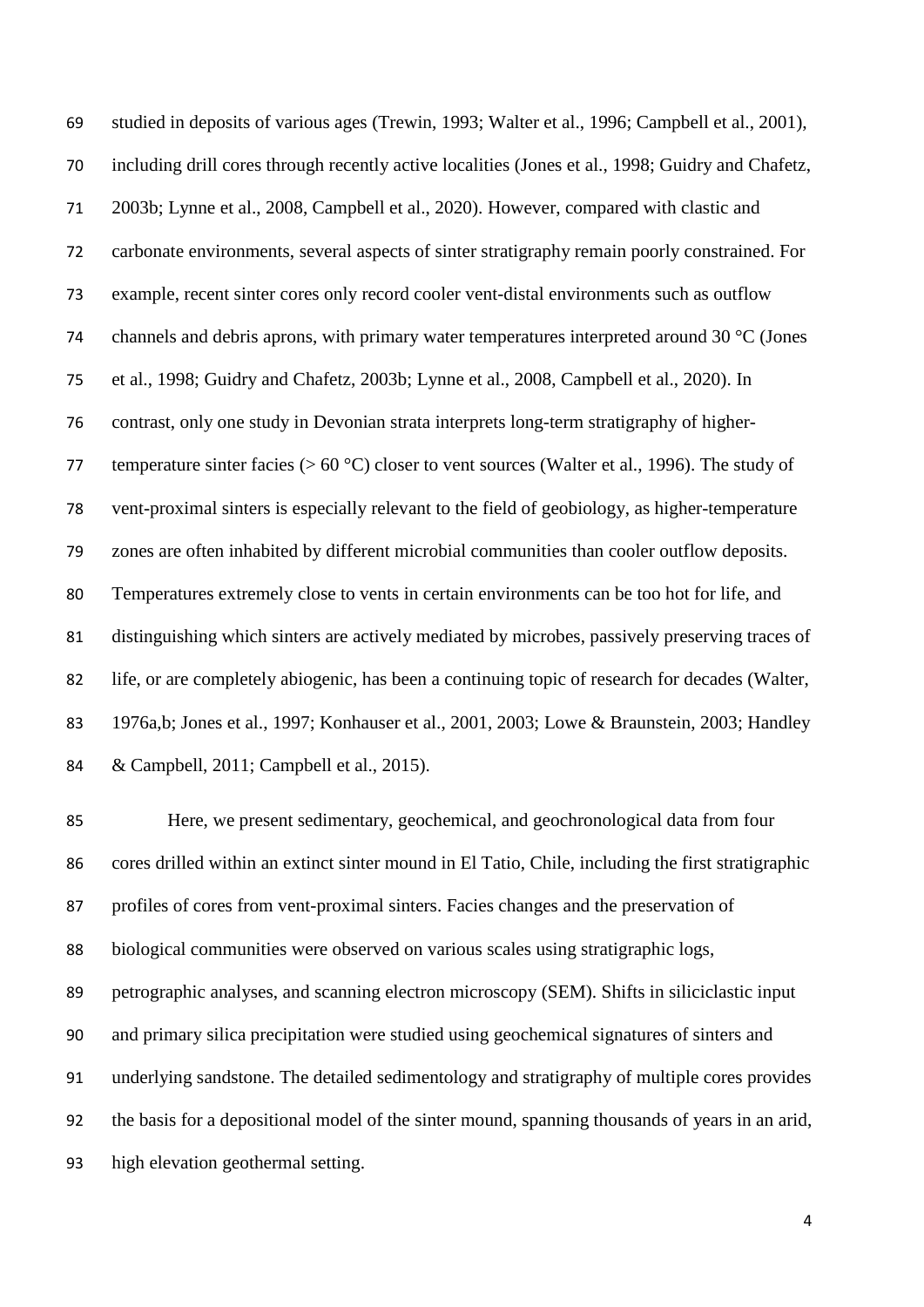studied in deposits of various ages (Trewin, 1993; Walter et al., 1996; Campbell et al., 2001), including drill cores through recently active localities (Jones et al., 1998; Guidry and Chafetz, 2003b; Lynne et al., 2008, Campbell et al., 2020). However, compared with clastic and carbonate environments, several aspects of sinter stratigraphy remain poorly constrained. For example, recent sinter cores only record cooler vent-distal environments such as outflow channels and debris aprons, with primary water temperatures interpreted around 30 °C (Jones et al., 1998; Guidry and Chafetz, 2003b; Lynne et al., 2008, Campbell et al., 2020). In contrast, only one study in Devonian strata interprets long-term stratigraphy of higher-77 temperature sinter facies ( $> 60 °C$ ) closer to vent sources (Walter et al., 1996). The study of vent-proximal sinters is especially relevant to the field of geobiology, as higher-temperature zones are often inhabited by different microbial communities than cooler outflow deposits. Temperatures extremely close to vents in certain environments can be too hot for life, and distinguishing which sinters are actively mediated by microbes, passively preserving traces of life, or are completely abiogenic, has been a continuing topic of research for decades (Walter, 1976a,b; Jones et al., 1997; Konhauser et al., 2001, 2003; Lowe & Braunstein, 2003; Handley & Campbell, 2011; Campbell et al., 2015).

 Here, we present sedimentary, geochemical, and geochronological data from four cores drilled within an extinct sinter mound in El Tatio, Chile, including the first stratigraphic profiles of cores from vent-proximal sinters. Facies changes and the preservation of biological communities were observed on various scales using stratigraphic logs, petrographic analyses, and scanning electron microscopy (SEM). Shifts in siliciclastic input and primary silica precipitation were studied using geochemical signatures of sinters and underlying sandstone. The detailed sedimentology and stratigraphy of multiple cores provides the basis for a depositional model of the sinter mound, spanning thousands of years in an arid, high elevation geothermal setting.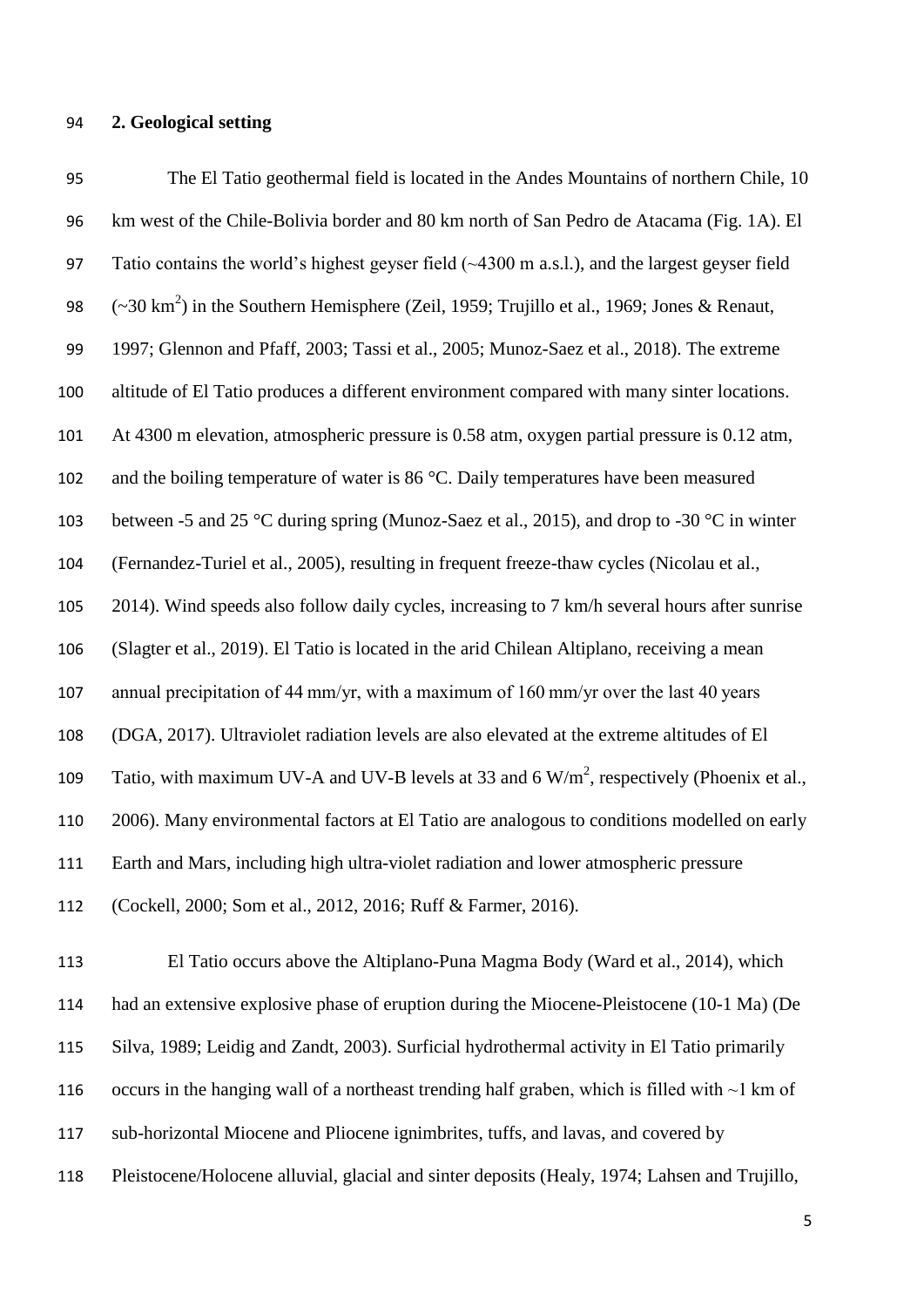**2. Geological setting**

 The El Tatio geothermal field is located in the Andes Mountains of northern Chile, 10 km west of the Chile-Bolivia border and 80 km north of San Pedro de Atacama (Fig. 1A). El Tatio contains the world's highest geyser field (~4300 m a.s.l.), and the largest geyser field  $(-30 \text{ km}^2)$  in the Southern Hemisphere (Zeil, 1959; Trujillo et al., 1969; Jones & Renaut, 1997; Glennon and Pfaff, 2003; Tassi et al., 2005; Munoz-Saez et al., 2018). The extreme altitude of El Tatio produces a different environment compared with many sinter locations. At 4300 m elevation, atmospheric pressure is 0.58 atm, oxygen partial pressure is 0.12 atm, 102 and the boiling temperature of water is 86 °C. Daily temperatures have been measured between -5 and 25 °C during spring (Munoz-Saez et al., 2015), and drop to -30 °C in winter (Fernandez-Turiel et al., 2005), resulting in frequent freeze-thaw cycles (Nicolau et al., 2014). Wind speeds also follow daily cycles, increasing to 7 km/h several hours after sunrise (Slagter et al., 2019). El Tatio is located in the arid Chilean Altiplano, receiving a mean annual precipitation of 44 mm/yr, with a maximum of 160 mm/yr over the last 40 years (DGA, 2017). Ultraviolet radiation levels are also elevated at the extreme altitudes of El 109 Tatio, with maximum UV-A and UV-B levels at 33 and 6  $W/m^2$ , respectively (Phoenix et al., 2006). Many environmental factors at El Tatio are analogous to conditions modelled on early Earth and Mars, including high ultra-violet radiation and lower atmospheric pressure (Cockell, 2000; Som et al., 2012, 2016; Ruff & Farmer, 2016).

 El Tatio occurs above the Altiplano-Puna Magma Body (Ward et al., 2014), which had an extensive explosive phase of eruption during the Miocene-Pleistocene (10-1 Ma) (De Silva, 1989; Leidig and Zandt, 2003). Surficial hydrothermal activity in El Tatio primarily occurs in the hanging wall of a northeast trending half graben, which is filled with ~1 km of sub-horizontal Miocene and Pliocene ignimbrites, tuffs, and lavas, and covered by Pleistocene/Holocene alluvial, glacial and sinter deposits (Healy, 1974; Lahsen and Trujillo,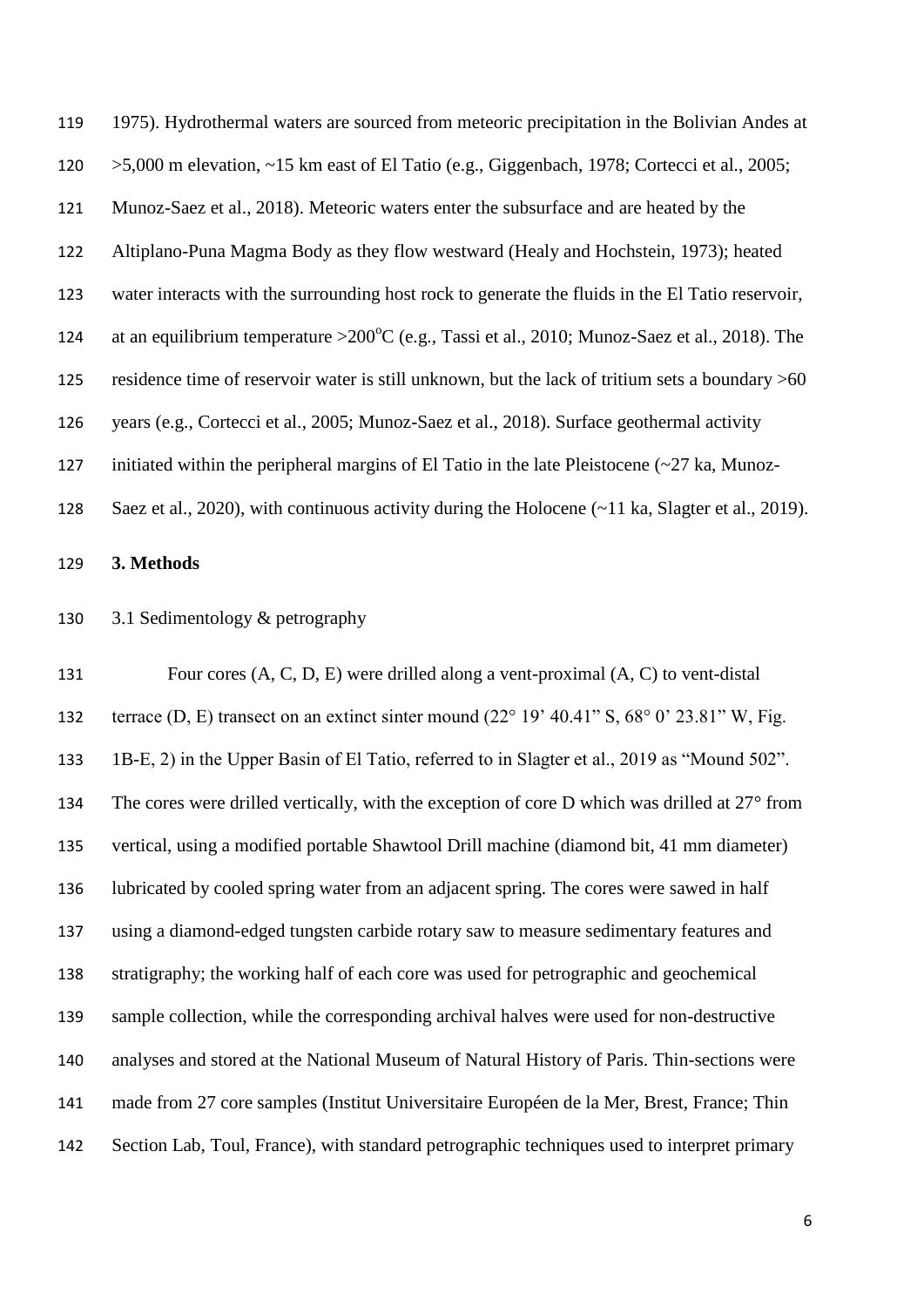1975). Hydrothermal waters are sourced from meteoric precipitation in the Bolivian Andes at >5,000 m elevation, ~15 km east of El Tatio (e.g., Giggenbach, 1978; Cortecci et al., 2005; Munoz-Saez et al., 2018). Meteoric waters enter the subsurface and are heated by the Altiplano-Puna Magma Body as they flow westward (Healy and Hochstein, 1973); heated water interacts with the surrounding host rock to generate the fluids in the El Tatio reservoir, 124 at an equilibrium temperature >  $200^{\circ}$ C (e.g., Tassi et al., 2010; Munoz-Saez et al., 2018). The residence time of reservoir water is still unknown, but the lack of tritium sets a boundary >60 years (e.g., Cortecci et al., 2005; Munoz-Saez et al., 2018). Surface geothermal activity 127 initiated within the peripheral margins of El Tatio in the late Pleistocene  $\left(\sim 27 \text{ ka}, \text{Munoz-} \right)$ Saez et al., 2020), with continuous activity during the Holocene (~11 ka, Slagter et al., 2019).

#### **3. Methods**

3.1 Sedimentology & petrography

 Four cores (A, C, D, E) were drilled along a vent-proximal (A, C) to vent-distal terrace (D, E) transect on an extinct sinter mound (22° 19' 40.41" S, 68° 0' 23.81" W, Fig. 1B-E, 2) in the Upper Basin of El Tatio, referred to in Slagter et al., 2019 as "Mound 502". 134 The cores were drilled vertically, with the exception of core D which was drilled at 27° from vertical, using a modified portable Shawtool Drill machine (diamond bit, 41 mm diameter) lubricated by cooled spring water from an adjacent spring. The cores were sawed in half using a diamond-edged tungsten carbide rotary saw to measure sedimentary features and stratigraphy; the working half of each core was used for petrographic and geochemical sample collection, while the corresponding archival halves were used for non-destructive analyses and stored at the National Museum of Natural History of Paris. Thin-sections were made from 27 core samples (Institut Universitaire Européen de la Mer, Brest, France; Thin Section Lab, Toul, France), with standard petrographic techniques used to interpret primary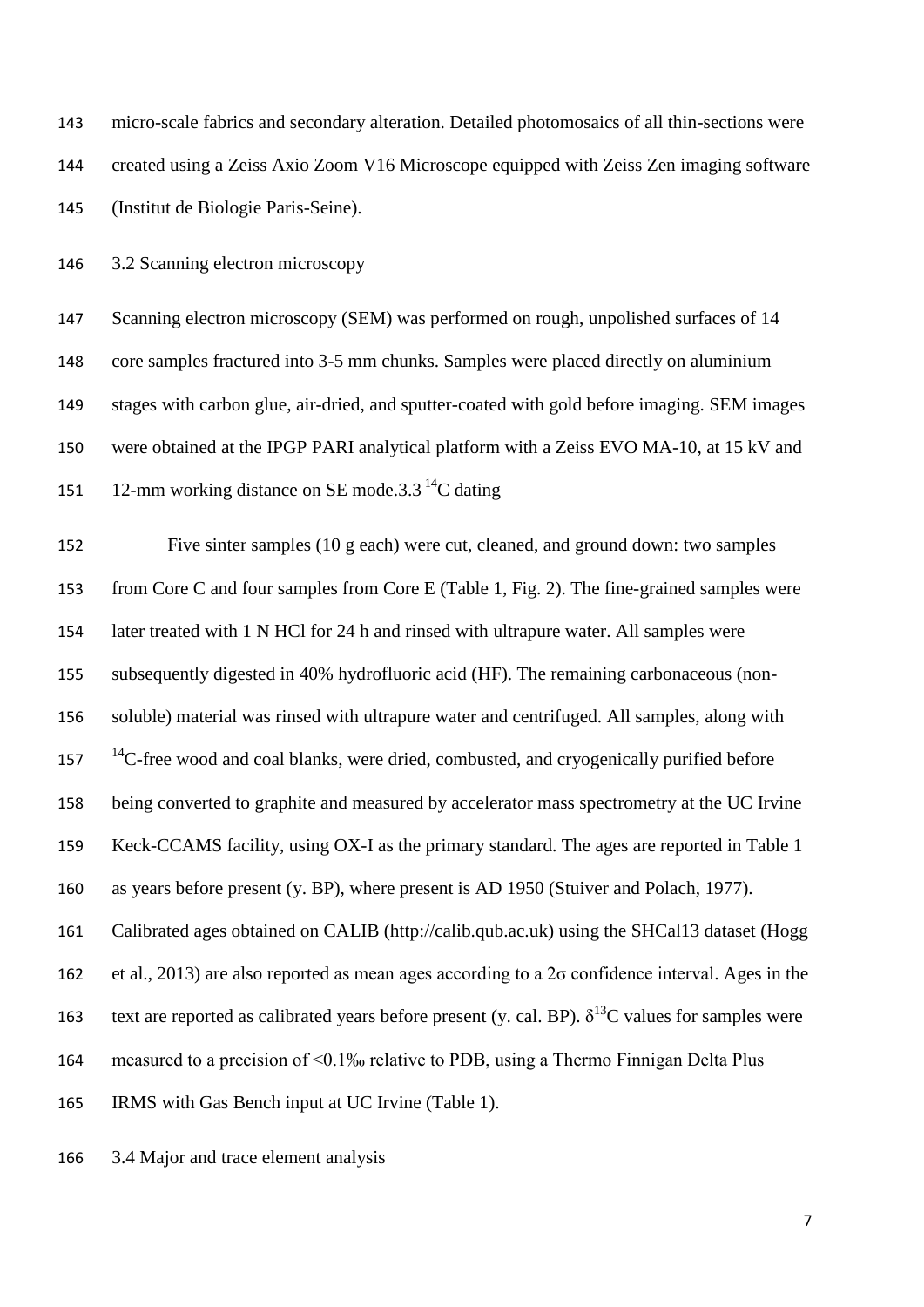micro-scale fabrics and secondary alteration. Detailed photomosaics of all thin-sections were created using a Zeiss Axio Zoom V16 Microscope equipped with Zeiss Zen imaging software (Institut de Biologie Paris-Seine).

3.2 Scanning electron microscopy

 Scanning electron microscopy (SEM) was performed on rough, unpolished surfaces of 14 core samples fractured into 3-5 mm chunks. Samples were placed directly on aluminium stages with carbon glue, air-dried, and sputter-coated with gold before imaging. SEM images were obtained at the IPGP PARI analytical platform with a Zeiss EVO MA-10, at 15 kV and 151 12-mm working distance on SE mode.  $3.3<sup>14</sup>C$  dating

 Five sinter samples (10 g each) were cut, cleaned, and ground down: two samples from Core C and four samples from Core E (Table 1, Fig. 2). The fine-grained samples were later treated with 1 N HCl for 24 h and rinsed with ultrapure water. All samples were subsequently digested in 40% hydrofluoric acid (HF). The remaining carbonaceous (non- soluble) material was rinsed with ultrapure water and centrifuged. All samples, along with <sup>14</sup>C-free wood and coal blanks, were dried, combusted, and cryogenically purified before being converted to graphite and measured by accelerator mass spectrometry at the UC Irvine Keck-CCAMS facility, using OX-I as the primary standard. The ages are reported in Table 1 as years before present (y. BP), where present is AD 1950 (Stuiver and Polach, 1977). Calibrated ages obtained on CALIB (http://calib.qub.ac.uk) using the SHCal13 dataset (Hogg et al., 2013) are also reported as mean ages according to a 2σ confidence interval. Ages in the 163 text are reported as calibrated years before present (y. cal. BP).  $\delta^{13}$ C values for samples were measured to a precision of <0.1‰ relative to PDB, using a Thermo Finnigan Delta Plus IRMS with Gas Bench input at UC Irvine (Table 1).

3.4 Major and trace element analysis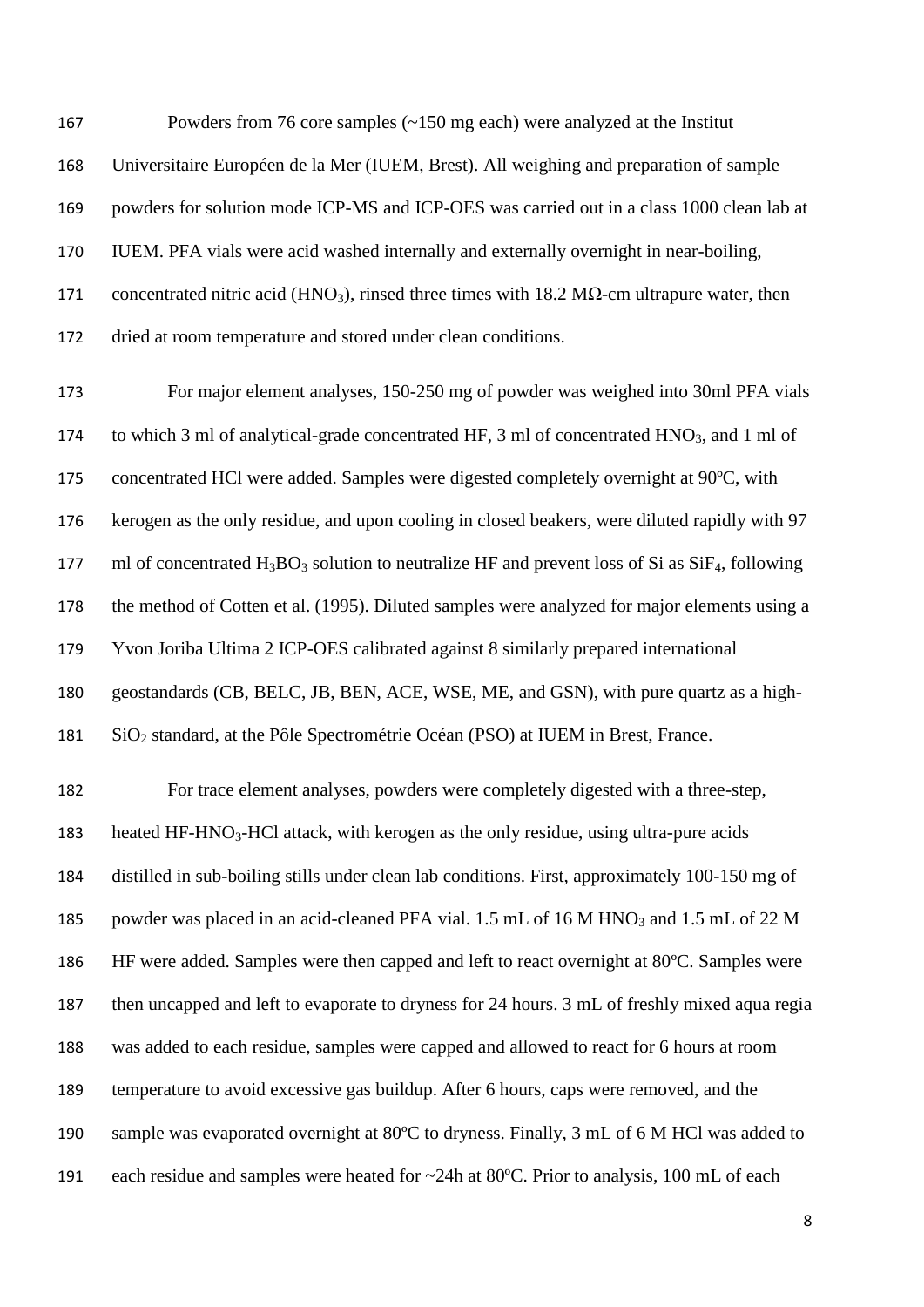Powders from 76 core samples (~150 mg each) were analyzed at the Institut Universitaire Européen de la Mer (IUEM, Brest). All weighing and preparation of sample powders for solution mode ICP-MS and ICP-OES was carried out in a class 1000 clean lab at IUEM. PFA vials were acid washed internally and externally overnight in near-boiling, 171 concentrated nitric acid (HNO<sub>3</sub>), rinsed three times with 18.2 MΩ-cm ultrapure water, then dried at room temperature and stored under clean conditions.

 For major element analyses, 150-250 mg of powder was weighed into 30ml PFA vials 174 to which 3 ml of analytical-grade concentrated HF, 3 ml of concentrated HNO<sub>3</sub>, and 1 ml of concentrated HCl were added. Samples were digested completely overnight at 90ºC, with kerogen as the only residue, and upon cooling in closed beakers, were diluted rapidly with 97 177 ml of concentrated  $H_3BO_3$  solution to neutralize HF and prevent loss of Si as  $SiF_4$ , following the method of Cotten et al. (1995). Diluted samples were analyzed for major elements using a Yvon Joriba Ultima 2 ICP-OES calibrated against 8 similarly prepared international geostandards (CB, BELC, JB, BEN, ACE, WSE, ME, and GSN), with pure quartz as a high-SiO<sup>2</sup> standard, at the Pôle Spectrométrie Océan (PSO) at IUEM in Brest, France.

 For trace element analyses, powders were completely digested with a three-step, 183 heated HF-HNO<sub>3</sub>-HCl attack, with kerogen as the only residue, using ultra-pure acids distilled in sub-boiling stills under clean lab conditions. First, approximately 100-150 mg of 185 powder was placed in an acid-cleaned PFA vial. 1.5 mL of 16 M HNO<sub>3</sub> and 1.5 mL of 22 M HF were added. Samples were then capped and left to react overnight at 80ºC. Samples were then uncapped and left to evaporate to dryness for 24 hours. 3 mL of freshly mixed aqua regia was added to each residue, samples were capped and allowed to react for 6 hours at room temperature to avoid excessive gas buildup. After 6 hours, caps were removed, and the sample was evaporated overnight at 80ºC to dryness. Finally, 3 mL of 6 M HCl was added to each residue and samples were heated for ~24h at 80ºC. Prior to analysis, 100 mL of each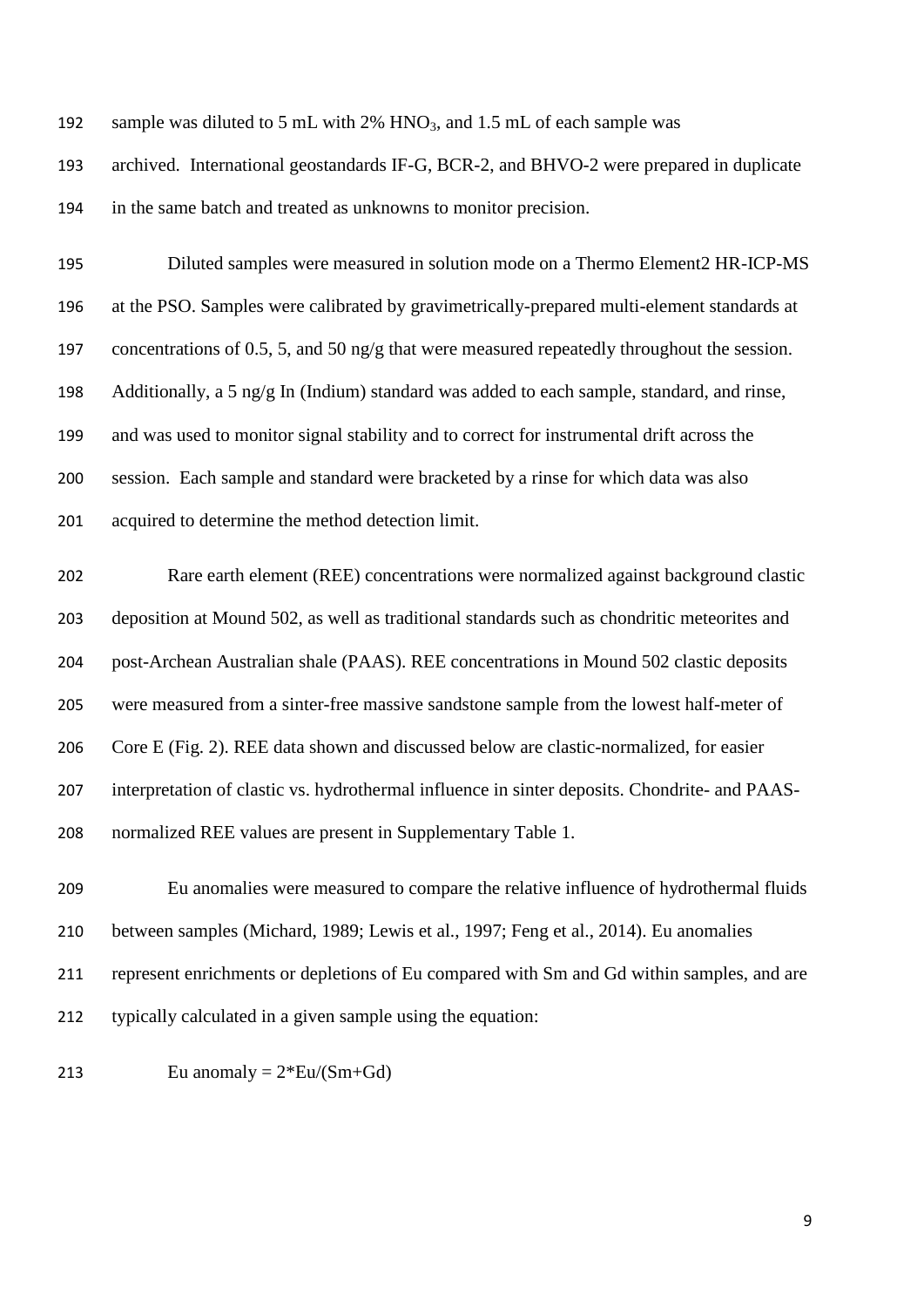| 192 | sample was diluted to 5 mL with $2\%$ HNO <sub>3</sub> , and 1.5 mL of each sample was        |
|-----|-----------------------------------------------------------------------------------------------|
| 193 | archived. International geostandards IF-G, BCR-2, and BHVO-2 were prepared in duplicate       |
| 194 | in the same batch and treated as unknowns to monitor precision.                               |
| 195 | Diluted samples were measured in solution mode on a Thermo Element2 HR-ICP-MS                 |
| 196 | at the PSO. Samples were calibrated by gravimetrically-prepared multi-element standards at    |
| 197 | concentrations of 0.5, 5, and 50 ng/g that were measured repeatedly throughout the session.   |
| 198 | Additionally, a 5 ng/g In (Indium) standard was added to each sample, standard, and rinse,    |
| 199 | and was used to monitor signal stability and to correct for instrumental drift across the     |
| 200 | session. Each sample and standard were bracketed by a rinse for which data was also           |
| 201 | acquired to determine the method detection limit.                                             |
| 202 | Rare earth element (REE) concentrations were normalized against background clastic            |
| 203 | deposition at Mound 502, as well as traditional standards such as chondritic meteorites and   |
| 204 | post-Archean Australian shale (PAAS). REE concentrations in Mound 502 clastic deposits        |
| 205 | were measured from a sinter-free massive sandstone sample from the lowest half-meter of       |
| 206 | Core E (Fig. 2). REE data shown and discussed below are clastic-normalized, for easier        |
| 207 | interpretation of clastic vs. hydrothermal influence in sinter deposits. Chondrite- and PAAS- |
|     |                                                                                               |

normalized REE values are present in Supplementary Table 1.

 Eu anomalies were measured to compare the relative influence of hydrothermal fluids between samples (Michard, 1989; Lewis et al., 1997; Feng et al., 2014). Eu anomalies represent enrichments or depletions of Eu compared with Sm and Gd within samples, and are typically calculated in a given sample using the equation:

213 Eu anomaly  $= 2*Eu/(Sm+Gd)$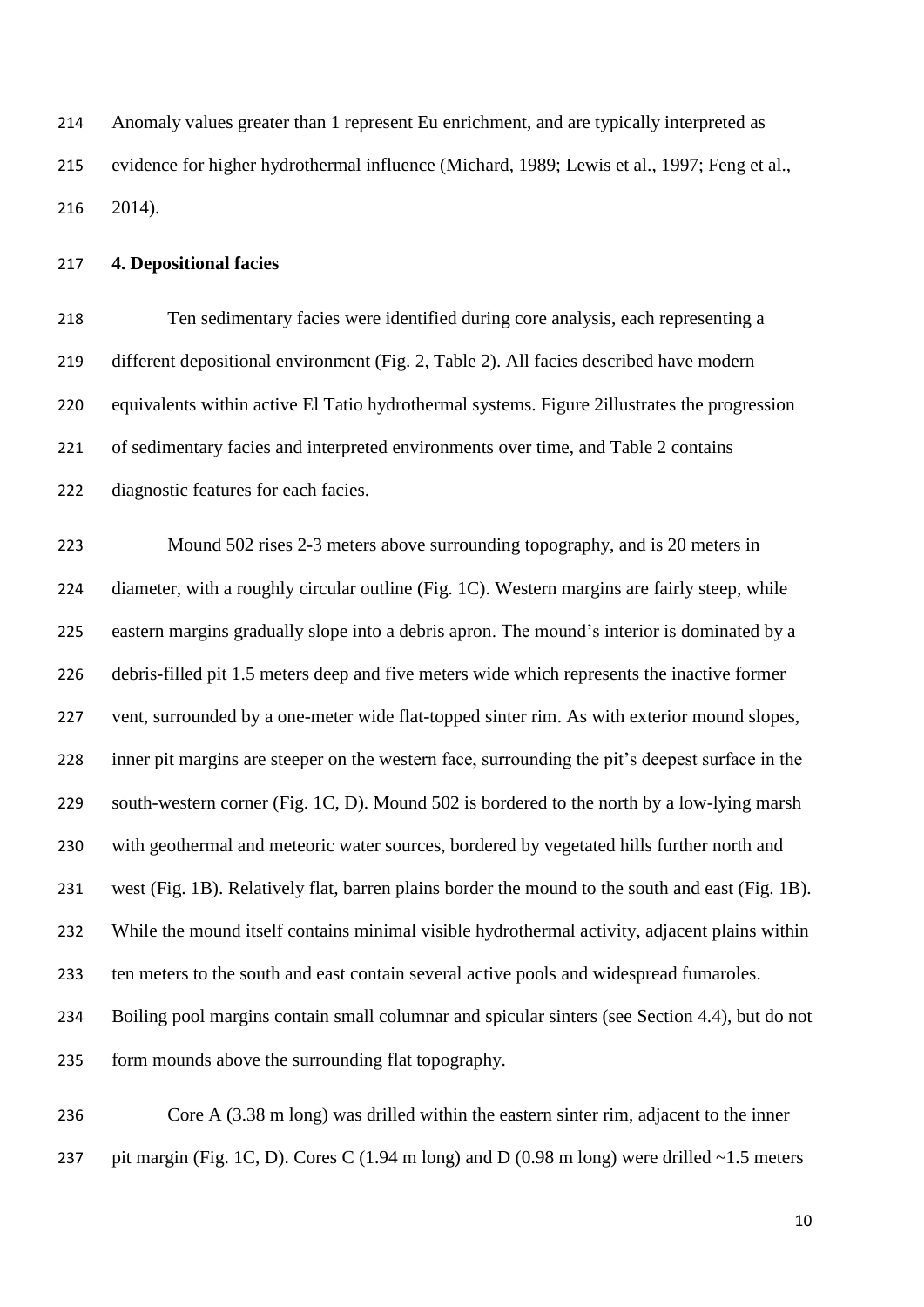Anomaly values greater than 1 represent Eu enrichment, and are typically interpreted as evidence for higher hydrothermal influence (Michard, 1989; Lewis et al., 1997; Feng et al., 2014).

### **4. Depositional facies**

 Ten sedimentary facies were identified during core analysis, each representing a different depositional environment (Fig. 2, Table 2). All facies described have modern equivalents within active El Tatio hydrothermal systems. Figure 2illustrates the progression of sedimentary facies and interpreted environments over time, and Table 2 contains diagnostic features for each facies.

 Mound 502 rises 2-3 meters above surrounding topography, and is 20 meters in diameter, with a roughly circular outline (Fig. 1C). Western margins are fairly steep, while eastern margins gradually slope into a debris apron. The mound's interior is dominated by a debris-filled pit 1.5 meters deep and five meters wide which represents the inactive former vent, surrounded by a one-meter wide flat-topped sinter rim. As with exterior mound slopes, inner pit margins are steeper on the western face, surrounding the pit's deepest surface in the 229 south-western corner (Fig. 1C, D). Mound 502 is bordered to the north by a low-lying marsh with geothermal and meteoric water sources, bordered by vegetated hills further north and west (Fig. 1B). Relatively flat, barren plains border the mound to the south and east (Fig. 1B). While the mound itself contains minimal visible hydrothermal activity, adjacent plains within ten meters to the south and east contain several active pools and widespread fumaroles. Boiling pool margins contain small columnar and spicular sinters (see Section 4.4), but do not form mounds above the surrounding flat topography.

 Core A (3.38 m long) was drilled within the eastern sinter rim, adjacent to the inner 237 pit margin (Fig. 1C, D). Cores C (1.94 m long) and D (0.98 m long) were drilled  $\sim$ 1.5 meters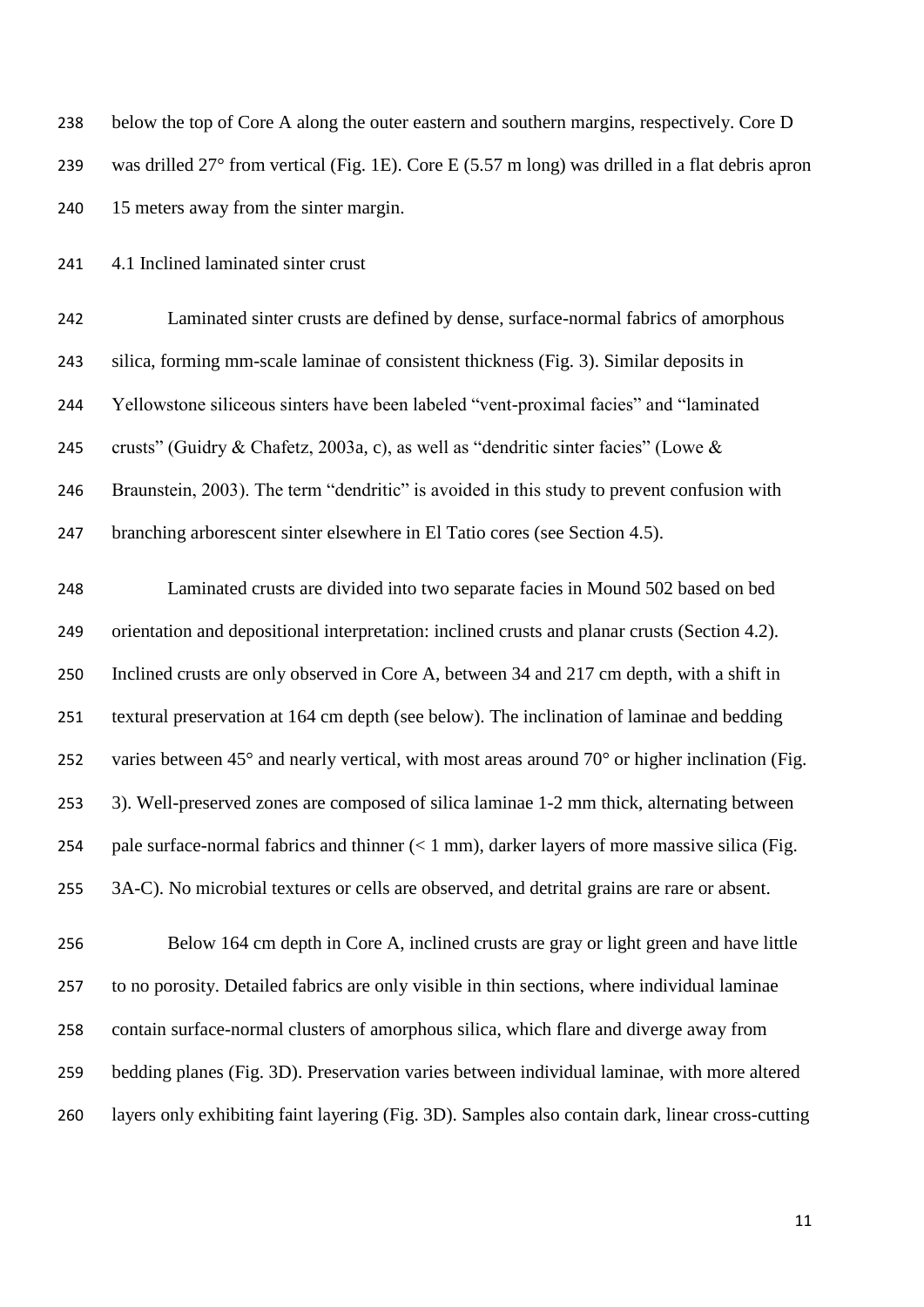| 238 | below the top of Core A along the outer eastern and southern margins, respectively. Core D                |
|-----|-----------------------------------------------------------------------------------------------------------|
| 239 | was drilled 27 $\degree$ from vertical (Fig. 1E). Core E (5.57 m long) was drilled in a flat debris apron |
| 240 | 15 meters away from the sinter margin.                                                                    |

4.1 Inclined laminated sinter crust

 Laminated sinter crusts are defined by dense, surface-normal fabrics of amorphous silica, forming mm-scale laminae of consistent thickness (Fig. 3). Similar deposits in Yellowstone siliceous sinters have been labeled "vent-proximal facies" and "laminated crusts" (Guidry & Chafetz, 2003a, c), as well as "dendritic sinter facies" (Lowe & Braunstein, 2003). The term "dendritic" is avoided in this study to prevent confusion with branching arborescent sinter elsewhere in El Tatio cores (see Section 4.5).

 Laminated crusts are divided into two separate facies in Mound 502 based on bed orientation and depositional interpretation: inclined crusts and planar crusts (Section 4.2). Inclined crusts are only observed in Core A, between 34 and 217 cm depth, with a shift in textural preservation at 164 cm depth (see below). The inclination of laminae and bedding 252 varies between  $45^{\circ}$  and nearly vertical, with most areas around  $70^{\circ}$  or higher inclination (Fig. 3). Well-preserved zones are composed of silica laminae 1-2 mm thick, alternating between 254 pale surface-normal fabrics and thinner  $(< 1 \text{ mm})$ , darker layers of more massive silica (Fig. 3A-C). No microbial textures or cells are observed, and detrital grains are rare or absent.

 Below 164 cm depth in Core A, inclined crusts are gray or light green and have little to no porosity. Detailed fabrics are only visible in thin sections, where individual laminae contain surface-normal clusters of amorphous silica, which flare and diverge away from bedding planes (Fig. 3D). Preservation varies between individual laminae, with more altered layers only exhibiting faint layering (Fig. 3D). Samples also contain dark, linear cross-cutting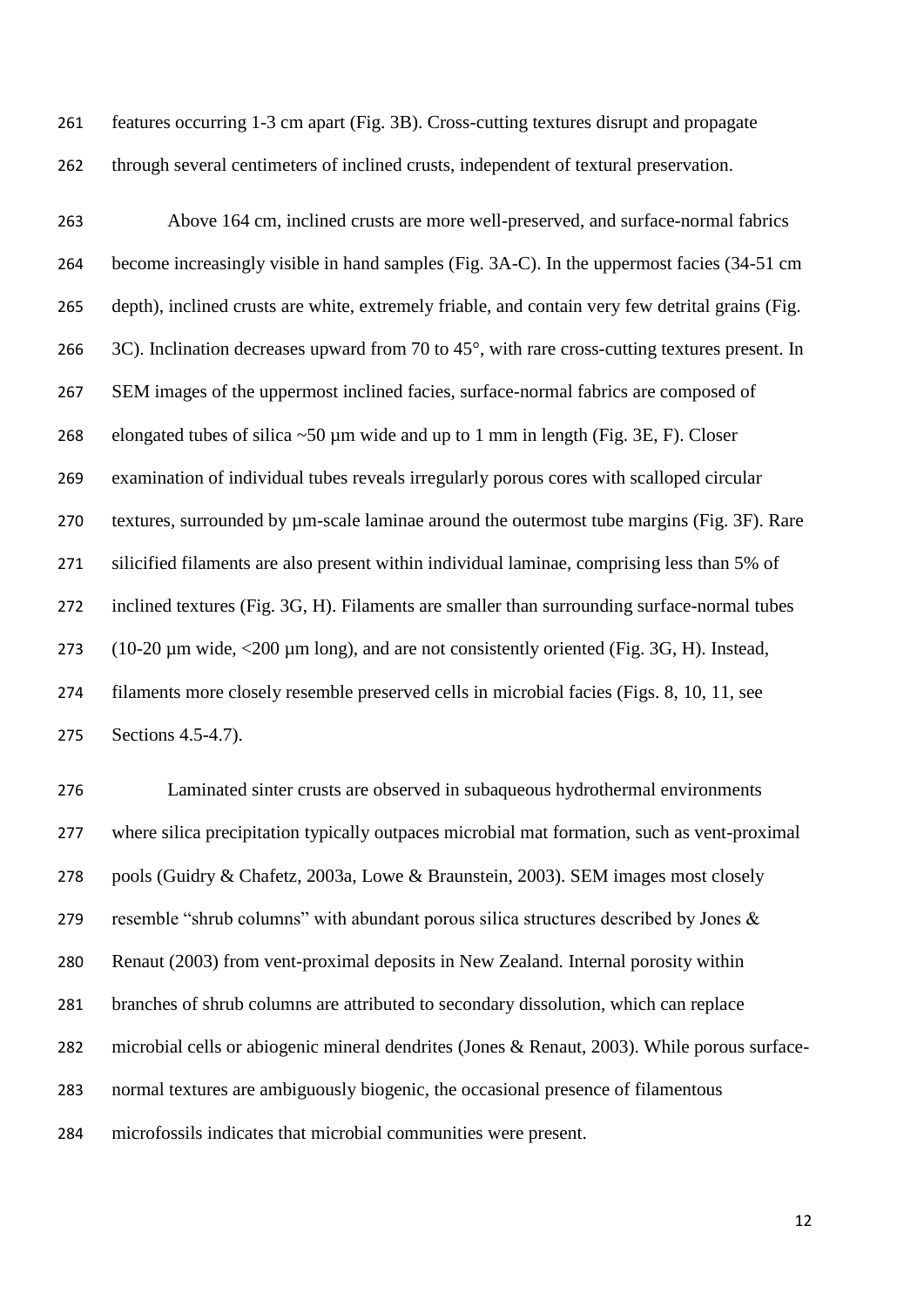features occurring 1-3 cm apart (Fig. 3B). Cross-cutting textures disrupt and propagate through several centimeters of inclined crusts, independent of textural preservation.

 Above 164 cm, inclined crusts are more well-preserved, and surface-normal fabrics become increasingly visible in hand samples (Fig. 3A-C). In the uppermost facies (34-51 cm depth), inclined crusts are white, extremely friable, and contain very few detrital grains (Fig. 266 3C). Inclination decreases upward from 70 to 45°, with rare cross-cutting textures present. In SEM images of the uppermost inclined facies, surface-normal fabrics are composed of 268 elongated tubes of silica  $\sim 50 \mu m$  wide and up to 1 mm in length (Fig. 3E, F). Closer examination of individual tubes reveals irregularly porous cores with scalloped circular textures, surrounded by µm-scale laminae around the outermost tube margins (Fig. 3F). Rare silicified filaments are also present within individual laminae, comprising less than 5% of inclined textures (Fig. 3G, H). Filaments are smaller than surrounding surface-normal tubes 273 (10-20 µm wide, <200 µm long), and are not consistently oriented (Fig. 3G, H). Instead, filaments more closely resemble preserved cells in microbial facies (Figs. 8, 10, 11, see Sections 4.5-4.7).

 Laminated sinter crusts are observed in subaqueous hydrothermal environments where silica precipitation typically outpaces microbial mat formation, such as vent-proximal pools (Guidry & Chafetz, 2003a, Lowe & Braunstein, 2003). SEM images most closely resemble "shrub columns" with abundant porous silica structures described by Jones & Renaut (2003) from vent-proximal deposits in New Zealand. Internal porosity within branches of shrub columns are attributed to secondary dissolution, which can replace microbial cells or abiogenic mineral dendrites (Jones & Renaut, 2003). While porous surface- normal textures are ambiguously biogenic, the occasional presence of filamentous microfossils indicates that microbial communities were present.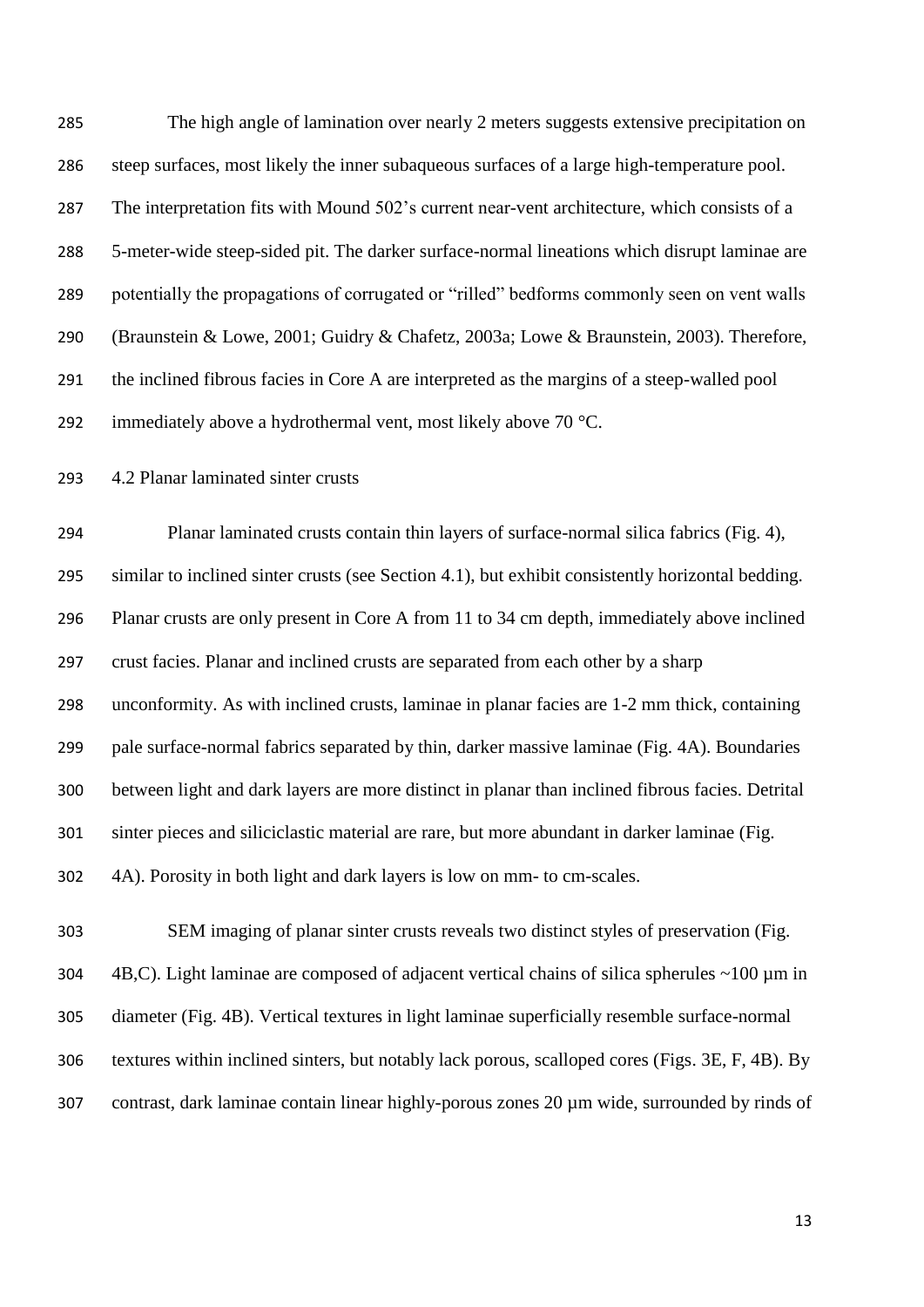The high angle of lamination over nearly 2 meters suggests extensive precipitation on steep surfaces, most likely the inner subaqueous surfaces of a large high-temperature pool. The interpretation fits with Mound 502's current near-vent architecture, which consists of a 5-meter-wide steep-sided pit. The darker surface-normal lineations which disrupt laminae are potentially the propagations of corrugated or "rilled" bedforms commonly seen on vent walls (Braunstein & Lowe, 2001; Guidry & Chafetz, 2003a; Lowe & Braunstein, 2003). Therefore, the inclined fibrous facies in Core A are interpreted as the margins of a steep-walled pool 292 immediately above a hydrothermal vent, most likely above 70 °C.

4.2 Planar laminated sinter crusts

 Planar laminated crusts contain thin layers of surface-normal silica fabrics (Fig. 4), similar to inclined sinter crusts (see Section 4.1), but exhibit consistently horizontal bedding. Planar crusts are only present in Core A from 11 to 34 cm depth, immediately above inclined crust facies. Planar and inclined crusts are separated from each other by a sharp unconformity. As with inclined crusts, laminae in planar facies are 1-2 mm thick, containing pale surface-normal fabrics separated by thin, darker massive laminae (Fig. 4A). Boundaries between light and dark layers are more distinct in planar than inclined fibrous facies. Detrital sinter pieces and siliciclastic material are rare, but more abundant in darker laminae (Fig. 4A). Porosity in both light and dark layers is low on mm- to cm-scales.

 SEM imaging of planar sinter crusts reveals two distinct styles of preservation (Fig.  $\,$  4B,C). Light laminae are composed of adjacent vertical chains of silica spherules  $\sim$ 100 µm in diameter (Fig. 4B). Vertical textures in light laminae superficially resemble surface-normal textures within inclined sinters, but notably lack porous, scalloped cores (Figs. 3E, F, 4B). By contrast, dark laminae contain linear highly-porous zones 20 µm wide, surrounded by rinds of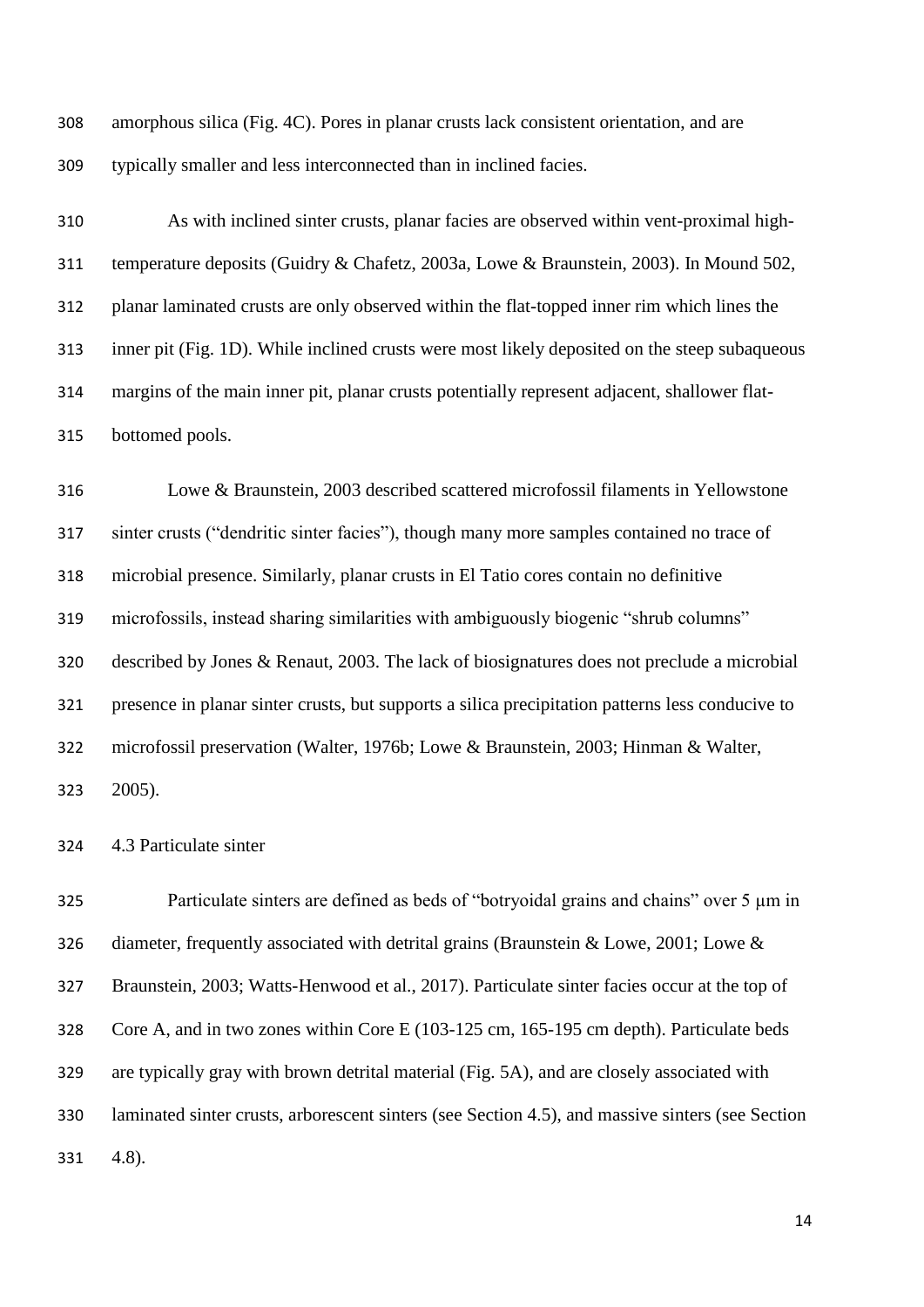amorphous silica (Fig. 4C). Pores in planar crusts lack consistent orientation, and are typically smaller and less interconnected than in inclined facies.

 As with inclined sinter crusts, planar facies are observed within vent-proximal high- temperature deposits (Guidry & Chafetz, 2003a, Lowe & Braunstein, 2003). In Mound 502, planar laminated crusts are only observed within the flat-topped inner rim which lines the inner pit (Fig. 1D). While inclined crusts were most likely deposited on the steep subaqueous margins of the main inner pit, planar crusts potentially represent adjacent, shallower flat-bottomed pools.

 Lowe & Braunstein, 2003 described scattered microfossil filaments in Yellowstone sinter crusts ("dendritic sinter facies"), though many more samples contained no trace of microbial presence. Similarly, planar crusts in El Tatio cores contain no definitive microfossils, instead sharing similarities with ambiguously biogenic "shrub columns" described by Jones & Renaut, 2003. The lack of biosignatures does not preclude a microbial presence in planar sinter crusts, but supports a silica precipitation patterns less conducive to microfossil preservation (Walter, 1976b; Lowe & Braunstein, 2003; Hinman & Walter, 2005).

4.3 Particulate sinter

325 Particulate sinters are defined as beds of "botryoidal grains and chains" over 5  $\mu$ m in 326 diameter, frequently associated with detrital grains (Braunstein & Lowe, 2001; Lowe & Braunstein, 2003; Watts-Henwood et al., 2017). Particulate sinter facies occur at the top of Core A, and in two zones within Core E (103-125 cm, 165-195 cm depth). Particulate beds are typically gray with brown detrital material (Fig. 5A), and are closely associated with laminated sinter crusts, arborescent sinters (see Section 4.5), and massive sinters (see Section 4.8).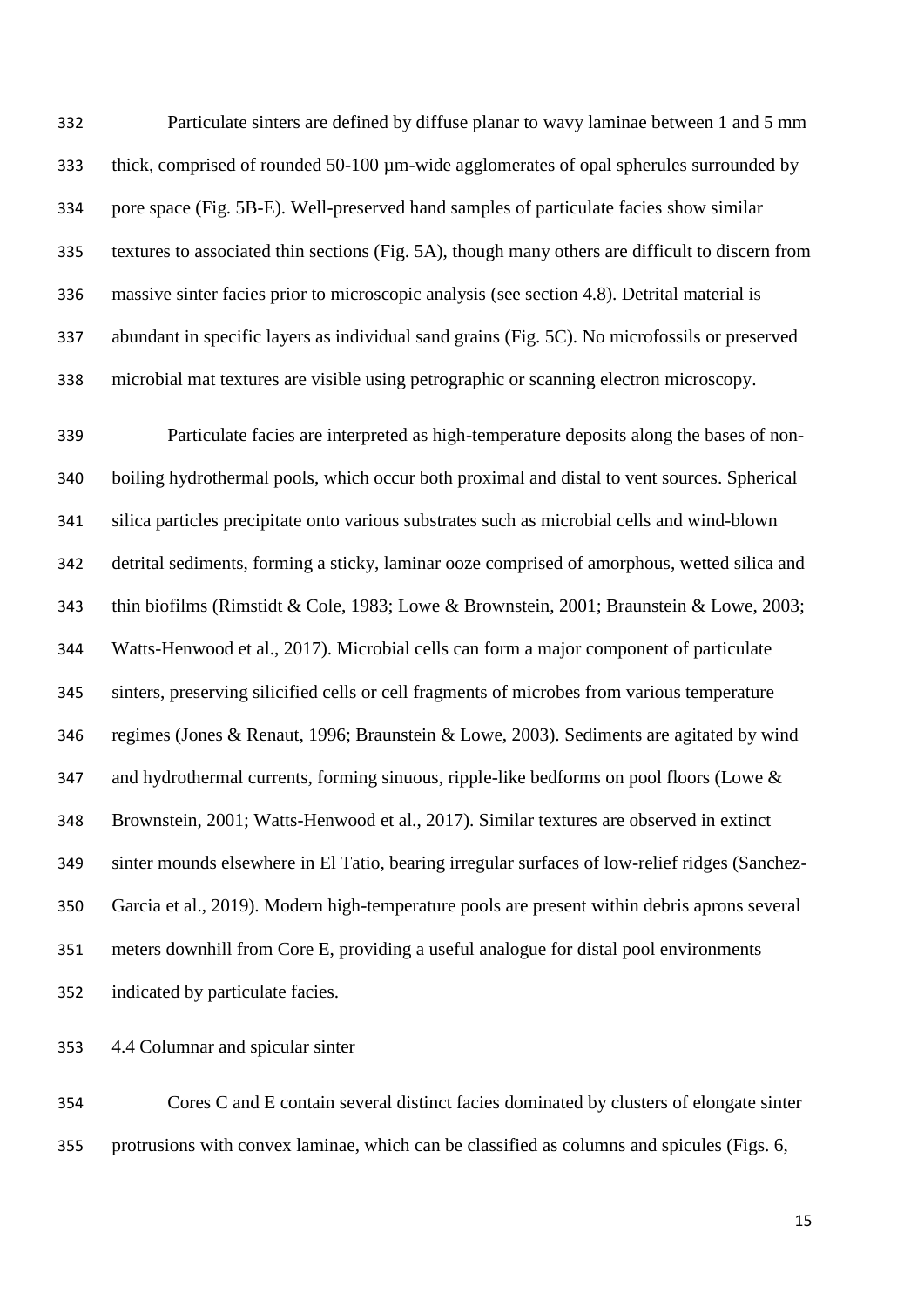Particulate sinters are defined by diffuse planar to wavy laminae between 1 and 5 mm thick, comprised of rounded 50-100 µm-wide agglomerates of opal spherules surrounded by pore space (Fig. 5B-E). Well-preserved hand samples of particulate facies show similar textures to associated thin sections (Fig. 5A), though many others are difficult to discern from massive sinter facies prior to microscopic analysis (see section 4.8). Detrital material is abundant in specific layers as individual sand grains (Fig. 5C). No microfossils or preserved microbial mat textures are visible using petrographic or scanning electron microscopy.

 Particulate facies are interpreted as high-temperature deposits along the bases of non- boiling hydrothermal pools, which occur both proximal and distal to vent sources. Spherical silica particles precipitate onto various substrates such as microbial cells and wind-blown detrital sediments, forming a sticky, laminar ooze comprised of amorphous, wetted silica and thin biofilms (Rimstidt & Cole, 1983; Lowe & Brownstein, 2001; Braunstein & Lowe, 2003; Watts-Henwood et al., 2017). Microbial cells can form a major component of particulate sinters, preserving silicified cells or cell fragments of microbes from various temperature regimes (Jones & Renaut, 1996; Braunstein & Lowe, 2003). Sediments are agitated by wind 347 and hydrothermal currents, forming sinuous, ripple-like bedforms on pool floors (Lowe & Brownstein, 2001; Watts-Henwood et al., 2017). Similar textures are observed in extinct sinter mounds elsewhere in El Tatio, bearing irregular surfaces of low-relief ridges (Sanchez- Garcia et al., 2019). Modern high-temperature pools are present within debris aprons several meters downhill from Core E, providing a useful analogue for distal pool environments indicated by particulate facies.

4.4 Columnar and spicular sinter

 Cores C and E contain several distinct facies dominated by clusters of elongate sinter protrusions with convex laminae, which can be classified as columns and spicules (Figs. 6,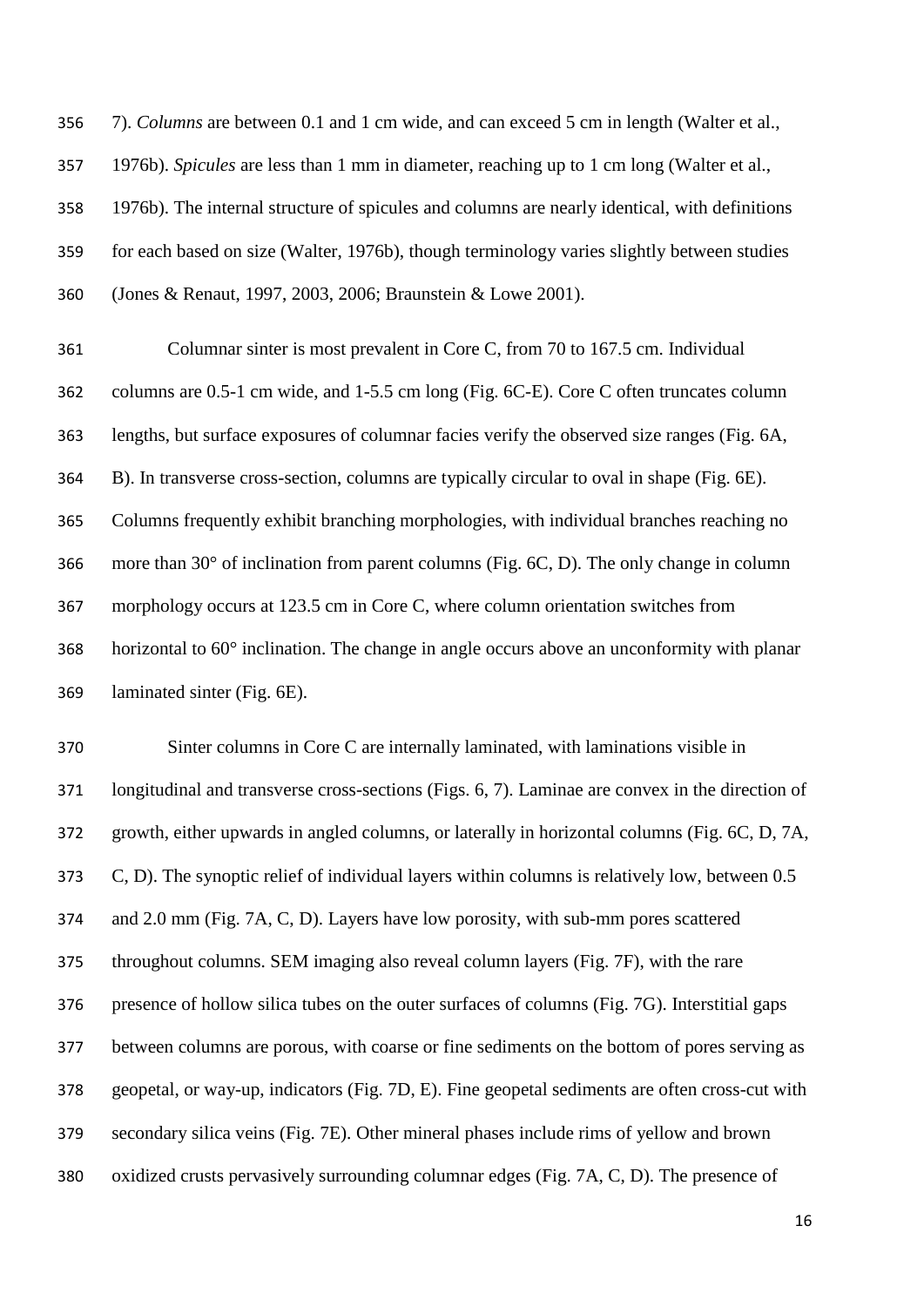7). *Columns* are between 0.1 and 1 cm wide, and can exceed 5 cm in length (Walter et al., 1976b). *Spicules* are less than 1 mm in diameter, reaching up to 1 cm long (Walter et al., 1976b). The internal structure of spicules and columns are nearly identical, with definitions for each based on size (Walter, 1976b), though terminology varies slightly between studies (Jones & Renaut, 1997, 2003, 2006; Braunstein & Lowe 2001).

 Columnar sinter is most prevalent in Core C, from 70 to 167.5 cm. Individual columns are 0.5-1 cm wide, and 1-5.5 cm long (Fig. 6C-E). Core C often truncates column lengths, but surface exposures of columnar facies verify the observed size ranges (Fig. 6A, B). In transverse cross-section, columns are typically circular to oval in shape (Fig. 6E). Columns frequently exhibit branching morphologies, with individual branches reaching no more than 30° of inclination from parent columns (Fig. 6C, D). The only change in column morphology occurs at 123.5 cm in Core C, where column orientation switches from horizontal to 60° inclination. The change in angle occurs above an unconformity with planar laminated sinter (Fig. 6E).

 Sinter columns in Core C are internally laminated, with laminations visible in longitudinal and transverse cross-sections (Figs. 6, 7). Laminae are convex in the direction of growth, either upwards in angled columns, or laterally in horizontal columns (Fig. 6C, D, 7A, C, D). The synoptic relief of individual layers within columns is relatively low, between 0.5 and 2.0 mm (Fig. 7A, C, D). Layers have low porosity, with sub-mm pores scattered throughout columns. SEM imaging also reveal column layers (Fig. 7F), with the rare presence of hollow silica tubes on the outer surfaces of columns (Fig. 7G). Interstitial gaps between columns are porous, with coarse or fine sediments on the bottom of pores serving as geopetal, or way-up, indicators (Fig. 7D, E). Fine geopetal sediments are often cross-cut with secondary silica veins (Fig. 7E). Other mineral phases include rims of yellow and brown oxidized crusts pervasively surrounding columnar edges (Fig. 7A, C, D). The presence of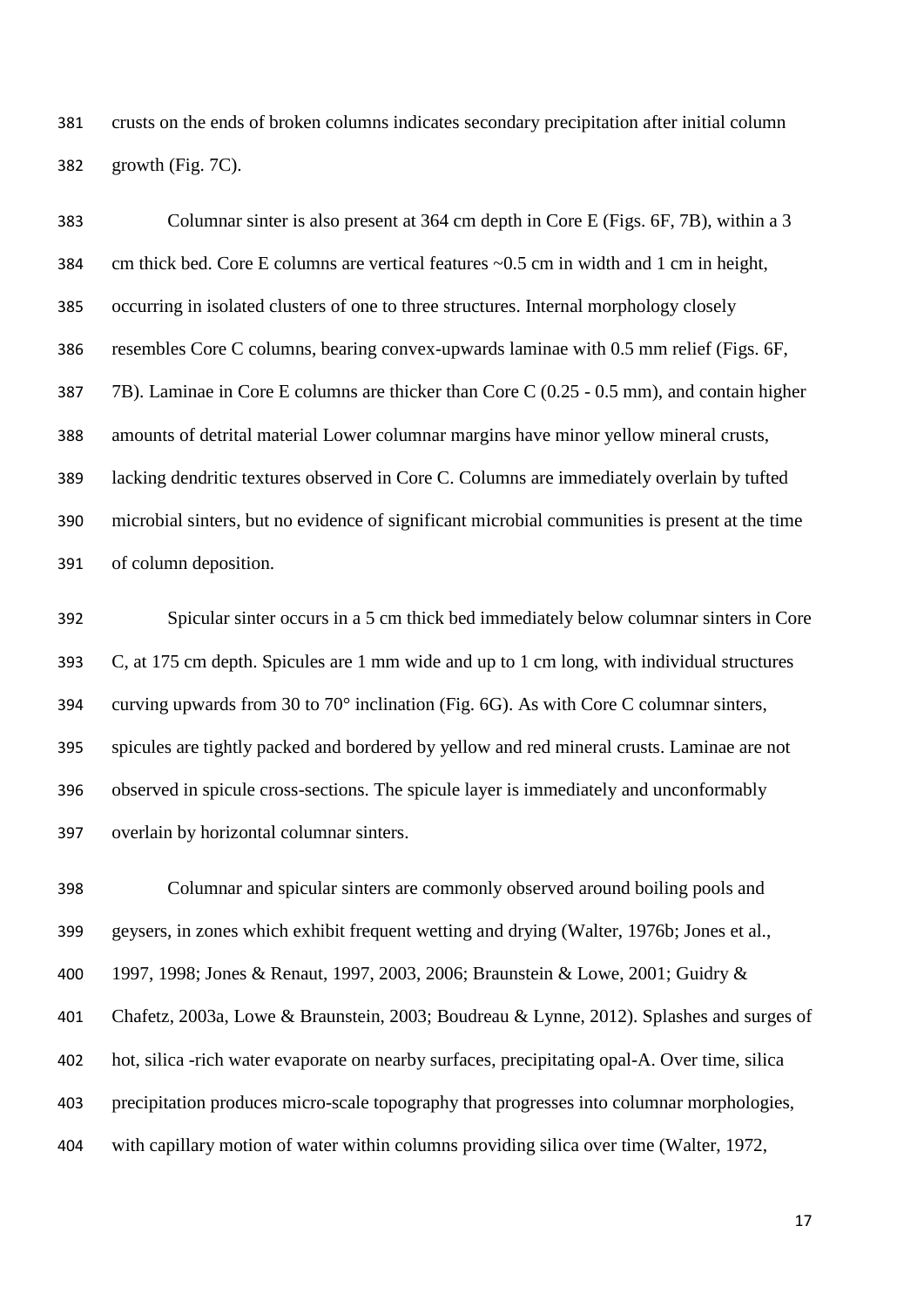crusts on the ends of broken columns indicates secondary precipitation after initial column growth (Fig. 7C).

 Columnar sinter is also present at 364 cm depth in Core E (Figs. 6F, 7B), within a 3 cm thick bed. Core E columns are vertical features ~0.5 cm in width and 1 cm in height, occurring in isolated clusters of one to three structures. Internal morphology closely resembles Core C columns, bearing convex-upwards laminae with 0.5 mm relief (Figs. 6F, 7B). Laminae in Core E columns are thicker than Core C (0.25 - 0.5 mm), and contain higher amounts of detrital material Lower columnar margins have minor yellow mineral crusts, lacking dendritic textures observed in Core C. Columns are immediately overlain by tufted microbial sinters, but no evidence of significant microbial communities is present at the time of column deposition.

 Spicular sinter occurs in a 5 cm thick bed immediately below columnar sinters in Core C, at 175 cm depth. Spicules are 1 mm wide and up to 1 cm long, with individual structures curving upwards from 30 to 70° inclination (Fig. 6G). As with Core C columnar sinters, spicules are tightly packed and bordered by yellow and red mineral crusts. Laminae are not observed in spicule cross-sections. The spicule layer is immediately and unconformably overlain by horizontal columnar sinters.

 Columnar and spicular sinters are commonly observed around boiling pools and geysers, in zones which exhibit frequent wetting and drying (Walter, 1976b; Jones et al., 1997, 1998; Jones & Renaut, 1997, 2003, 2006; Braunstein & Lowe, 2001; Guidry & Chafetz, 2003a, Lowe & Braunstein, 2003; Boudreau & Lynne, 2012). Splashes and surges of hot, silica -rich water evaporate on nearby surfaces, precipitating opal-A. Over time, silica precipitation produces micro-scale topography that progresses into columnar morphologies, with capillary motion of water within columns providing silica over time (Walter, 1972,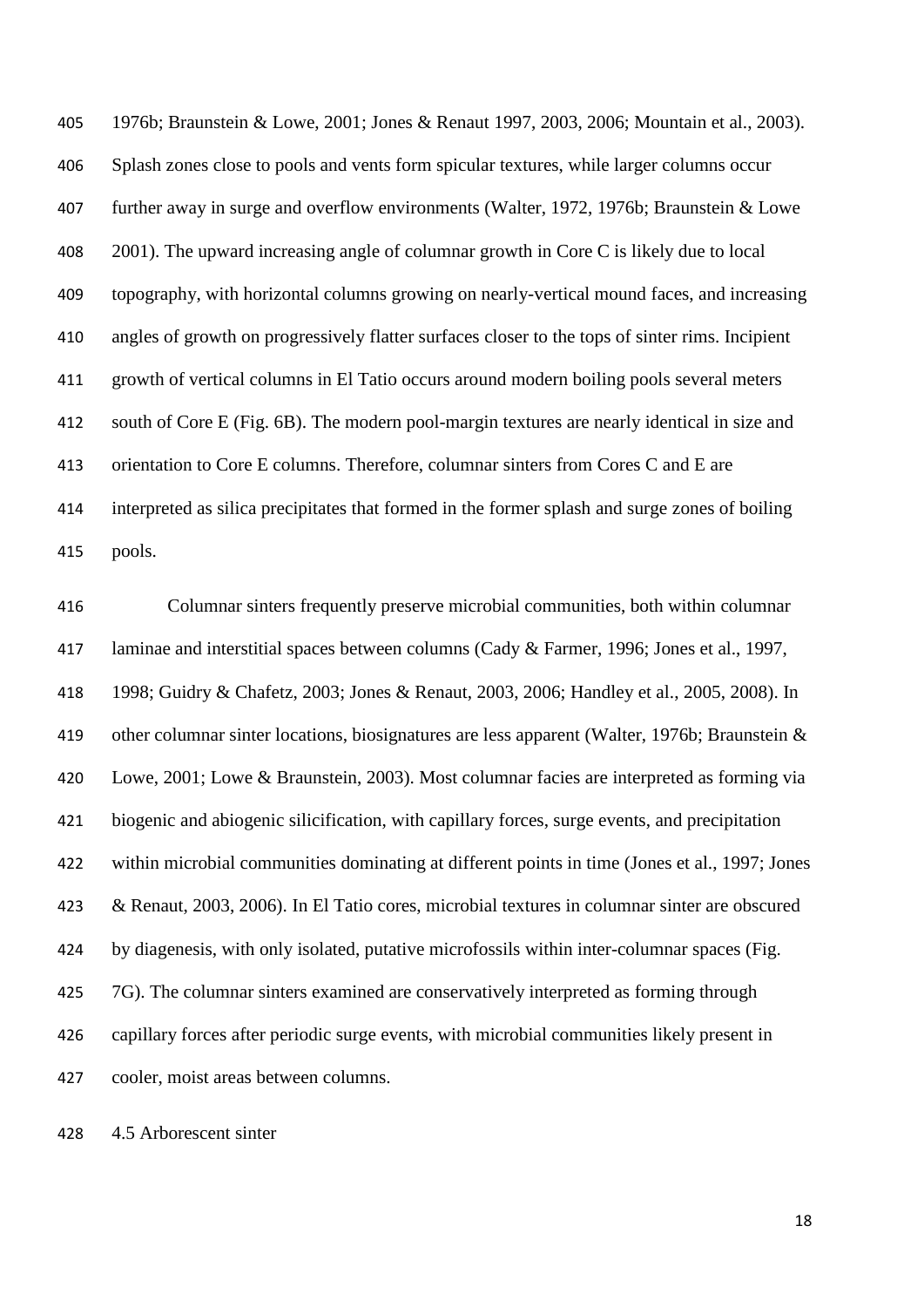1976b; Braunstein & Lowe, 2001; Jones & Renaut 1997, 2003, 2006; Mountain et al., 2003). Splash zones close to pools and vents form spicular textures, while larger columns occur further away in surge and overflow environments (Walter, 1972, 1976b; Braunstein & Lowe 2001). The upward increasing angle of columnar growth in Core C is likely due to local topography, with horizontal columns growing on nearly-vertical mound faces, and increasing angles of growth on progressively flatter surfaces closer to the tops of sinter rims. Incipient growth of vertical columns in El Tatio occurs around modern boiling pools several meters south of Core E (Fig. 6B). The modern pool-margin textures are nearly identical in size and orientation to Core E columns. Therefore, columnar sinters from Cores C and E are interpreted as silica precipitates that formed in the former splash and surge zones of boiling pools.

 Columnar sinters frequently preserve microbial communities, both within columnar laminae and interstitial spaces between columns (Cady & Farmer, 1996; Jones et al., 1997, 1998; Guidry & Chafetz, 2003; Jones & Renaut, 2003, 2006; Handley et al., 2005, 2008). In other columnar sinter locations, biosignatures are less apparent (Walter, 1976b; Braunstein & Lowe, 2001; Lowe & Braunstein, 2003). Most columnar facies are interpreted as forming via biogenic and abiogenic silicification, with capillary forces, surge events, and precipitation within microbial communities dominating at different points in time (Jones et al., 1997; Jones & Renaut, 2003, 2006). In El Tatio cores, microbial textures in columnar sinter are obscured by diagenesis, with only isolated, putative microfossils within inter-columnar spaces (Fig. 425 7G). The columnar sinters examined are conservatively interpreted as forming through capillary forces after periodic surge events, with microbial communities likely present in cooler, moist areas between columns.

4.5 Arborescent sinter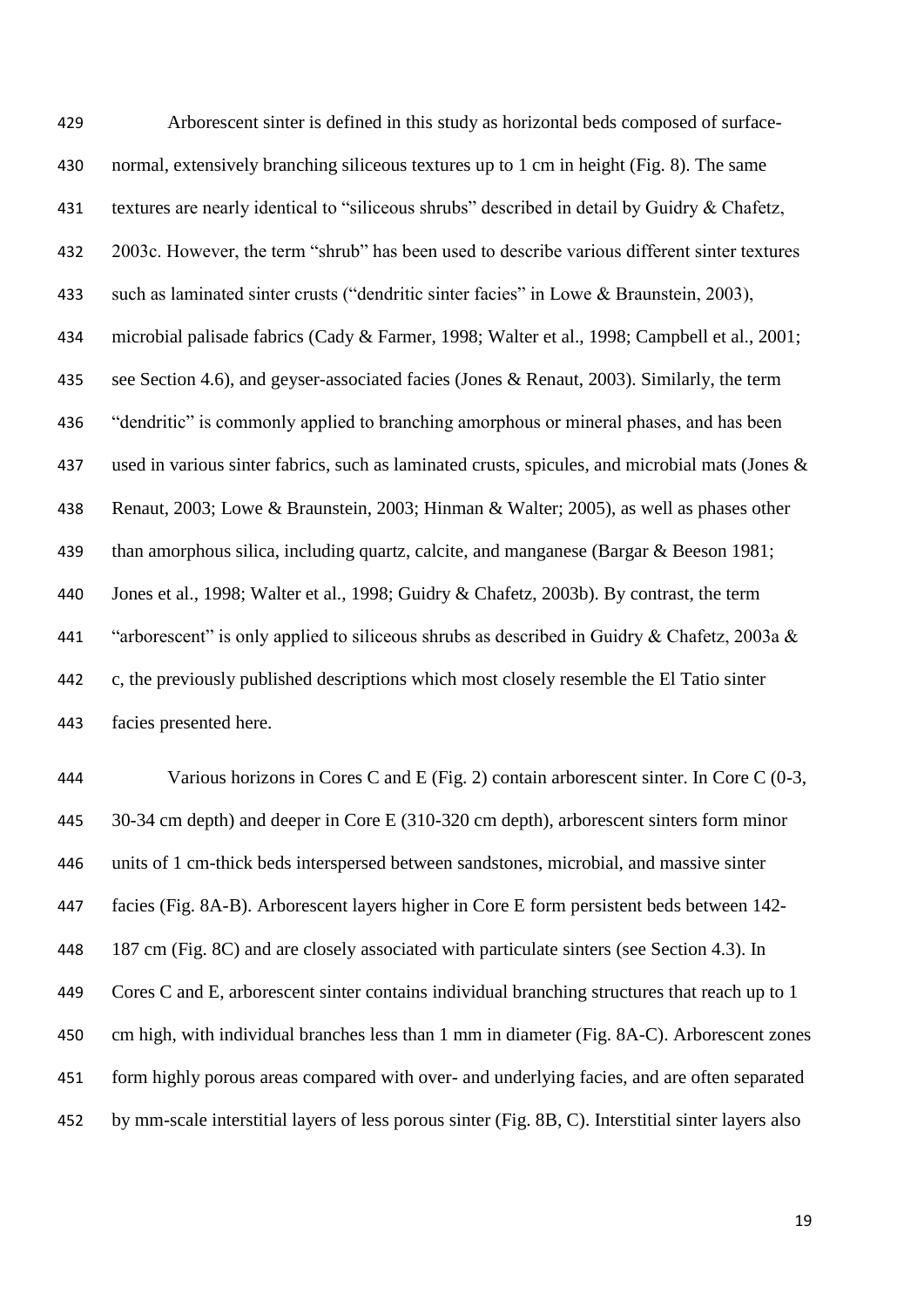Arborescent sinter is defined in this study as horizontal beds composed of surface- normal, extensively branching siliceous textures up to 1 cm in height (Fig. 8). The same textures are nearly identical to "siliceous shrubs" described in detail by Guidry & Chafetz, 2003c. However, the term "shrub" has been used to describe various different sinter textures such as laminated sinter crusts ("dendritic sinter facies" in Lowe & Braunstein, 2003), microbial palisade fabrics (Cady & Farmer, 1998; Walter et al., 1998; Campbell et al., 2001; 435 see Section 4.6), and geyser-associated facies (Jones & Renaut, 2003). Similarly, the term "dendritic" is commonly applied to branching amorphous or mineral phases, and has been 437 used in various sinter fabrics, such as laminated crusts, spicules, and microbial mats (Jones & Renaut, 2003; Lowe & Braunstein, 2003; Hinman & Walter; 2005), as well as phases other than amorphous silica, including quartz, calcite, and manganese (Bargar & Beeson 1981; Jones et al., 1998; Walter et al., 1998; Guidry & Chafetz, 2003b). By contrast, the term 441 "arborescent" is only applied to siliceous shrubs as described in Guidry & Chafetz, 2003a  $\&$  c, the previously published descriptions which most closely resemble the El Tatio sinter facies presented here.

 Various horizons in Cores C and E (Fig. 2) contain arborescent sinter. In Core C (0-3, 30-34 cm depth) and deeper in Core E (310-320 cm depth), arborescent sinters form minor units of 1 cm-thick beds interspersed between sandstones, microbial, and massive sinter facies (Fig. 8A-B). Arborescent layers higher in Core E form persistent beds between 142- 187 cm (Fig. 8C) and are closely associated with particulate sinters (see Section 4.3). In Cores C and E, arborescent sinter contains individual branching structures that reach up to 1 cm high, with individual branches less than 1 mm in diameter (Fig. 8A-C). Arborescent zones form highly porous areas compared with over- and underlying facies, and are often separated by mm-scale interstitial layers of less porous sinter (Fig. 8B, C). Interstitial sinter layers also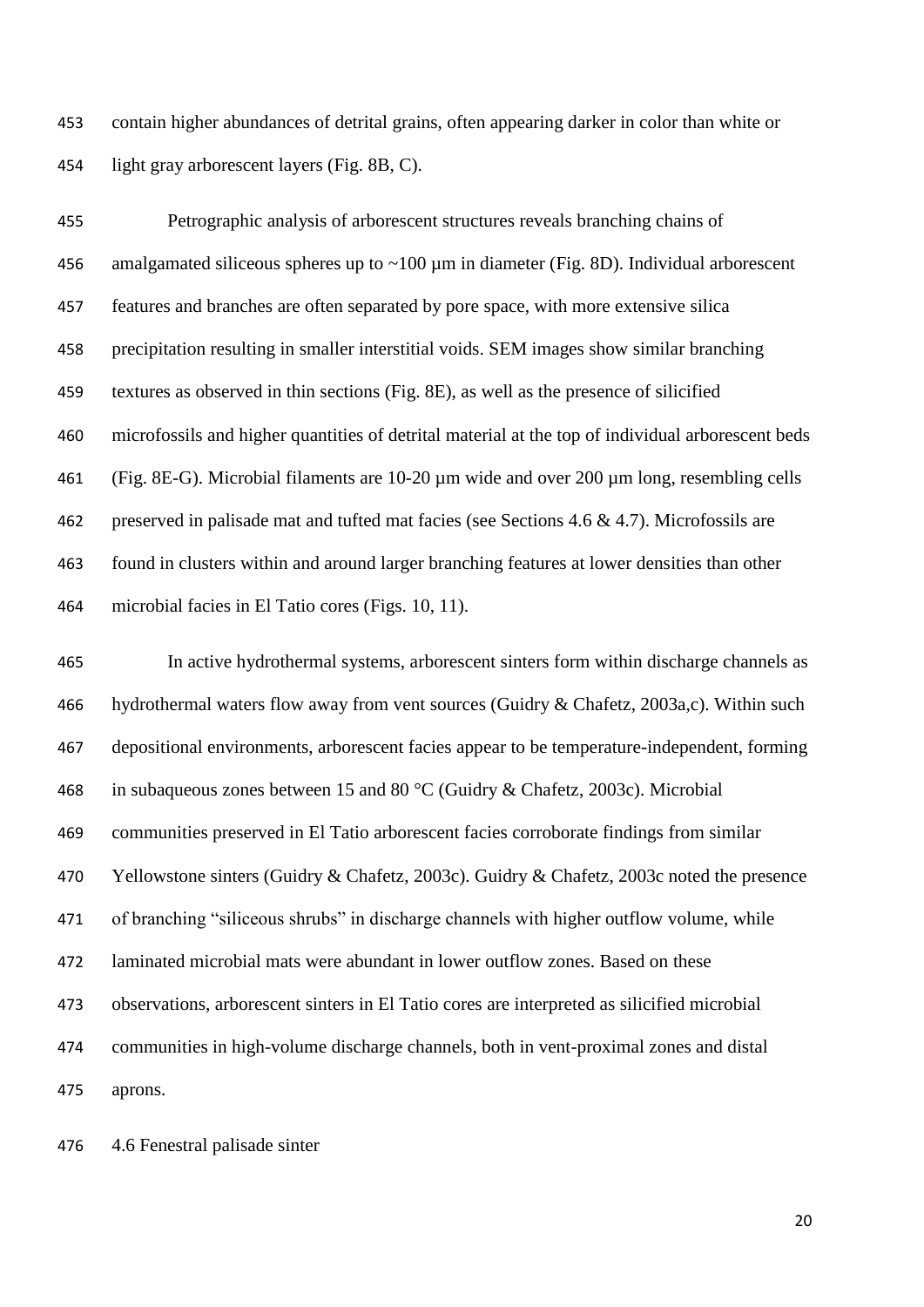contain higher abundances of detrital grains, often appearing darker in color than white or light gray arborescent layers (Fig. 8B, C).

 Petrographic analysis of arborescent structures reveals branching chains of 456 amalgamated siliceous spheres up to  $\sim$ 100 µm in diameter (Fig. 8D). Individual arborescent features and branches are often separated by pore space, with more extensive silica precipitation resulting in smaller interstitial voids. SEM images show similar branching textures as observed in thin sections (Fig. 8E), as well as the presence of silicified microfossils and higher quantities of detrital material at the top of individual arborescent beds (Fig. 8E-G). Microbial filaments are 10-20 µm wide and over 200 µm long, resembling cells preserved in palisade mat and tufted mat facies (see Sections 4.6 & 4.7). Microfossils are found in clusters within and around larger branching features at lower densities than other microbial facies in El Tatio cores (Figs. 10, 11).

 In active hydrothermal systems, arborescent sinters form within discharge channels as hydrothermal waters flow away from vent sources (Guidry & Chafetz, 2003a,c). Within such depositional environments, arborescent facies appear to be temperature-independent, forming in subaqueous zones between 15 and 80 °C (Guidry & Chafetz, 2003c). Microbial communities preserved in El Tatio arborescent facies corroborate findings from similar Yellowstone sinters (Guidry & Chafetz, 2003c). Guidry & Chafetz, 2003c noted the presence of branching "siliceous shrubs" in discharge channels with higher outflow volume, while laminated microbial mats were abundant in lower outflow zones. Based on these observations, arborescent sinters in El Tatio cores are interpreted as silicified microbial communities in high-volume discharge channels, both in vent-proximal zones and distal aprons.

4.6 Fenestral palisade sinter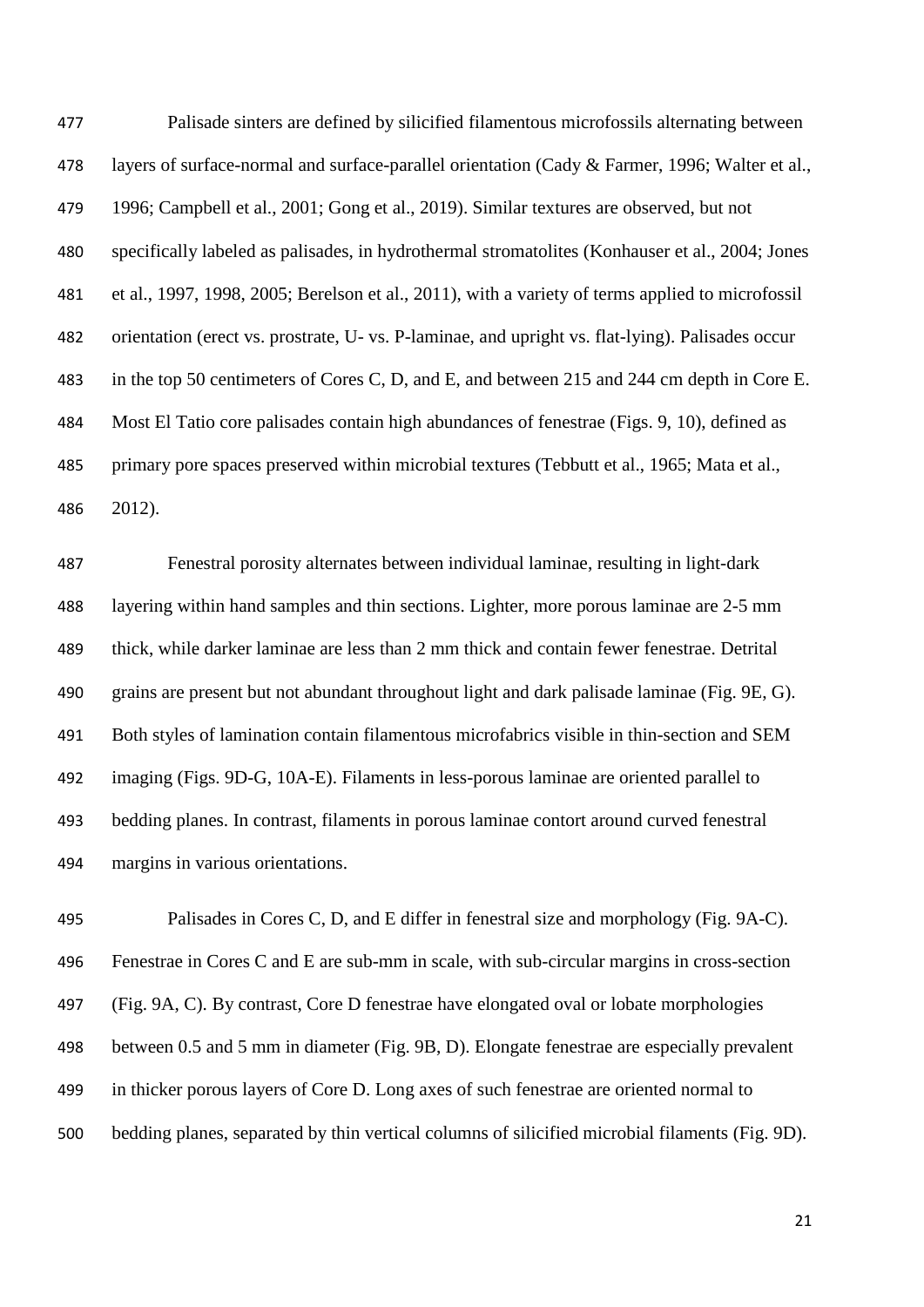Palisade sinters are defined by silicified filamentous microfossils alternating between layers of surface-normal and surface-parallel orientation (Cady & Farmer, 1996; Walter et al., 1996; Campbell et al., 2001; Gong et al., 2019). Similar textures are observed, but not specifically labeled as palisades, in hydrothermal stromatolites (Konhauser et al., 2004; Jones et al., 1997, 1998, 2005; Berelson et al., 2011), with a variety of terms applied to microfossil orientation (erect vs. prostrate, U- vs. P-laminae, and upright vs. flat-lying). Palisades occur in the top 50 centimeters of Cores C, D, and E, and between 215 and 244 cm depth in Core E. Most El Tatio core palisades contain high abundances of fenestrae (Figs. 9, 10), defined as primary pore spaces preserved within microbial textures (Tebbutt et al., 1965; Mata et al., 2012).

 Fenestral porosity alternates between individual laminae, resulting in light-dark layering within hand samples and thin sections. Lighter, more porous laminae are 2-5 mm thick, while darker laminae are less than 2 mm thick and contain fewer fenestrae. Detrital grains are present but not abundant throughout light and dark palisade laminae (Fig. 9E, G). Both styles of lamination contain filamentous microfabrics visible in thin-section and SEM imaging (Figs. 9D-G, 10A-E). Filaments in less-porous laminae are oriented parallel to bedding planes. In contrast, filaments in porous laminae contort around curved fenestral margins in various orientations.

 Palisades in Cores C, D, and E differ in fenestral size and morphology (Fig. 9A-C). Fenestrae in Cores C and E are sub-mm in scale, with sub-circular margins in cross-section (Fig. 9A, C). By contrast, Core D fenestrae have elongated oval or lobate morphologies between 0.5 and 5 mm in diameter (Fig. 9B, D). Elongate fenestrae are especially prevalent in thicker porous layers of Core D. Long axes of such fenestrae are oriented normal to bedding planes, separated by thin vertical columns of silicified microbial filaments (Fig. 9D).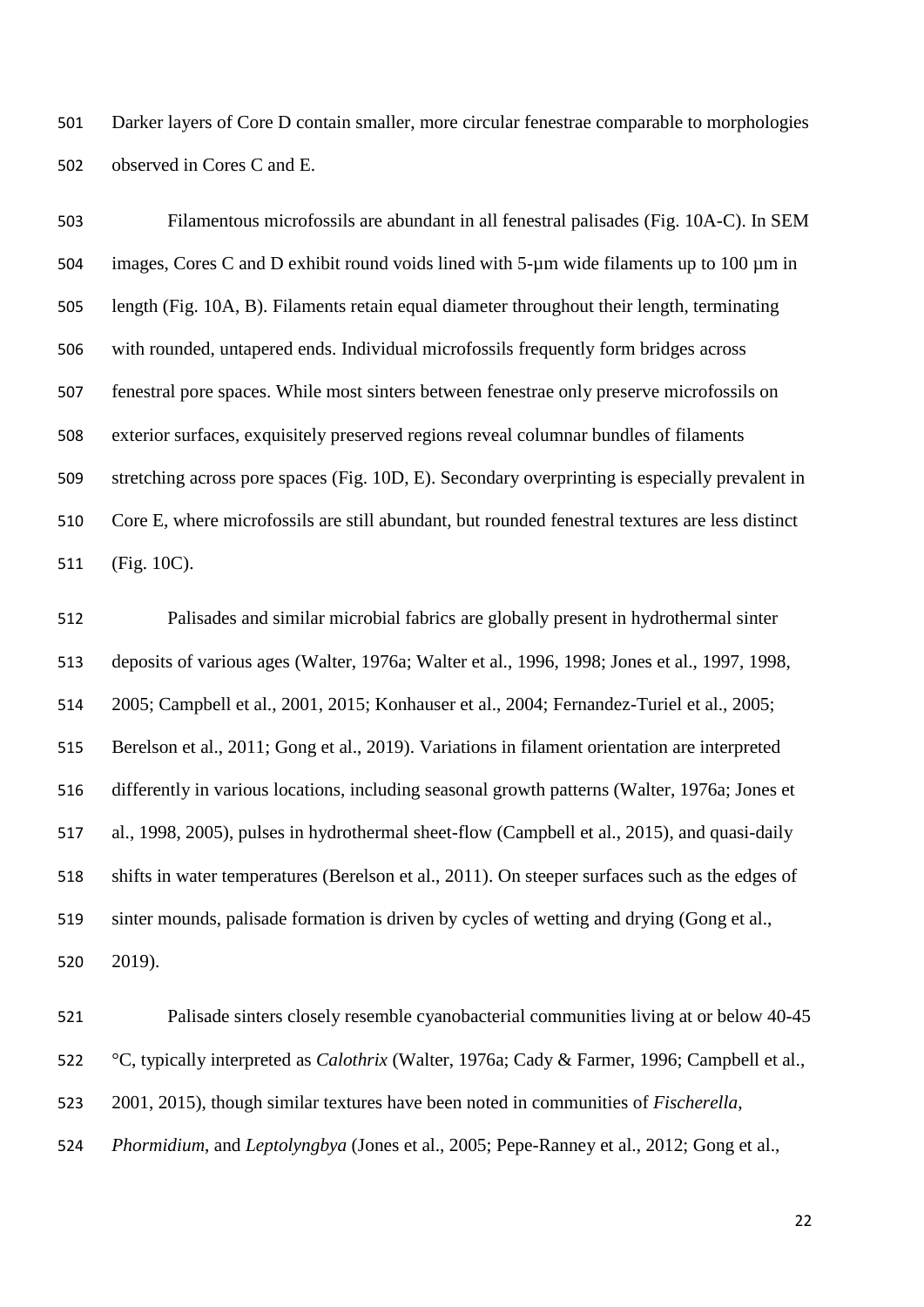Darker layers of Core D contain smaller, more circular fenestrae comparable to morphologies observed in Cores C and E.

 Filamentous microfossils are abundant in all fenestral palisades (Fig. 10A-C). In SEM images, Cores C and D exhibit round voids lined with 5-µm wide filaments up to 100 µm in length (Fig. 10A, B). Filaments retain equal diameter throughout their length, terminating with rounded, untapered ends. Individual microfossils frequently form bridges across fenestral pore spaces. While most sinters between fenestrae only preserve microfossils on exterior surfaces, exquisitely preserved regions reveal columnar bundles of filaments stretching across pore spaces (Fig. 10D, E). Secondary overprinting is especially prevalent in Core E, where microfossils are still abundant, but rounded fenestral textures are less distinct (Fig. 10C).

 Palisades and similar microbial fabrics are globally present in hydrothermal sinter deposits of various ages (Walter, 1976a; Walter et al., 1996, 1998; Jones et al., 1997, 1998, 2005; Campbell et al., 2001, 2015; Konhauser et al., 2004; Fernandez-Turiel et al., 2005; Berelson et al., 2011; Gong et al., 2019). Variations in filament orientation are interpreted differently in various locations, including seasonal growth patterns (Walter, 1976a; Jones et al., 1998, 2005), pulses in hydrothermal sheet-flow (Campbell et al., 2015), and quasi-daily shifts in water temperatures (Berelson et al., 2011). On steeper surfaces such as the edges of sinter mounds, palisade formation is driven by cycles of wetting and drying (Gong et al., 2019).

 Palisade sinters closely resemble cyanobacterial communities living at or below 40-45 °C, typically interpreted as *Calothrix* (Walter, 1976a; Cady & Farmer, 1996; Campbell et al., 2001, 2015), though similar textures have been noted in communities of *Fischerella*, *Phormidium*, and *Leptolyngbya* (Jones et al., 2005; Pepe-Ranney et al., 2012; Gong et al.,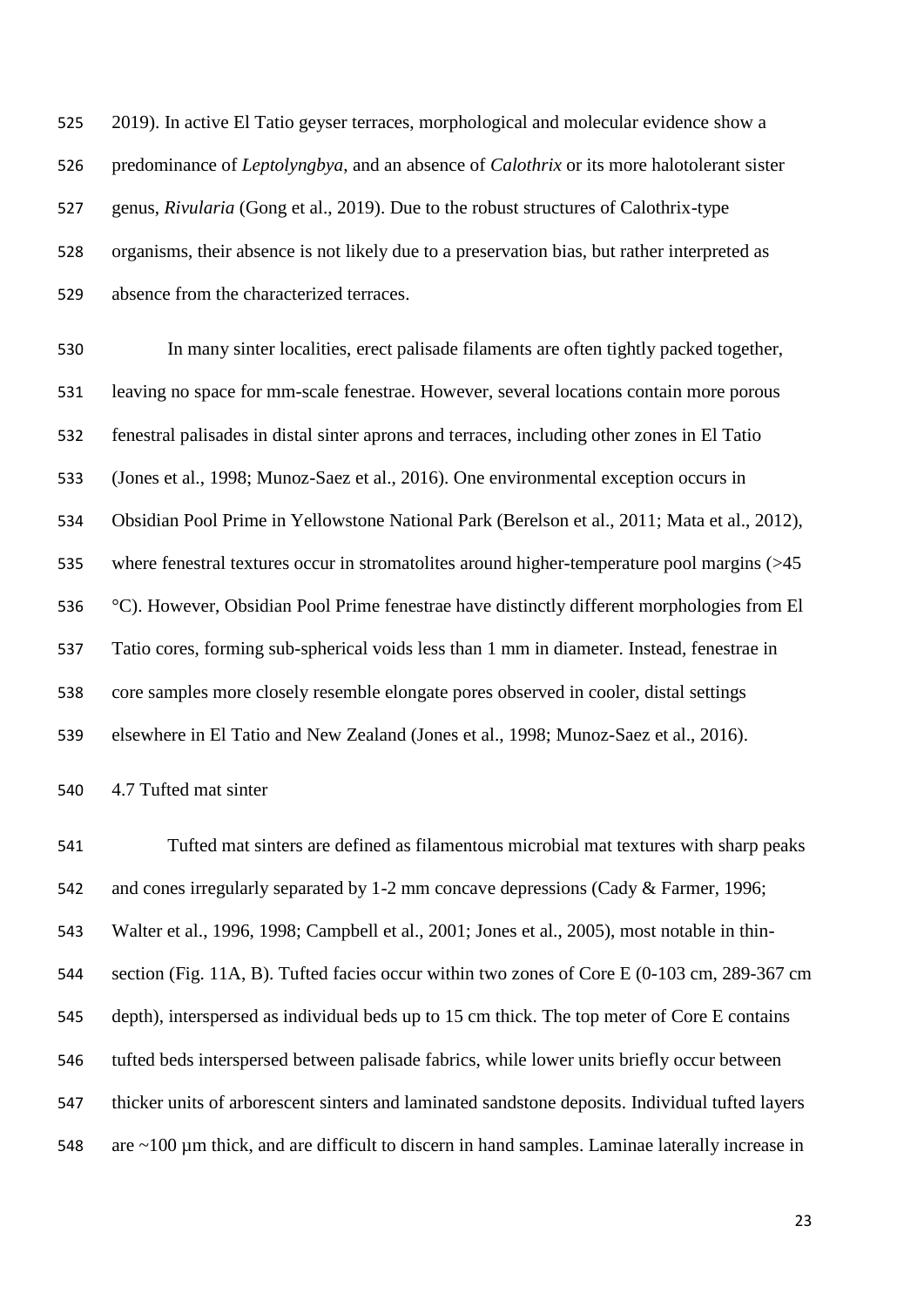2019). In active El Tatio geyser terraces, morphological and molecular evidence show a predominance of *Leptolyngbya*, and an absence of *Calothrix* or its more halotolerant sister genus, *Rivularia* (Gong et al., 2019). Due to the robust structures of Calothrix-type organisms, their absence is not likely due to a preservation bias, but rather interpreted as absence from the characterized terraces.

 In many sinter localities, erect palisade filaments are often tightly packed together, leaving no space for mm-scale fenestrae. However, several locations contain more porous fenestral palisades in distal sinter aprons and terraces, including other zones in El Tatio (Jones et al., 1998; Munoz-Saez et al., 2016). One environmental exception occurs in Obsidian Pool Prime in Yellowstone National Park (Berelson et al., 2011; Mata et al., 2012), 535 where fenestral textures occur in stromatolites around higher-temperature pool margins (>45 °C). However, Obsidian Pool Prime fenestrae have distinctly different morphologies from El Tatio cores, forming sub-spherical voids less than 1 mm in diameter. Instead, fenestrae in core samples more closely resemble elongate pores observed in cooler, distal settings elsewhere in El Tatio and New Zealand (Jones et al., 1998; Munoz-Saez et al., 2016).

4.7 Tufted mat sinter

 Tufted mat sinters are defined as filamentous microbial mat textures with sharp peaks and cones irregularly separated by 1-2 mm concave depressions (Cady & Farmer, 1996; Walter et al., 1996, 1998; Campbell et al., 2001; Jones et al., 2005), most notable in thin- section (Fig. 11A, B). Tufted facies occur within two zones of Core E (0-103 cm, 289-367 cm depth), interspersed as individual beds up to 15 cm thick. The top meter of Core E contains tufted beds interspersed between palisade fabrics, while lower units briefly occur between thicker units of arborescent sinters and laminated sandstone deposits. Individual tufted layers 548 are ~100 µm thick, and are difficult to discern in hand samples. Laminae laterally increase in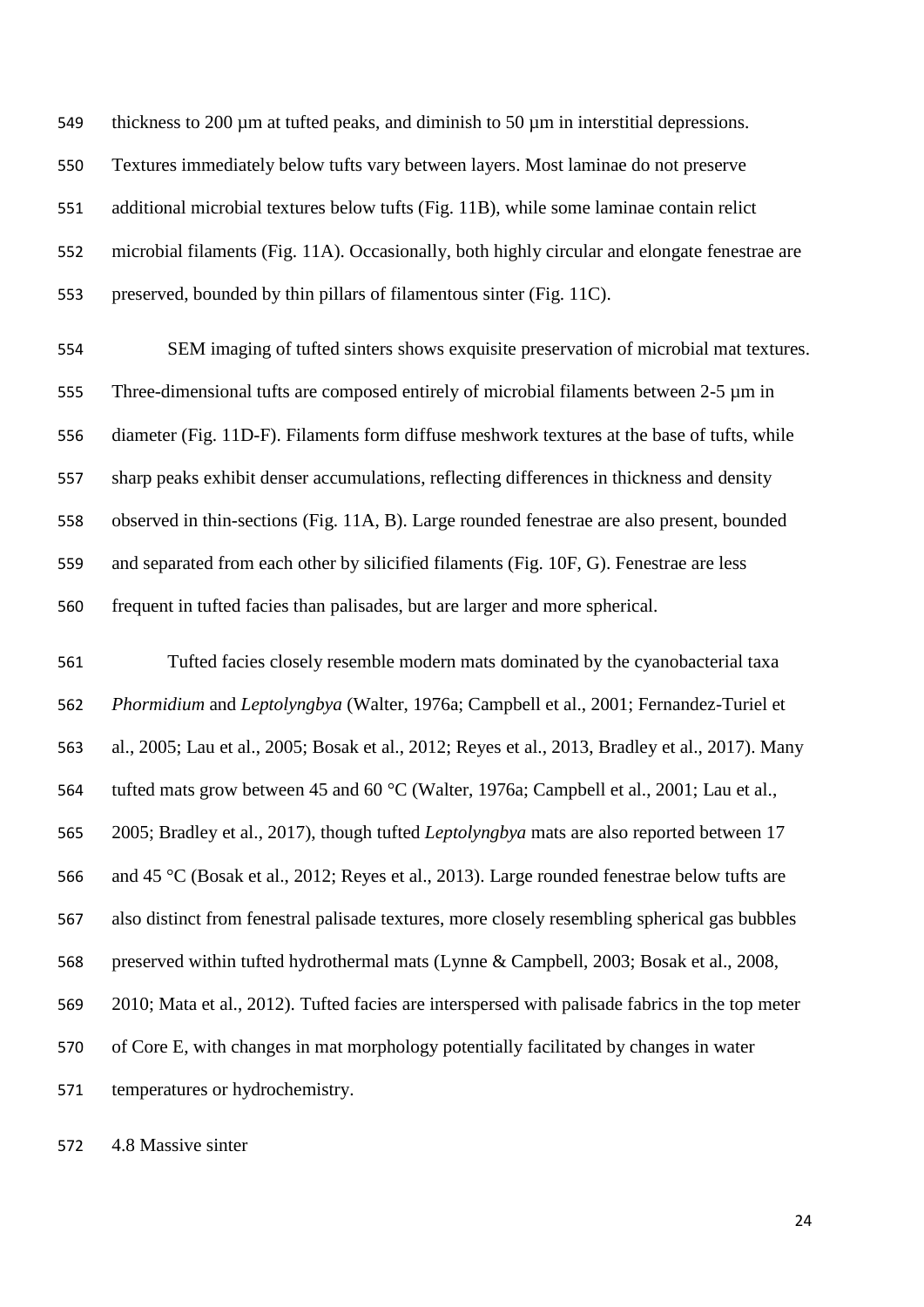thickness to 200 µm at tufted peaks, and diminish to 50 µm in interstitial depressions. Textures immediately below tufts vary between layers. Most laminae do not preserve additional microbial textures below tufts (Fig. 11B), while some laminae contain relict microbial filaments (Fig. 11A). Occasionally, both highly circular and elongate fenestrae are preserved, bounded by thin pillars of filamentous sinter (Fig. 11C).

 SEM imaging of tufted sinters shows exquisite preservation of microbial mat textures. Three-dimensional tufts are composed entirely of microbial filaments between 2-5 µm in diameter (Fig. 11D-F). Filaments form diffuse meshwork textures at the base of tufts, while sharp peaks exhibit denser accumulations, reflecting differences in thickness and density observed in thin-sections (Fig. 11A, B). Large rounded fenestrae are also present, bounded and separated from each other by silicified filaments (Fig. 10F, G). Fenestrae are less frequent in tufted facies than palisades, but are larger and more spherical.

 Tufted facies closely resemble modern mats dominated by the cyanobacterial taxa *Phormidium* and *Leptolyngbya* (Walter, 1976a; Campbell et al., 2001; Fernandez-Turiel et al., 2005; Lau et al., 2005; Bosak et al., 2012; Reyes et al., 2013, Bradley et al., 2017). Many tufted mats grow between 45 and 60 °C (Walter, 1976a; Campbell et al., 2001; Lau et al., 2005; Bradley et al., 2017), though tufted *Leptolyngbya* mats are also reported between 17 and 45 °C (Bosak et al., 2012; Reyes et al., 2013). Large rounded fenestrae below tufts are also distinct from fenestral palisade textures, more closely resembling spherical gas bubbles preserved within tufted hydrothermal mats (Lynne & Campbell, 2003; Bosak et al., 2008, 2010; Mata et al., 2012). Tufted facies are interspersed with palisade fabrics in the top meter of Core E, with changes in mat morphology potentially facilitated by changes in water temperatures or hydrochemistry.

4.8 Massive sinter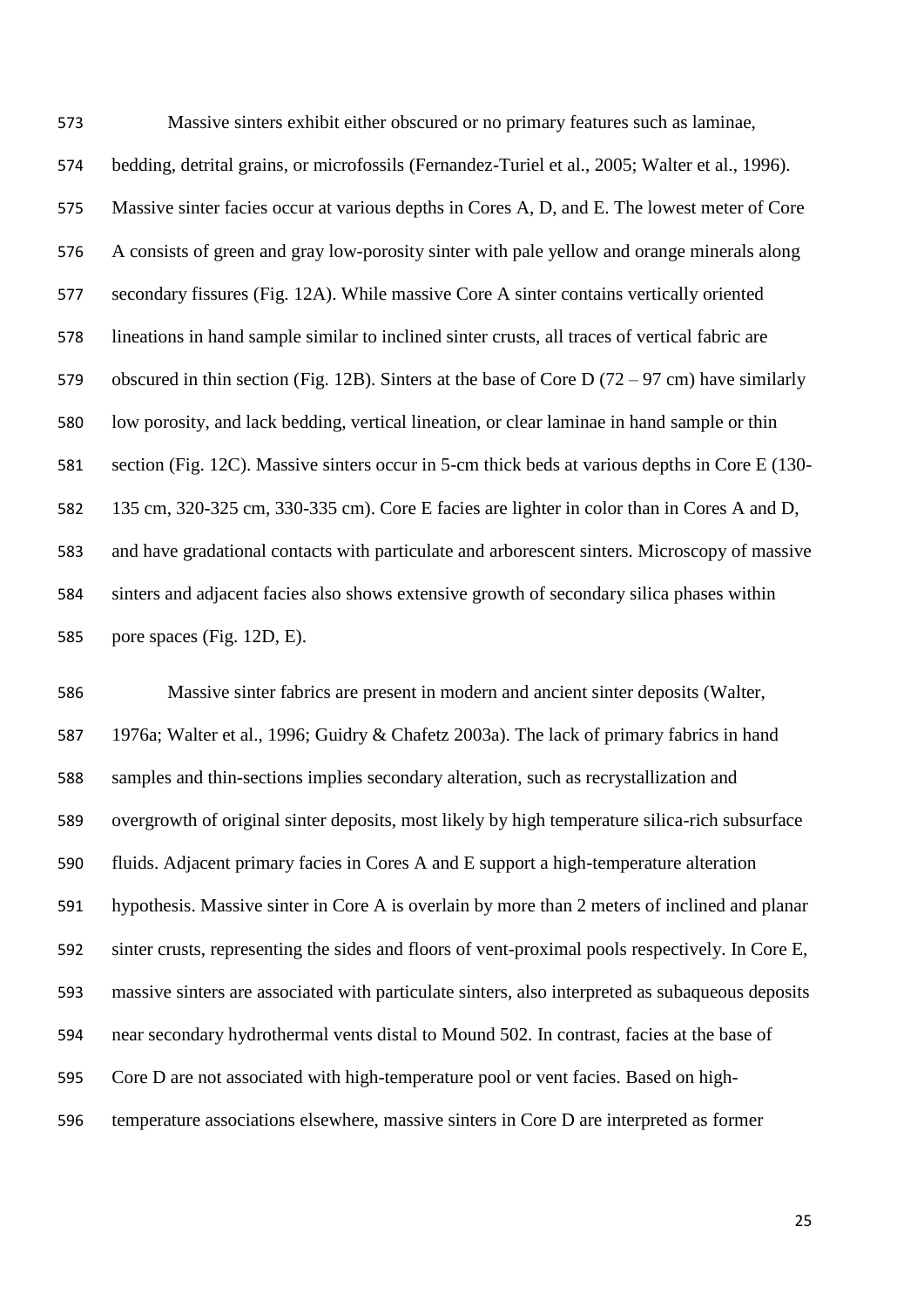Massive sinters exhibit either obscured or no primary features such as laminae, bedding, detrital grains, or microfossils (Fernandez-Turiel et al., 2005; Walter et al., 1996). Massive sinter facies occur at various depths in Cores A, D, and E. The lowest meter of Core A consists of green and gray low-porosity sinter with pale yellow and orange minerals along secondary fissures (Fig. 12A). While massive Core A sinter contains vertically oriented lineations in hand sample similar to inclined sinter crusts, all traces of vertical fabric are obscured in thin section (Fig. 12B). Sinters at the base of Core D (72 – 97 cm) have similarly low porosity, and lack bedding, vertical lineation, or clear laminae in hand sample or thin section (Fig. 12C). Massive sinters occur in 5-cm thick beds at various depths in Core E (130- 135 cm, 320-325 cm, 330-335 cm). Core E facies are lighter in color than in Cores A and D, and have gradational contacts with particulate and arborescent sinters. Microscopy of massive sinters and adjacent facies also shows extensive growth of secondary silica phases within pore spaces (Fig. 12D, E).

 Massive sinter fabrics are present in modern and ancient sinter deposits (Walter, 1976a; Walter et al., 1996; Guidry & Chafetz 2003a). The lack of primary fabrics in hand samples and thin-sections implies secondary alteration, such as recrystallization and overgrowth of original sinter deposits, most likely by high temperature silica-rich subsurface fluids. Adjacent primary facies in Cores A and E support a high-temperature alteration hypothesis. Massive sinter in Core A is overlain by more than 2 meters of inclined and planar sinter crusts, representing the sides and floors of vent-proximal pools respectively. In Core E, massive sinters are associated with particulate sinters, also interpreted as subaqueous deposits near secondary hydrothermal vents distal to Mound 502. In contrast, facies at the base of Core D are not associated with high-temperature pool or vent facies. Based on high-temperature associations elsewhere, massive sinters in Core D are interpreted as former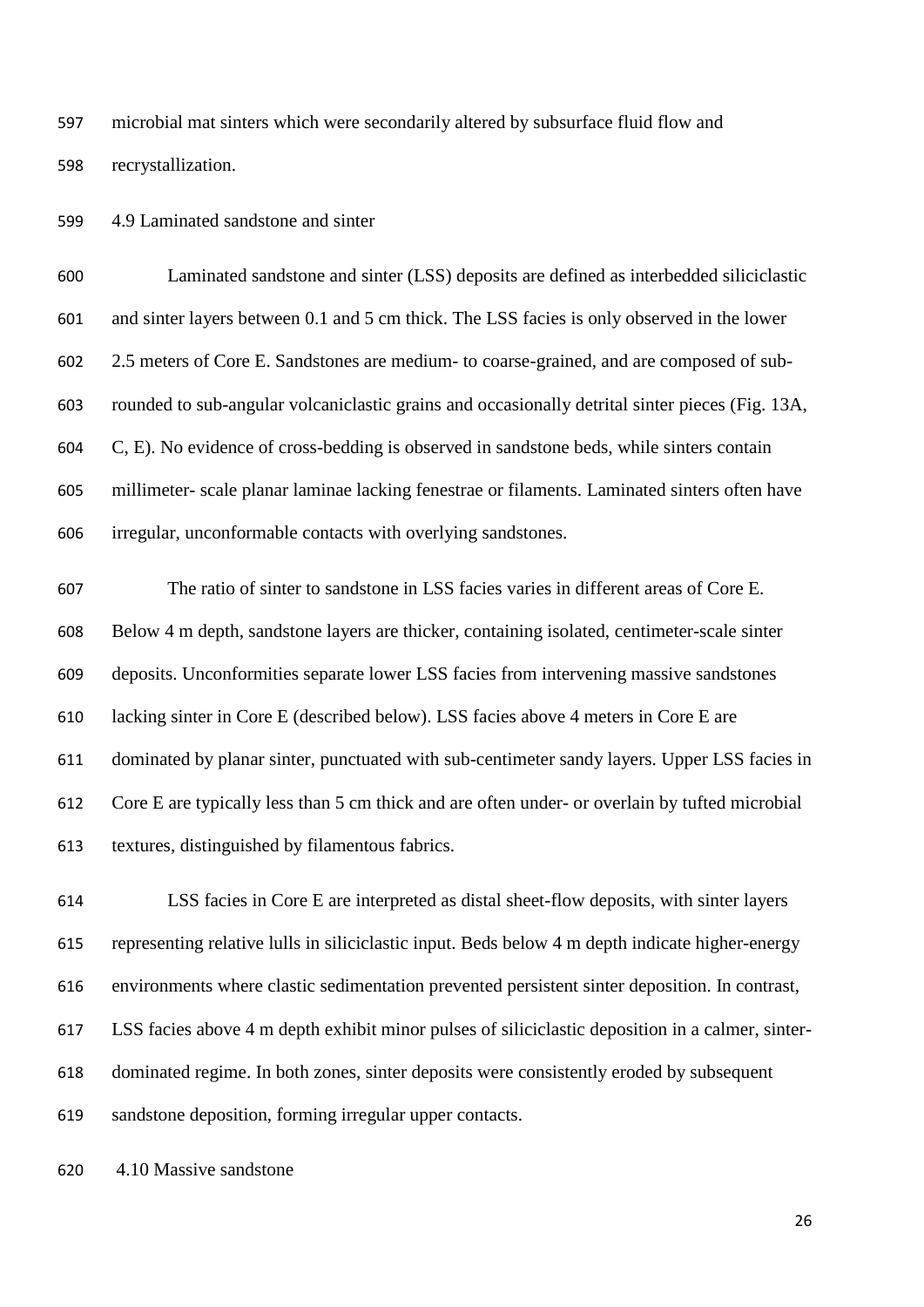microbial mat sinters which were secondarily altered by subsurface fluid flow and recrystallization.

4.9 Laminated sandstone and sinter

 Laminated sandstone and sinter (LSS) deposits are defined as interbedded siliciclastic and sinter layers between 0.1 and 5 cm thick. The LSS facies is only observed in the lower 2.5 meters of Core E. Sandstones are medium- to coarse-grained, and are composed of sub- rounded to sub-angular volcaniclastic grains and occasionally detrital sinter pieces (Fig. 13A, C, E). No evidence of cross-bedding is observed in sandstone beds, while sinters contain millimeter- scale planar laminae lacking fenestrae or filaments. Laminated sinters often have irregular, unconformable contacts with overlying sandstones.

 The ratio of sinter to sandstone in LSS facies varies in different areas of Core E. Below 4 m depth, sandstone layers are thicker, containing isolated, centimeter-scale sinter deposits. Unconformities separate lower LSS facies from intervening massive sandstones lacking sinter in Core E (described below). LSS facies above 4 meters in Core E are dominated by planar sinter, punctuated with sub-centimeter sandy layers. Upper LSS facies in Core E are typically less than 5 cm thick and are often under- or overlain by tufted microbial textures, distinguished by filamentous fabrics.

 LSS facies in Core E are interpreted as distal sheet-flow deposits, with sinter layers representing relative lulls in siliciclastic input. Beds below 4 m depth indicate higher-energy environments where clastic sedimentation prevented persistent sinter deposition. In contrast, LSS facies above 4 m depth exhibit minor pulses of siliciclastic deposition in a calmer, sinter- dominated regime. In both zones, sinter deposits were consistently eroded by subsequent sandstone deposition, forming irregular upper contacts.

4.10 Massive sandstone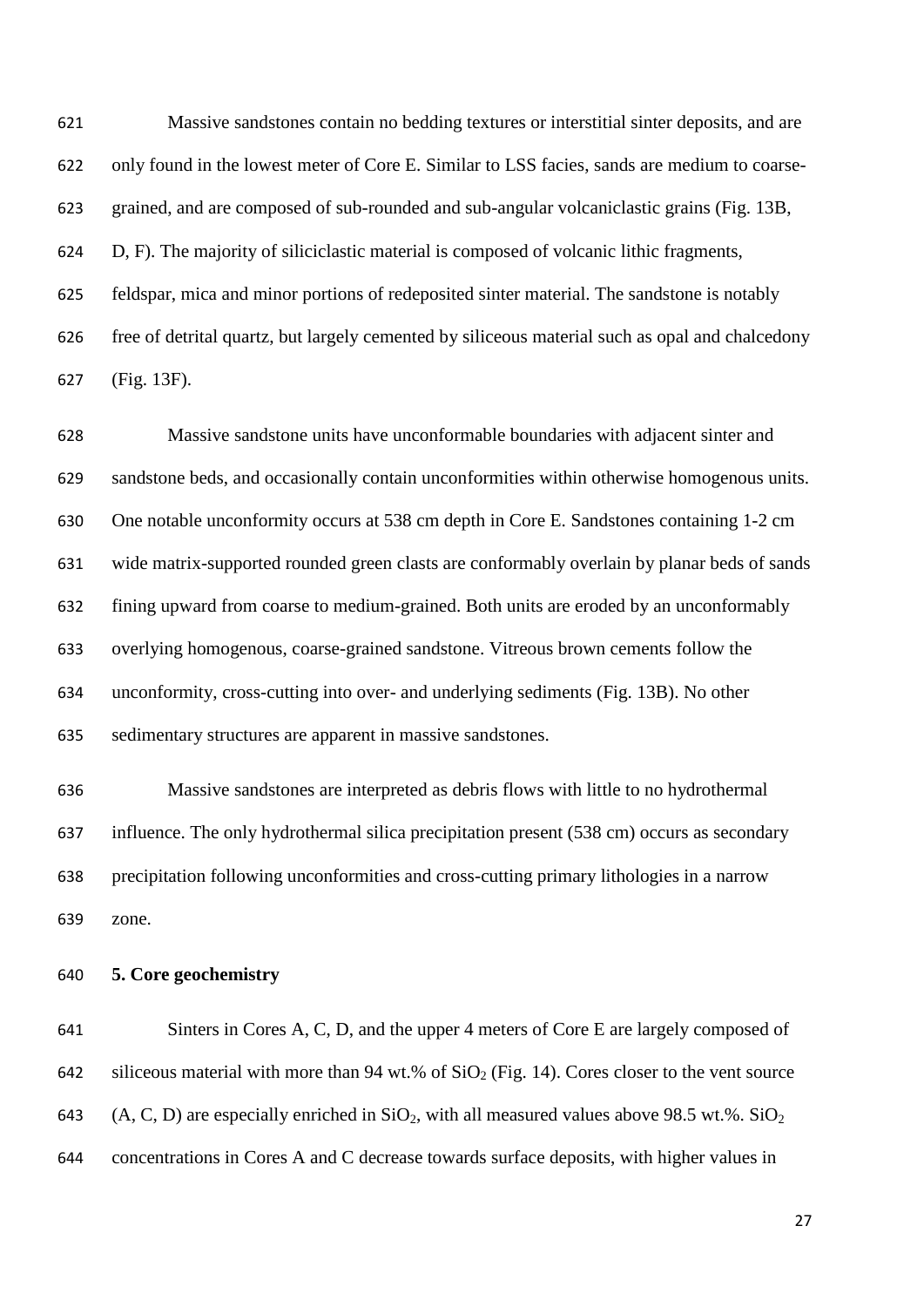Massive sandstones contain no bedding textures or interstitial sinter deposits, and are only found in the lowest meter of Core E. Similar to LSS facies, sands are medium to coarse- grained, and are composed of sub-rounded and sub-angular volcaniclastic grains (Fig. 13B, D, F). The majority of siliciclastic material is composed of volcanic lithic fragments, feldspar, mica and minor portions of redeposited sinter material. The sandstone is notably free of detrital quartz, but largely cemented by siliceous material such as opal and chalcedony (Fig. 13F).

 Massive sandstone units have unconformable boundaries with adjacent sinter and sandstone beds, and occasionally contain unconformities within otherwise homogenous units. One notable unconformity occurs at 538 cm depth in Core E. Sandstones containing 1-2 cm wide matrix-supported rounded green clasts are conformably overlain by planar beds of sands fining upward from coarse to medium-grained. Both units are eroded by an unconformably overlying homogenous, coarse-grained sandstone. Vitreous brown cements follow the unconformity, cross-cutting into over- and underlying sediments (Fig. 13B). No other sedimentary structures are apparent in massive sandstones.

 Massive sandstones are interpreted as debris flows with little to no hydrothermal influence. The only hydrothermal silica precipitation present (538 cm) occurs as secondary precipitation following unconformities and cross-cutting primary lithologies in a narrow zone.

#### **5. Core geochemistry**

 Sinters in Cores A, C, D, and the upper 4 meters of Core E are largely composed of 642 siliceous material with more than 94 wt.% of  $SiO<sub>2</sub>$  (Fig. 14). Cores closer to the vent source 643 (A, C, D) are especially enriched in  $SiO_2$ , with all measured values above 98.5 wt.%.  $SiO_2$ concentrations in Cores A and C decrease towards surface deposits, with higher values in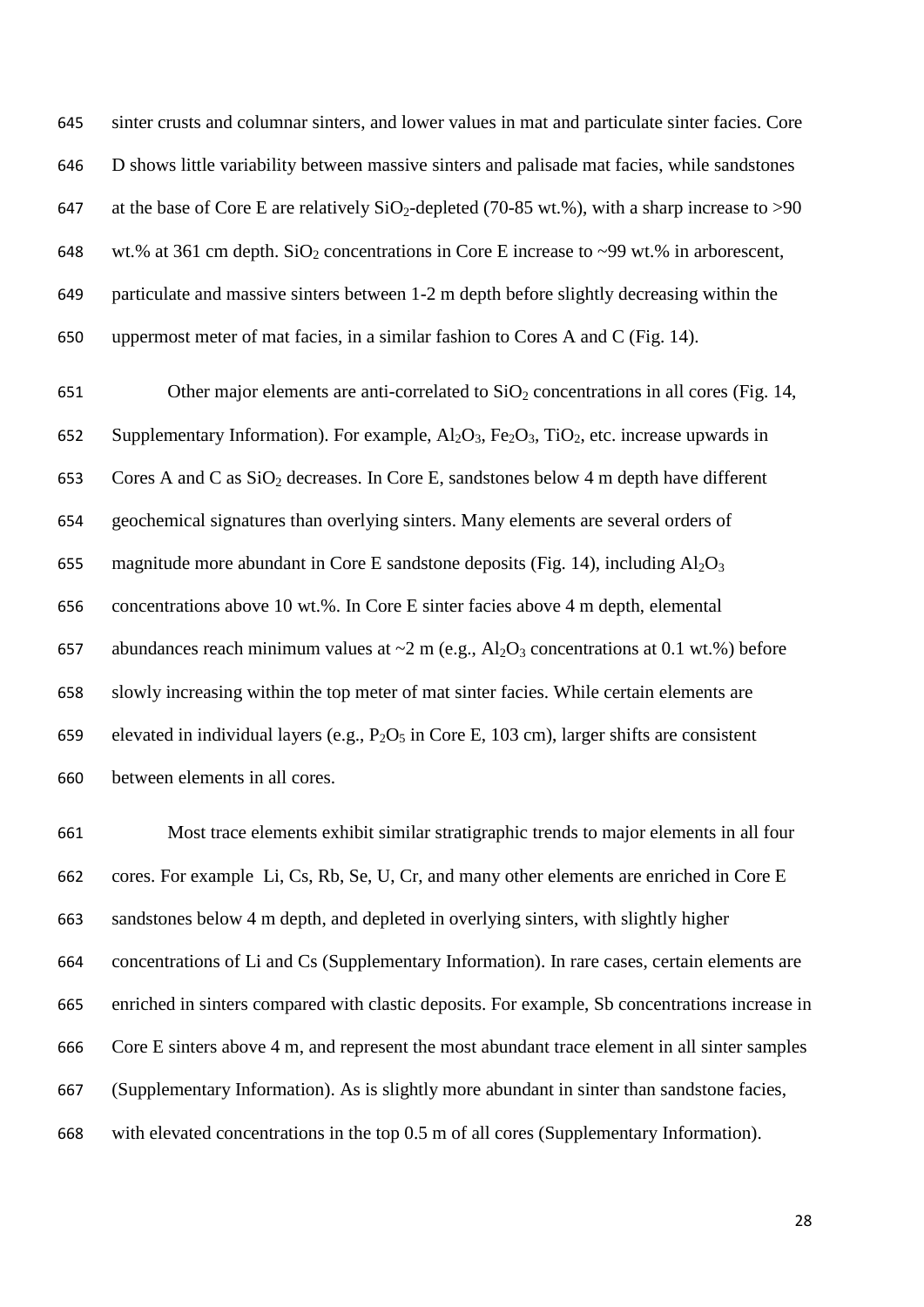sinter crusts and columnar sinters, and lower values in mat and particulate sinter facies. Core D shows little variability between massive sinters and palisade mat facies, while sandstones 647 at the base of Core E are relatively  $SiO_2$ -depleted (70-85 wt.%), with a sharp increase to >90 648 wt.% at 361 cm depth.  $SiO<sub>2</sub>$  concentrations in Core E increase to ~99 wt.% in arborescent, particulate and massive sinters between 1-2 m depth before slightly decreasing within the uppermost meter of mat facies, in a similar fashion to Cores A and C (Fig. 14).

651 Other major elements are anti-correlated to  $SiO<sub>2</sub>$  concentrations in all cores (Fig. 14, 652 Supplementary Information). For example,  $A_1O_3$ ,  $Fe_2O_3$ ,  $TiO_2$ , etc. increase upwards in 653 Cores A and C as  $SiO<sub>2</sub>$  decreases. In Core E, sandstones below 4 m depth have different geochemical signatures than overlying sinters. Many elements are several orders of 655 magnitude more abundant in Core E sandstone deposits (Fig. 14), including  $Al_2O_3$  concentrations above 10 wt.%. In Core E sinter facies above 4 m depth, elemental 657 abundances reach minimum values at  $\sim$ 2 m (e.g., Al<sub>2</sub>O<sub>3</sub> concentrations at 0.1 wt.%) before slowly increasing within the top meter of mat sinter facies. While certain elements are 659 elevated in individual layers (e.g.,  $P_2O_5$  in Core E, 103 cm), larger shifts are consistent between elements in all cores.

 Most trace elements exhibit similar stratigraphic trends to major elements in all four cores. For example Li, Cs, Rb, Se, U, Cr, and many other elements are enriched in Core E sandstones below 4 m depth, and depleted in overlying sinters, with slightly higher concentrations of Li and Cs (Supplementary Information). In rare cases, certain elements are enriched in sinters compared with clastic deposits. For example, Sb concentrations increase in Core E sinters above 4 m, and represent the most abundant trace element in all sinter samples (Supplementary Information). As is slightly more abundant in sinter than sandstone facies, with elevated concentrations in the top 0.5 m of all cores (Supplementary Information).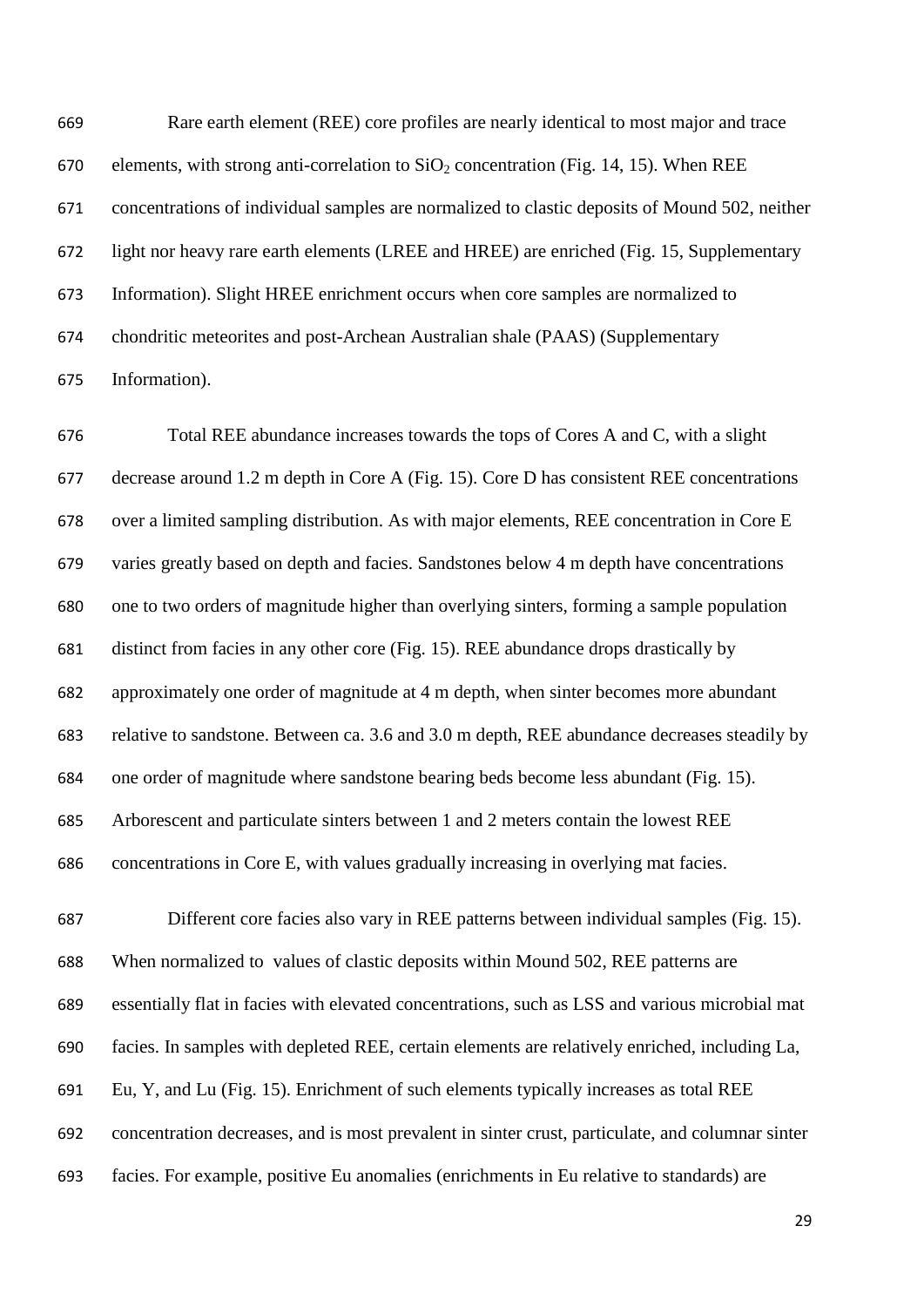Rare earth element (REE) core profiles are nearly identical to most major and trace 670 elements, with strong anti-correlation to  $SiO<sub>2</sub>$  concentration (Fig. 14, 15). When REE concentrations of individual samples are normalized to clastic deposits of Mound 502, neither light nor heavy rare earth elements (LREE and HREE) are enriched (Fig. 15, Supplementary Information). Slight HREE enrichment occurs when core samples are normalized to chondritic meteorites and post-Archean Australian shale (PAAS) (Supplementary Information).

 Total REE abundance increases towards the tops of Cores A and C, with a slight decrease around 1.2 m depth in Core A (Fig. 15). Core D has consistent REE concentrations over a limited sampling distribution. As with major elements, REE concentration in Core E varies greatly based on depth and facies. Sandstones below 4 m depth have concentrations one to two orders of magnitude higher than overlying sinters, forming a sample population distinct from facies in any other core (Fig. 15). REE abundance drops drastically by approximately one order of magnitude at 4 m depth, when sinter becomes more abundant relative to sandstone. Between ca. 3.6 and 3.0 m depth, REE abundance decreases steadily by one order of magnitude where sandstone bearing beds become less abundant (Fig. 15). Arborescent and particulate sinters between 1 and 2 meters contain the lowest REE concentrations in Core E, with values gradually increasing in overlying mat facies.

 Different core facies also vary in REE patterns between individual samples (Fig. 15). When normalized to values of clastic deposits within Mound 502, REE patterns are essentially flat in facies with elevated concentrations, such as LSS and various microbial mat facies. In samples with depleted REE, certain elements are relatively enriched, including La, Eu, Y, and Lu (Fig. 15). Enrichment of such elements typically increases as total REE concentration decreases, and is most prevalent in sinter crust, particulate, and columnar sinter facies. For example, positive Eu anomalies (enrichments in Eu relative to standards) are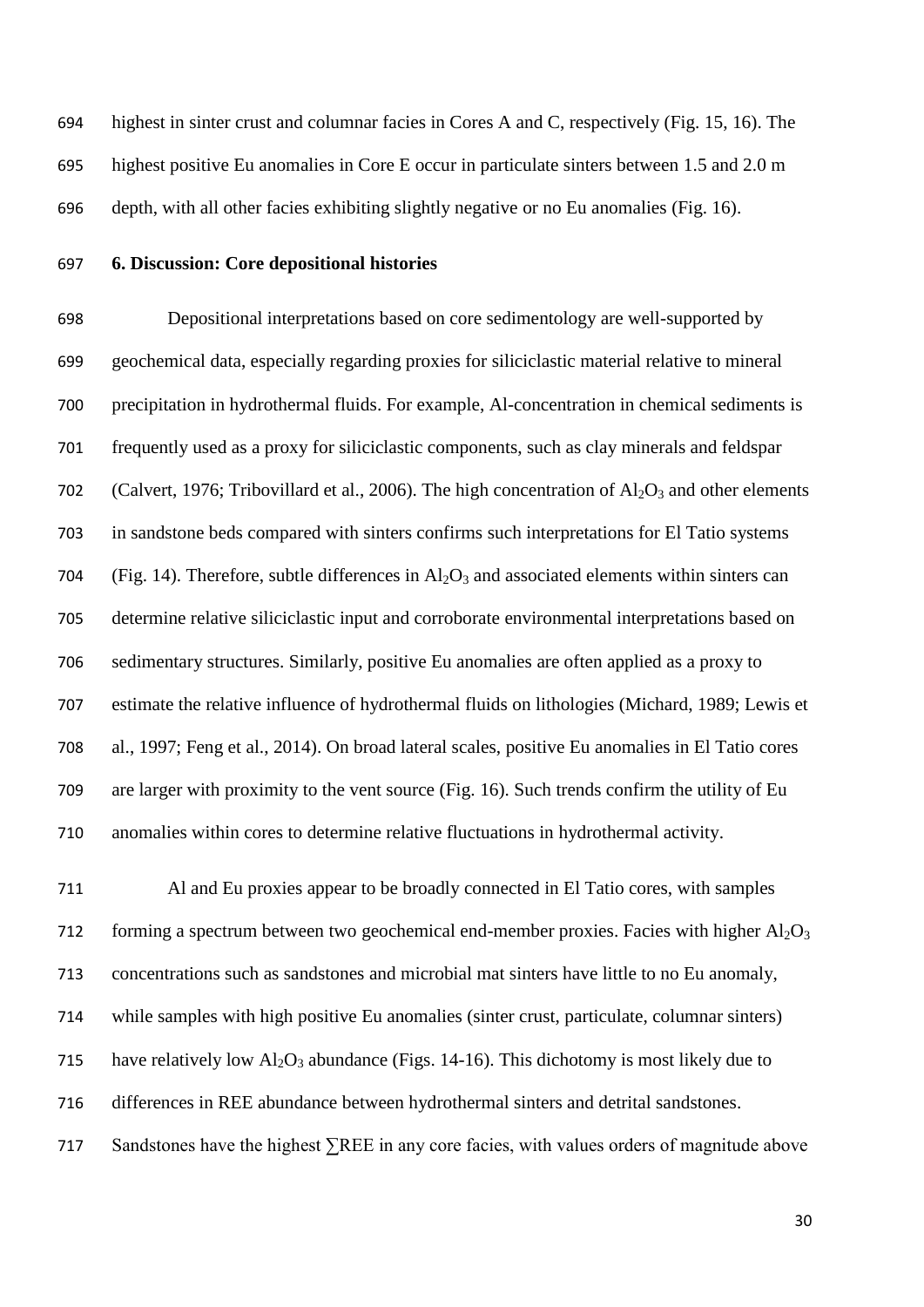highest in sinter crust and columnar facies in Cores A and C, respectively (Fig. 15, 16). The highest positive Eu anomalies in Core E occur in particulate sinters between 1.5 and 2.0 m depth, with all other facies exhibiting slightly negative or no Eu anomalies (Fig. 16).

## **6. Discussion: Core depositional histories**

 Depositional interpretations based on core sedimentology are well-supported by geochemical data, especially regarding proxies for siliciclastic material relative to mineral precipitation in hydrothermal fluids. For example, Al-concentration in chemical sediments is frequently used as a proxy for siliciclastic components, such as clay minerals and feldspar 702 (Calvert, 1976; Tribovillard et al., 2006). The high concentration of  $Al_2O_3$  and other elements in sandstone beds compared with sinters confirms such interpretations for El Tatio systems 704 (Fig. 14). Therefore, subtle differences in  $A_1O_3$  and associated elements within sinters can determine relative siliciclastic input and corroborate environmental interpretations based on sedimentary structures. Similarly, positive Eu anomalies are often applied as a proxy to estimate the relative influence of hydrothermal fluids on lithologies (Michard, 1989; Lewis et al., 1997; Feng et al., 2014). On broad lateral scales, positive Eu anomalies in El Tatio cores are larger with proximity to the vent source (Fig. 16). Such trends confirm the utility of Eu anomalies within cores to determine relative fluctuations in hydrothermal activity.

 Al and Eu proxies appear to be broadly connected in El Tatio cores, with samples 712 forming a spectrum between two geochemical end-member proxies. Facies with higher  $Al_2O_3$  concentrations such as sandstones and microbial mat sinters have little to no Eu anomaly, while samples with high positive Eu anomalies (sinter crust, particulate, columnar sinters) 715 have relatively low  $\text{Al}_2\text{O}_3$  abundance (Figs. 14-16). This dichotomy is most likely due to differences in REE abundance between hydrothermal sinters and detrital sandstones. Sandstones have the highest ∑REE in any core facies, with values orders of magnitude above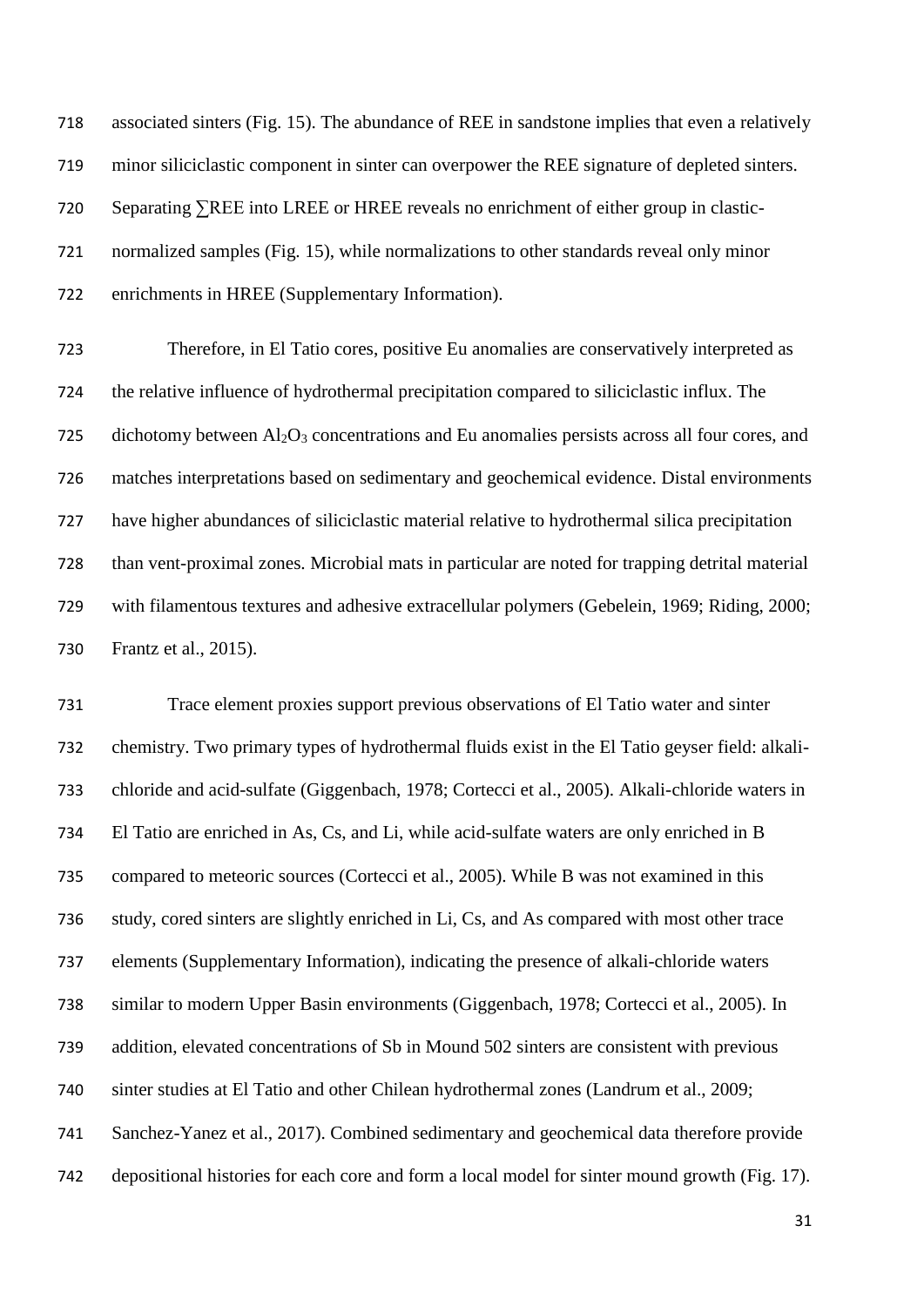associated sinters (Fig. 15). The abundance of REE in sandstone implies that even a relatively minor siliciclastic component in sinter can overpower the REE signature of depleted sinters. Separating ∑REE into LREE or HREE reveals no enrichment of either group in clastic- normalized samples (Fig. 15), while normalizations to other standards reveal only minor enrichments in HREE (Supplementary Information).

 Therefore, in El Tatio cores, positive Eu anomalies are conservatively interpreted as the relative influence of hydrothermal precipitation compared to siliciclastic influx. The 725 dichotomy between  $A<sub>1</sub>O<sub>3</sub>$  concentrations and Eu anomalies persists across all four cores, and matches interpretations based on sedimentary and geochemical evidence. Distal environments have higher abundances of siliciclastic material relative to hydrothermal silica precipitation than vent-proximal zones. Microbial mats in particular are noted for trapping detrital material with filamentous textures and adhesive extracellular polymers (Gebelein, 1969; Riding, 2000; Frantz et al., 2015).

 Trace element proxies support previous observations of El Tatio water and sinter chemistry. Two primary types of hydrothermal fluids exist in the El Tatio geyser field: alkali- chloride and acid-sulfate (Giggenbach, 1978; Cortecci et al., 2005). Alkali-chloride waters in El Tatio are enriched in As, Cs, and Li, while acid-sulfate waters are only enriched in B compared to meteoric sources (Cortecci et al., 2005). While B was not examined in this study, cored sinters are slightly enriched in Li, Cs, and As compared with most other trace elements (Supplementary Information), indicating the presence of alkali-chloride waters similar to modern Upper Basin environments (Giggenbach, 1978; Cortecci et al., 2005). In addition, elevated concentrations of Sb in Mound 502 sinters are consistent with previous sinter studies at El Tatio and other Chilean hydrothermal zones (Landrum et al., 2009; Sanchez-Yanez et al., 2017). Combined sedimentary and geochemical data therefore provide depositional histories for each core and form a local model for sinter mound growth (Fig. 17).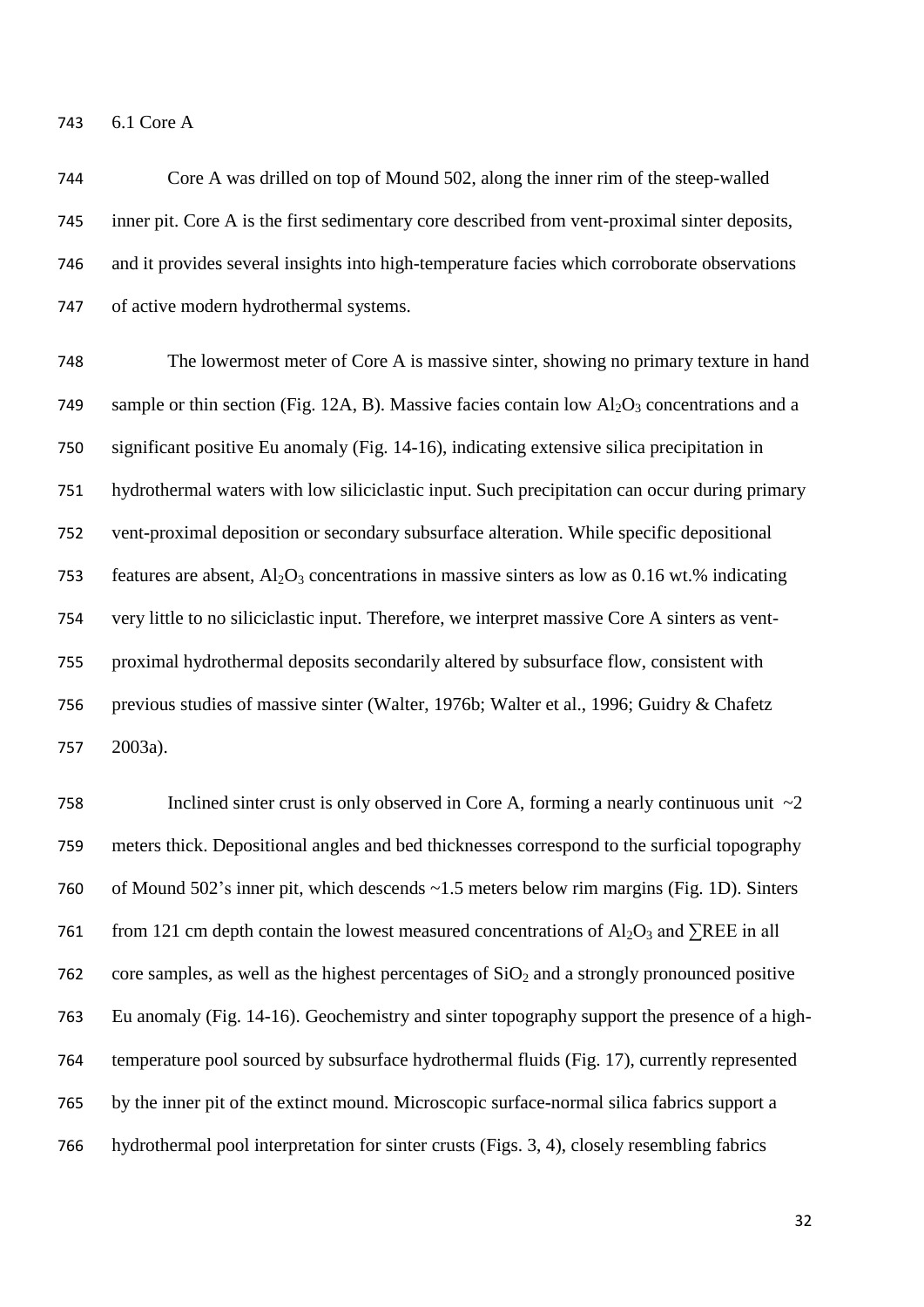6.1 Core A

 Core A was drilled on top of Mound 502, along the inner rim of the steep-walled inner pit. Core A is the first sedimentary core described from vent-proximal sinter deposits, and it provides several insights into high-temperature facies which corroborate observations of active modern hydrothermal systems.

 The lowermost meter of Core A is massive sinter, showing no primary texture in hand 749 sample or thin section (Fig. 12A, B). Massive facies contain low  $Al_2O_3$  concentrations and a significant positive Eu anomaly (Fig. 14-16), indicating extensive silica precipitation in hydrothermal waters with low siliciclastic input. Such precipitation can occur during primary vent-proximal deposition or secondary subsurface alteration. While specific depositional 753 features are absent,  $Al_2O_3$  concentrations in massive sinters as low as 0.16 wt.% indicating very little to no siliciclastic input. Therefore, we interpret massive Core A sinters as vent- proximal hydrothermal deposits secondarily altered by subsurface flow, consistent with previous studies of massive sinter (Walter, 1976b; Walter et al., 1996; Guidry & Chafetz 2003a).

758 Inclined sinter crust is only observed in Core A, forming a nearly continuous unit  $\sim$ 2 meters thick. Depositional angles and bed thicknesses correspond to the surficial topography of Mound 502's inner pit, which descends ~1.5 meters below rim margins (Fig. 1D). Sinters 761 from 121 cm depth contain the lowest measured concentrations of  $Al_2O_3$  and ∑REE in all 762 core samples, as well as the highest percentages of  $SiO<sub>2</sub>$  and a strongly pronounced positive Eu anomaly (Fig. 14-16). Geochemistry and sinter topography support the presence of a high- temperature pool sourced by subsurface hydrothermal fluids (Fig. 17), currently represented by the inner pit of the extinct mound. Microscopic surface-normal silica fabrics support a hydrothermal pool interpretation for sinter crusts (Figs. 3, 4), closely resembling fabrics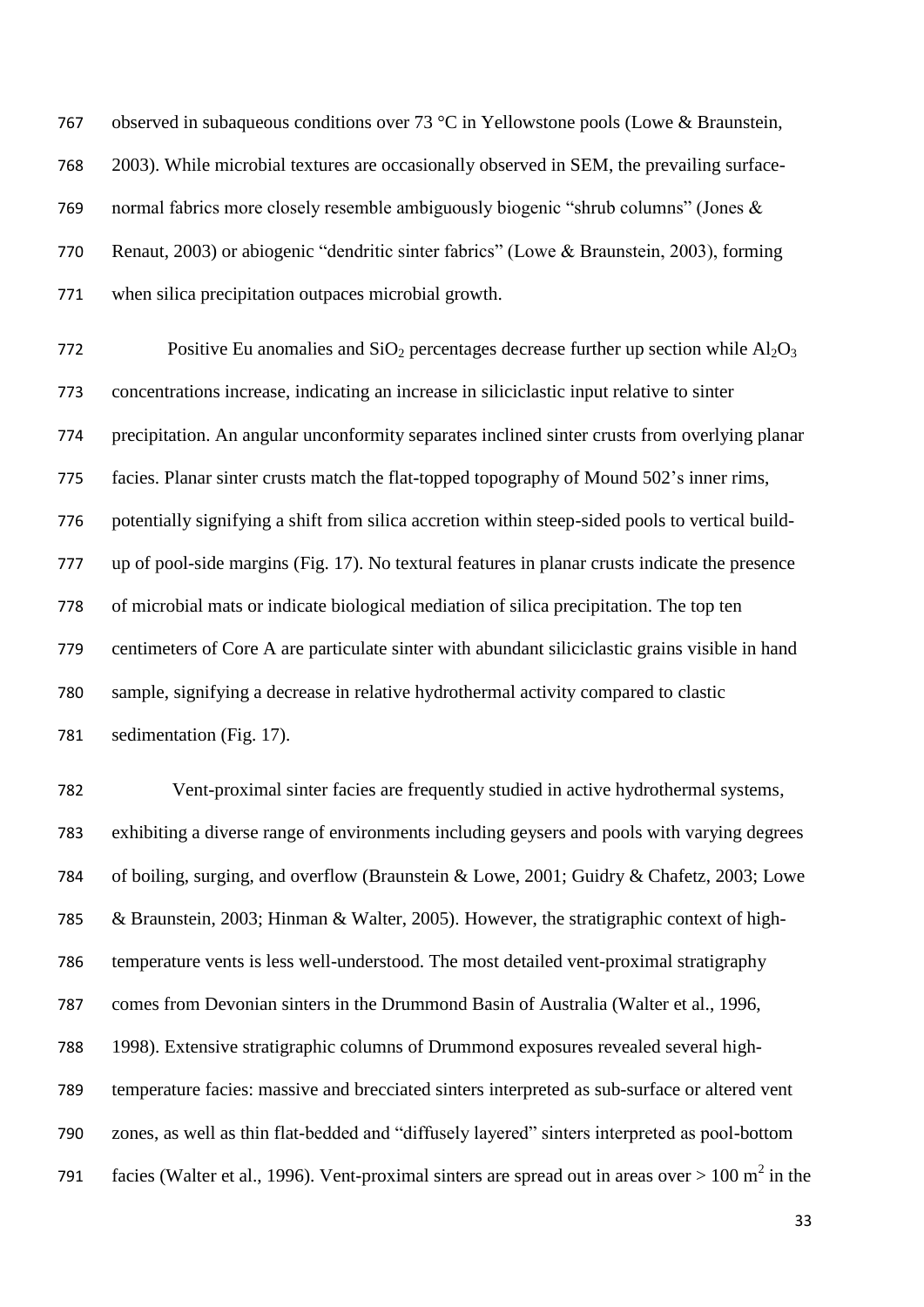observed in subaqueous conditions over 73 °C in Yellowstone pools (Lowe & Braunstein, 2003). While microbial textures are occasionally observed in SEM, the prevailing surface- normal fabrics more closely resemble ambiguously biogenic "shrub columns" (Jones & Renaut, 2003) or abiogenic "dendritic sinter fabrics" (Lowe & Braunstein, 2003), forming when silica precipitation outpaces microbial growth.

772 Positive Eu anomalies and  $SiO<sub>2</sub>$  percentages decrease further up section while  $Al<sub>2</sub>O<sub>3</sub>$  concentrations increase, indicating an increase in siliciclastic input relative to sinter precipitation. An angular unconformity separates inclined sinter crusts from overlying planar facies. Planar sinter crusts match the flat-topped topography of Mound 502's inner rims, potentially signifying a shift from silica accretion within steep-sided pools to vertical build- up of pool-side margins (Fig. 17). No textural features in planar crusts indicate the presence of microbial mats or indicate biological mediation of silica precipitation. The top ten centimeters of Core A are particulate sinter with abundant siliciclastic grains visible in hand sample, signifying a decrease in relative hydrothermal activity compared to clastic sedimentation (Fig. 17).

 Vent-proximal sinter facies are frequently studied in active hydrothermal systems, exhibiting a diverse range of environments including geysers and pools with varying degrees of boiling, surging, and overflow (Braunstein & Lowe, 2001; Guidry & Chafetz, 2003; Lowe & Braunstein, 2003; Hinman & Walter, 2005). However, the stratigraphic context of high- temperature vents is less well-understood. The most detailed vent-proximal stratigraphy comes from Devonian sinters in the Drummond Basin of Australia (Walter et al., 1996, 1998). Extensive stratigraphic columns of Drummond exposures revealed several high- temperature facies: massive and brecciated sinters interpreted as sub-surface or altered vent zones, as well as thin flat-bedded and "diffusely layered" sinters interpreted as pool-bottom 791 facies (Walter et al., 1996). Vent-proximal sinters are spread out in areas over  $> 100 \text{ m}^2$  in the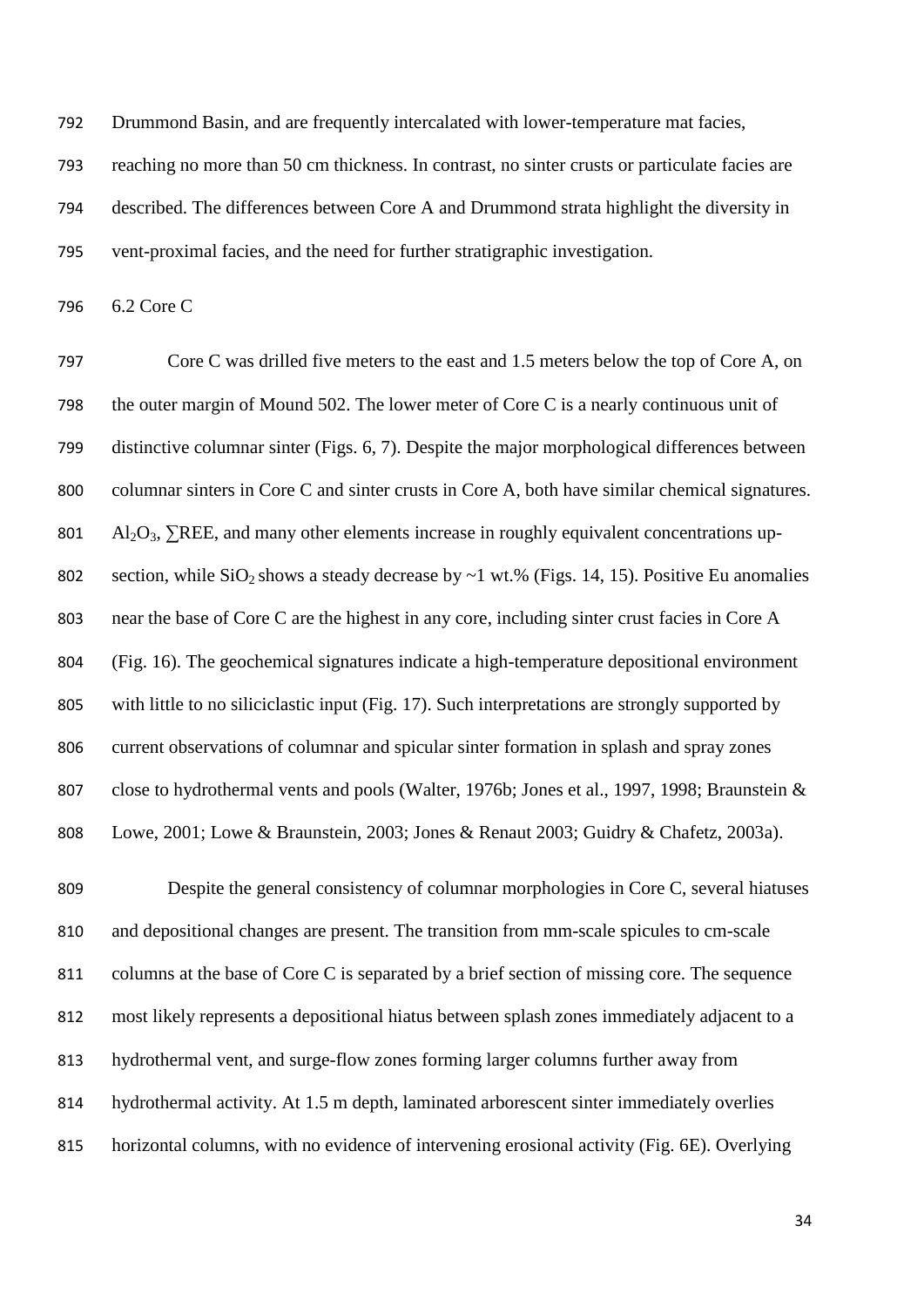Drummond Basin, and are frequently intercalated with lower-temperature mat facies,

 reaching no more than 50 cm thickness. In contrast, no sinter crusts or particulate facies are described. The differences between Core A and Drummond strata highlight the diversity in vent-proximal facies, and the need for further stratigraphic investigation.

6.2 Core C

 Core C was drilled five meters to the east and 1.5 meters below the top of Core A, on the outer margin of Mound 502. The lower meter of Core C is a nearly continuous unit of distinctive columnar sinter (Figs. 6, 7). Despite the major morphological differences between columnar sinters in Core C and sinter crusts in Core A, both have similar chemical signatures.  $\text{Al}_2\text{O}_3$ ,  $\Sigma$ REE, and many other elements increase in roughly equivalent concentrations up-802 section, while  $SiO_2$  shows a steady decrease by  $\sim$  1 wt.% (Figs. 14, 15). Positive Eu anomalies near the base of Core C are the highest in any core, including sinter crust facies in Core A (Fig. 16). The geochemical signatures indicate a high-temperature depositional environment with little to no siliciclastic input (Fig. 17). Such interpretations are strongly supported by current observations of columnar and spicular sinter formation in splash and spray zones close to hydrothermal vents and pools (Walter, 1976b; Jones et al., 1997, 1998; Braunstein & Lowe, 2001; Lowe & Braunstein, 2003; Jones & Renaut 2003; Guidry & Chafetz, 2003a).

 Despite the general consistency of columnar morphologies in Core C, several hiatuses and depositional changes are present. The transition from mm-scale spicules to cm-scale 811 columns at the base of Core C is separated by a brief section of missing core. The sequence most likely represents a depositional hiatus between splash zones immediately adjacent to a hydrothermal vent, and surge-flow zones forming larger columns further away from hydrothermal activity. At 1.5 m depth, laminated arborescent sinter immediately overlies horizontal columns, with no evidence of intervening erosional activity (Fig. 6E). Overlying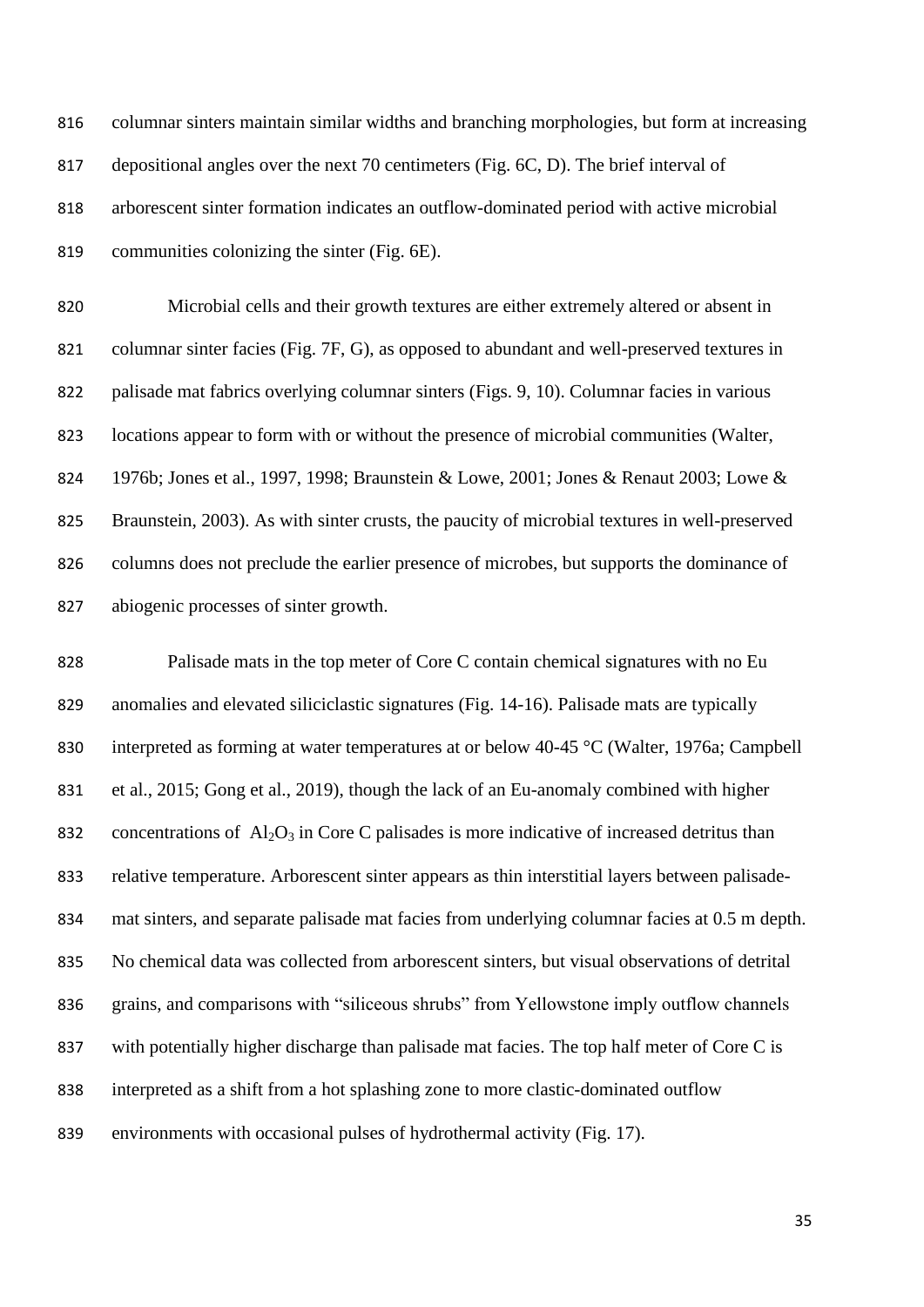| 816 | columnar sinters maintain similar widths and branching morphologies, but form at increasing |
|-----|---------------------------------------------------------------------------------------------|
| 817 | depositional angles over the next 70 centimeters (Fig. 6C, D). The brief interval of        |
| 818 | arborescent sinter formation indicates an outflow-dominated period with active microbial    |
| 819 | communities colonizing the sinter (Fig. 6E).                                                |

 Microbial cells and their growth textures are either extremely altered or absent in columnar sinter facies (Fig. 7F, G), as opposed to abundant and well-preserved textures in palisade mat fabrics overlying columnar sinters (Figs. 9, 10). Columnar facies in various locations appear to form with or without the presence of microbial communities (Walter, 1976b; Jones et al., 1997, 1998; Braunstein & Lowe, 2001; Jones & Renaut 2003; Lowe & Braunstein, 2003). As with sinter crusts, the paucity of microbial textures in well-preserved columns does not preclude the earlier presence of microbes, but supports the dominance of abiogenic processes of sinter growth.

 Palisade mats in the top meter of Core C contain chemical signatures with no Eu anomalies and elevated siliciclastic signatures (Fig. 14-16). Palisade mats are typically 830 interpreted as forming at water temperatures at or below 40-45 °C (Walter, 1976a; Campbell et al., 2015; Gong et al., 2019), though the lack of an Eu-anomaly combined with higher 832 concentrations of  $\text{Al}_2\text{O}_3$  in Core C palisades is more indicative of increased detritus than relative temperature. Arborescent sinter appears as thin interstitial layers between palisade- mat sinters, and separate palisade mat facies from underlying columnar facies at 0.5 m depth. No chemical data was collected from arborescent sinters, but visual observations of detrital grains, and comparisons with "siliceous shrubs" from Yellowstone imply outflow channels 837 with potentially higher discharge than palisade mat facies. The top half meter of Core C is interpreted as a shift from a hot splashing zone to more clastic-dominated outflow environments with occasional pulses of hydrothermal activity (Fig. 17).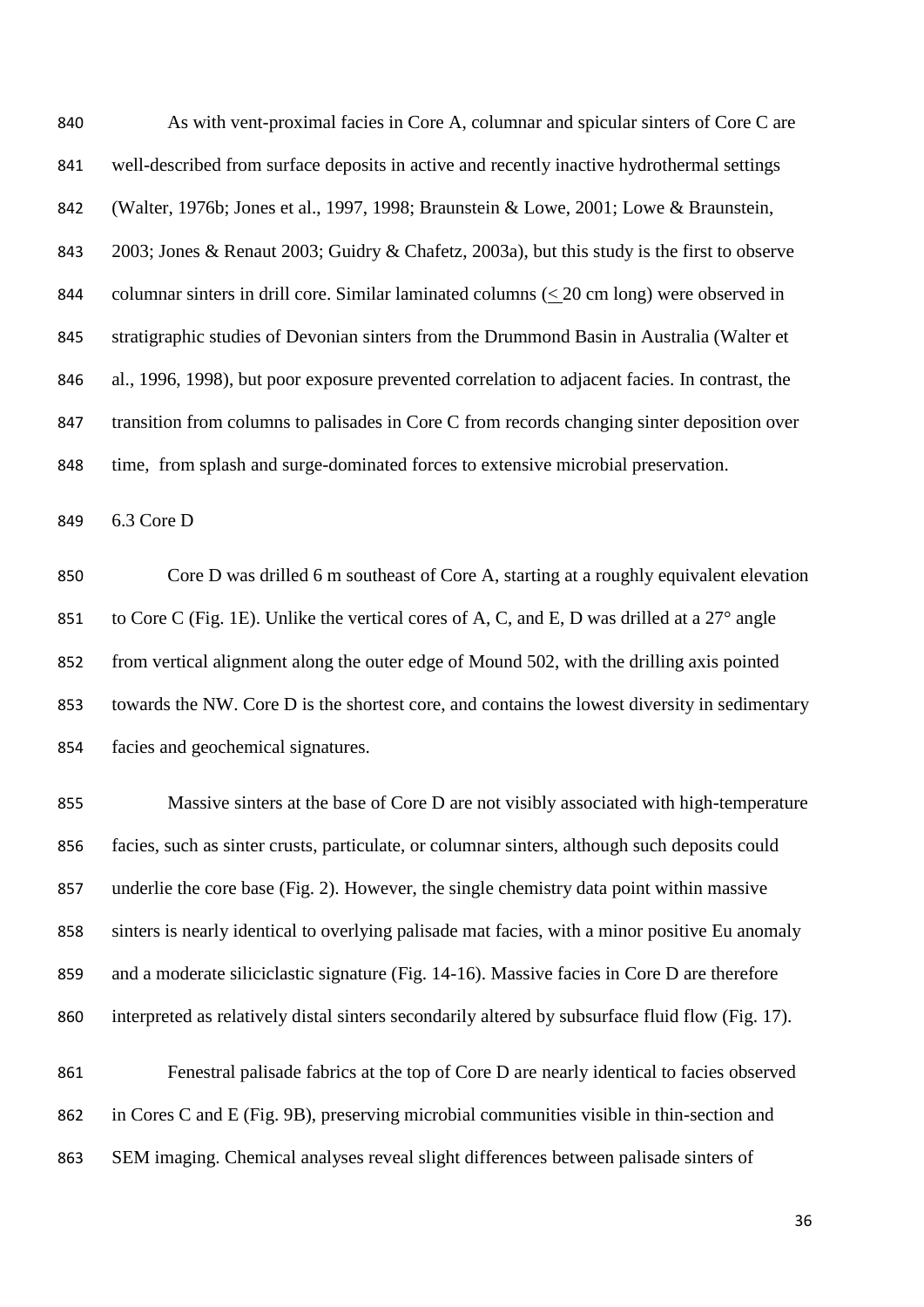As with vent-proximal facies in Core A, columnar and spicular sinters of Core C are well-described from surface deposits in active and recently inactive hydrothermal settings (Walter, 1976b; Jones et al., 1997, 1998; Braunstein & Lowe, 2001; Lowe & Braunstein, 2003; Jones & Renaut 2003; Guidry & Chafetz, 2003a), but this study is the first to observe 844 columnar sinters in drill core. Similar laminated columns  $(\leq 20 \text{ cm long})$  were observed in stratigraphic studies of Devonian sinters from the Drummond Basin in Australia (Walter et al., 1996, 1998), but poor exposure prevented correlation to adjacent facies. In contrast, the 847 transition from columns to palisades in Core C from records changing sinter deposition over time, from splash and surge-dominated forces to extensive microbial preservation.

6.3 Core D

 Core D was drilled 6 m southeast of Core A, starting at a roughly equivalent elevation 851 to Core C (Fig. 1E). Unlike the vertical cores of A, C, and E, D was drilled at a 27<sup>°</sup> angle from vertical alignment along the outer edge of Mound 502, with the drilling axis pointed towards the NW. Core D is the shortest core, and contains the lowest diversity in sedimentary facies and geochemical signatures.

 Massive sinters at the base of Core D are not visibly associated with high-temperature facies, such as sinter crusts, particulate, or columnar sinters, although such deposits could underlie the core base (Fig. 2). However, the single chemistry data point within massive sinters is nearly identical to overlying palisade mat facies, with a minor positive Eu anomaly and a moderate siliciclastic signature (Fig. 14-16). Massive facies in Core D are therefore interpreted as relatively distal sinters secondarily altered by subsurface fluid flow (Fig. 17). Fenestral palisade fabrics at the top of Core D are nearly identical to facies observed

in Cores C and E (Fig. 9B), preserving microbial communities visible in thin-section and

SEM imaging. Chemical analyses reveal slight differences between palisade sinters of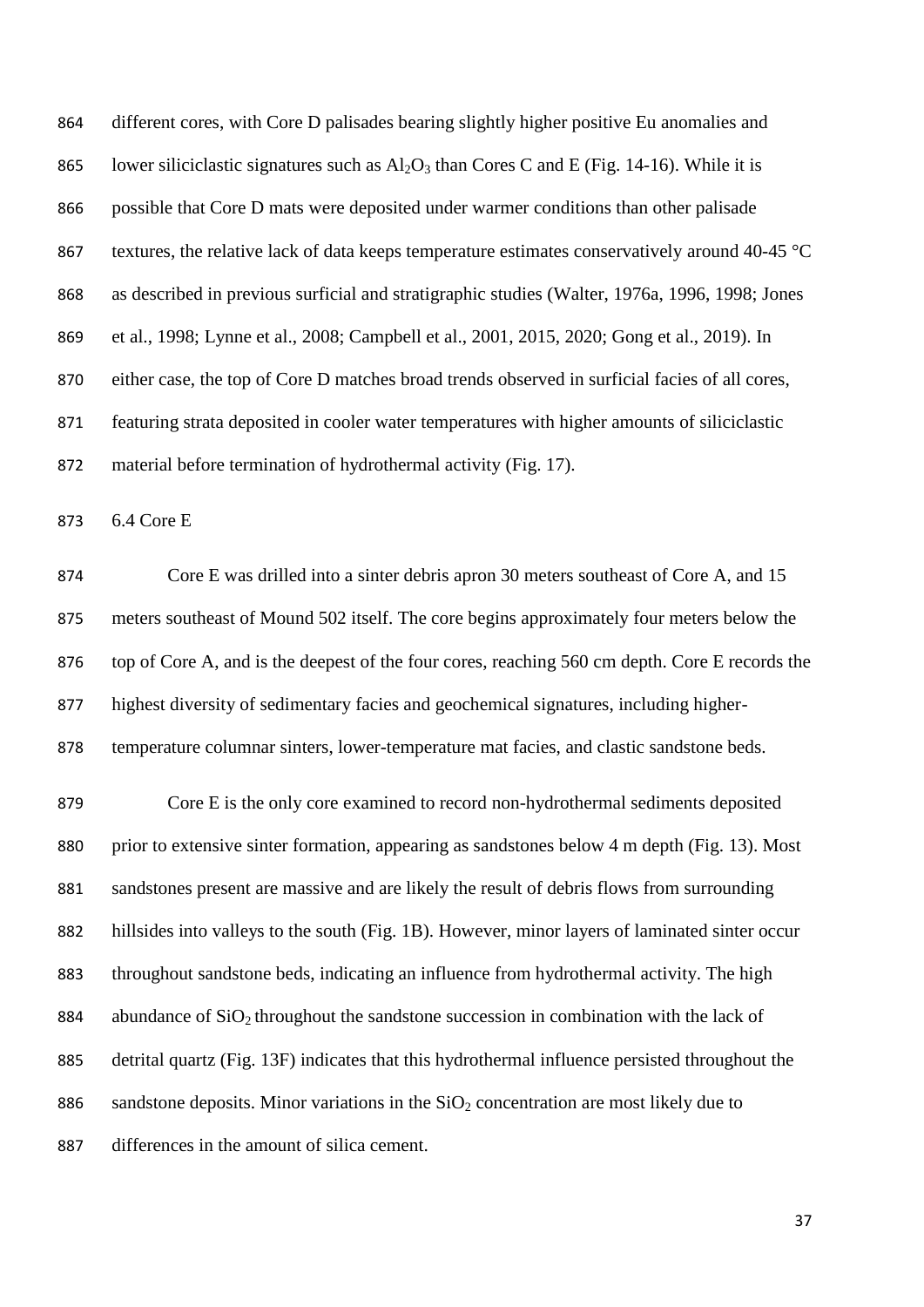different cores, with Core D palisades bearing slightly higher positive Eu anomalies and 865 lower siliciclastic signatures such as  $A<sub>1</sub>O<sub>3</sub>$  than Cores C and E (Fig. 14-16). While it is possible that Core D mats were deposited under warmer conditions than other palisade 867 textures, the relative lack of data keeps temperature estimates conservatively around 40-45  $\degree$ C as described in previous surficial and stratigraphic studies (Walter, 1976a, 1996, 1998; Jones et al., 1998; Lynne et al., 2008; Campbell et al., 2001, 2015, 2020; Gong et al., 2019). In either case, the top of Core D matches broad trends observed in surficial facies of all cores, featuring strata deposited in cooler water temperatures with higher amounts of siliciclastic material before termination of hydrothermal activity (Fig. 17).

6.4 Core E

 Core E was drilled into a sinter debris apron 30 meters southeast of Core A, and 15 meters southeast of Mound 502 itself. The core begins approximately four meters below the top of Core A, and is the deepest of the four cores, reaching 560 cm depth. Core E records the highest diversity of sedimentary facies and geochemical signatures, including higher-temperature columnar sinters, lower-temperature mat facies, and clastic sandstone beds.

 Core E is the only core examined to record non-hydrothermal sediments deposited 880 prior to extensive sinter formation, appearing as sandstones below 4 m depth (Fig. 13). Most sandstones present are massive and are likely the result of debris flows from surrounding hillsides into valleys to the south (Fig. 1B). However, minor layers of laminated sinter occur throughout sandstone beds, indicating an influence from hydrothermal activity. The high 884 abundance of  $SiO<sub>2</sub>$  throughout the sandstone succession in combination with the lack of detrital quartz (Fig. 13F) indicates that this hydrothermal influence persisted throughout the 886 sandstone deposits. Minor variations in the  $SiO<sub>2</sub>$  concentration are most likely due to differences in the amount of silica cement.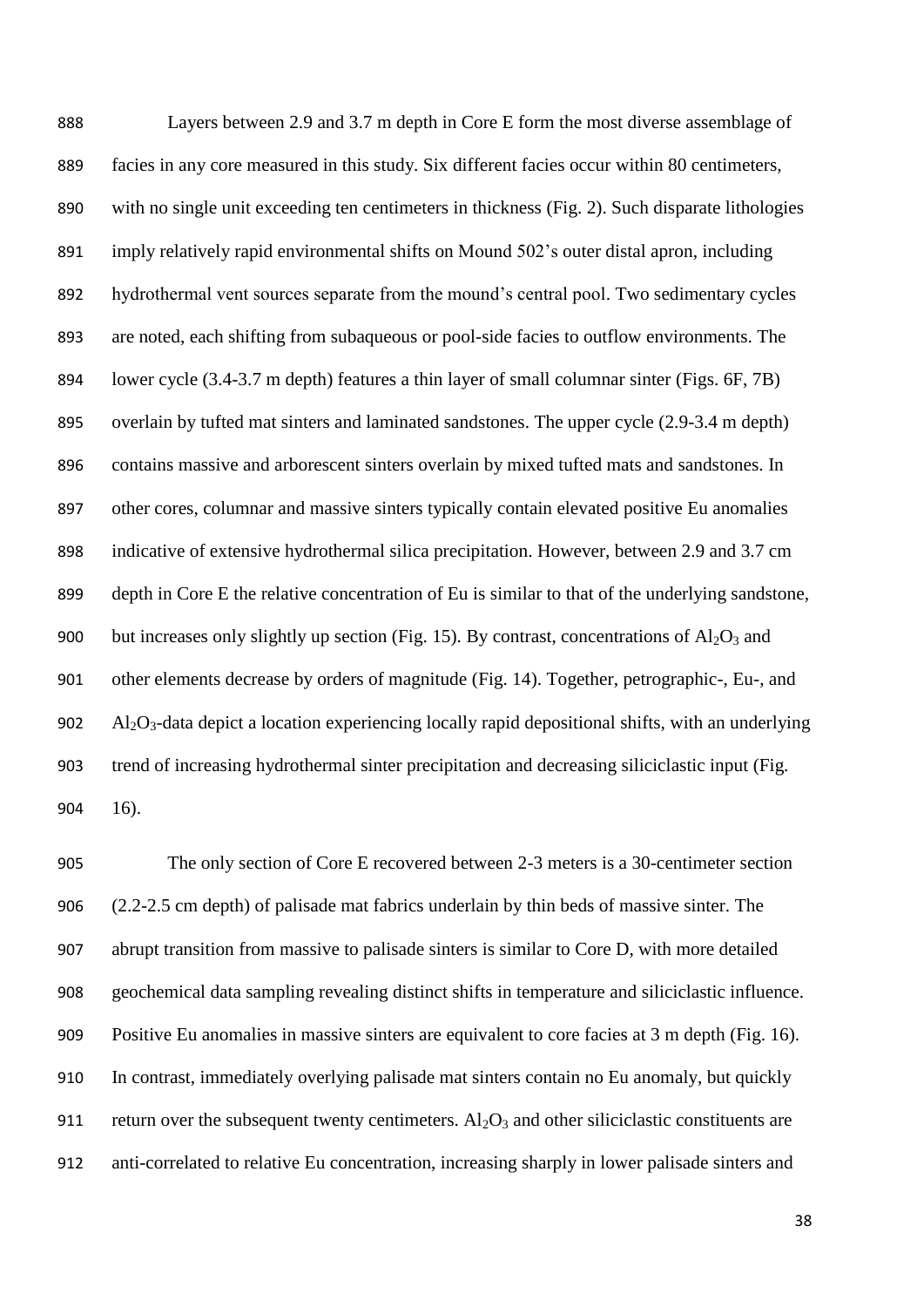Layers between 2.9 and 3.7 m depth in Core E form the most diverse assemblage of facies in any core measured in this study. Six different facies occur within 80 centimeters, with no single unit exceeding ten centimeters in thickness (Fig. 2). Such disparate lithologies imply relatively rapid environmental shifts on Mound 502's outer distal apron, including hydrothermal vent sources separate from the mound's central pool. Two sedimentary cycles are noted, each shifting from subaqueous or pool-side facies to outflow environments. The lower cycle (3.4-3.7 m depth) features a thin layer of small columnar sinter (Figs. 6F, 7B) overlain by tufted mat sinters and laminated sandstones. The upper cycle (2.9-3.4 m depth) contains massive and arborescent sinters overlain by mixed tufted mats and sandstones. In other cores, columnar and massive sinters typically contain elevated positive Eu anomalies indicative of extensive hydrothermal silica precipitation. However, between 2.9 and 3.7 cm depth in Core E the relative concentration of Eu is similar to that of the underlying sandstone, 900 but increases only slightly up section (Fig. 15). By contrast, concentrations of  $A<sub>12</sub>O<sub>3</sub>$  and other elements decrease by orders of magnitude (Fig. 14). Together, petrographic-, Eu-, and 902 Al<sub>2</sub>O<sub>3</sub>-data depict a location experiencing locally rapid depositional shifts, with an underlying trend of increasing hydrothermal sinter precipitation and decreasing siliciclastic input (Fig. 16).

 The only section of Core E recovered between 2-3 meters is a 30-centimeter section (2.2-2.5 cm depth) of palisade mat fabrics underlain by thin beds of massive sinter. The abrupt transition from massive to palisade sinters is similar to Core D, with more detailed geochemical data sampling revealing distinct shifts in temperature and siliciclastic influence. Positive Eu anomalies in massive sinters are equivalent to core facies at 3 m depth (Fig. 16). In contrast, immediately overlying palisade mat sinters contain no Eu anomaly, but quickly 911 return over the subsequent twenty centimeters.  $Al_2O_3$  and other siliciclastic constituents are anti-correlated to relative Eu concentration, increasing sharply in lower palisade sinters and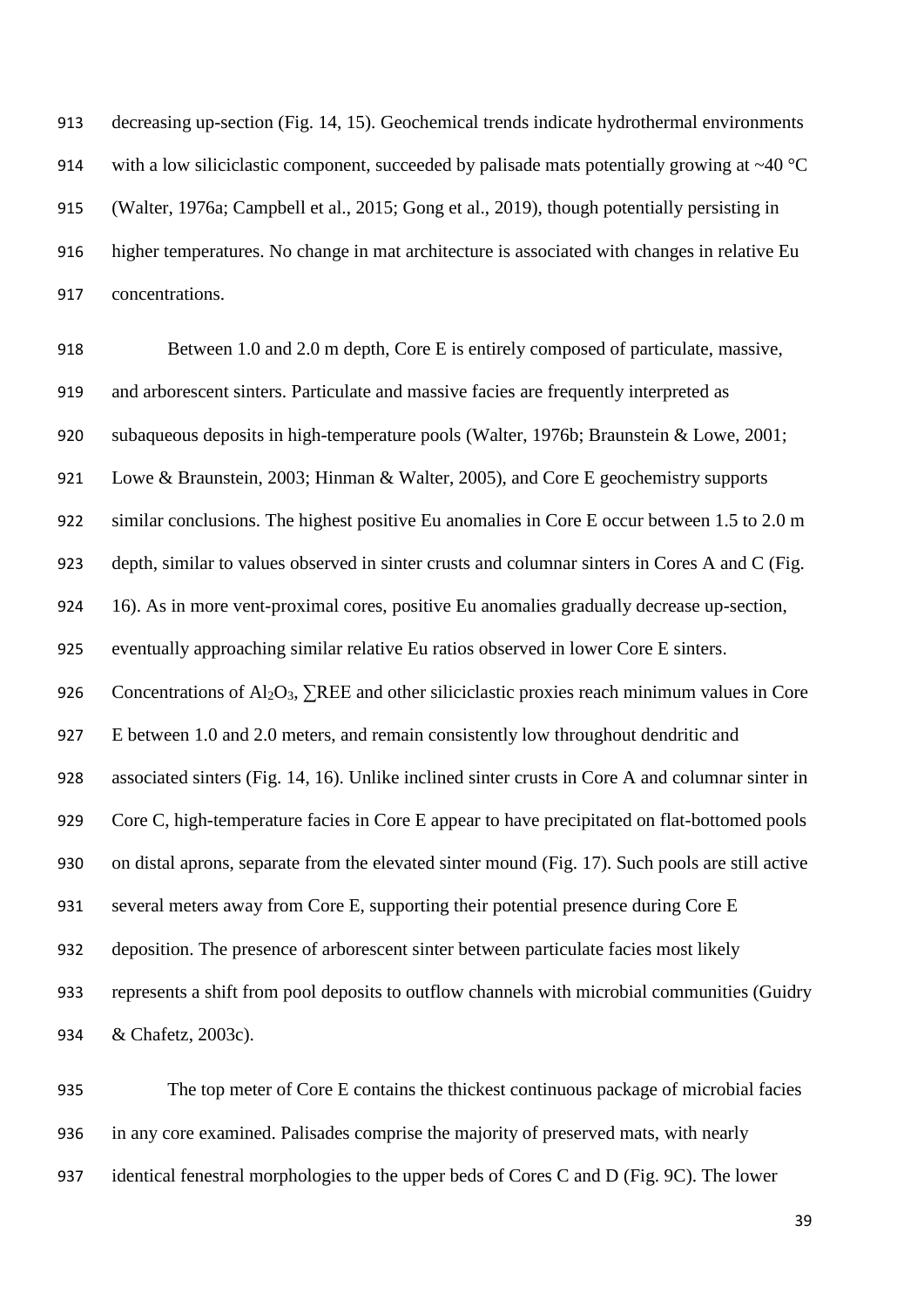decreasing up-section (Fig. 14, 15). Geochemical trends indicate hydrothermal environments 914 with a low siliciclastic component, succeeded by palisade mats potentially growing at  $\sim$ 40 °C (Walter, 1976a; Campbell et al., 2015; Gong et al., 2019), though potentially persisting in higher temperatures. No change in mat architecture is associated with changes in relative Eu concentrations.

 Between 1.0 and 2.0 m depth, Core E is entirely composed of particulate, massive, and arborescent sinters. Particulate and massive facies are frequently interpreted as subaqueous deposits in high-temperature pools (Walter, 1976b; Braunstein & Lowe, 2001; Lowe & Braunstein, 2003; Hinman & Walter, 2005), and Core E geochemistry supports similar conclusions. The highest positive Eu anomalies in Core E occur between 1.5 to 2.0 m depth, similar to values observed in sinter crusts and columnar sinters in Cores A and C (Fig. 16). As in more vent-proximal cores, positive Eu anomalies gradually decrease up-section, eventually approaching similar relative Eu ratios observed in lower Core E sinters. 926 Concentrations of Al<sub>2</sub>O<sub>3</sub>, ∑REE and other siliciclastic proxies reach minimum values in Core E between 1.0 and 2.0 meters, and remain consistently low throughout dendritic and associated sinters (Fig. 14, 16). Unlike inclined sinter crusts in Core A and columnar sinter in 929 Core C, high-temperature facies in Core E appear to have precipitated on flat-bottomed pools on distal aprons, separate from the elevated sinter mound (Fig. 17). Such pools are still active several meters away from Core E, supporting their potential presence during Core E deposition. The presence of arborescent sinter between particulate facies most likely represents a shift from pool deposits to outflow channels with microbial communities (Guidry & Chafetz, 2003c).

 The top meter of Core E contains the thickest continuous package of microbial facies in any core examined. Palisades comprise the majority of preserved mats, with nearly identical fenestral morphologies to the upper beds of Cores C and D (Fig. 9C). The lower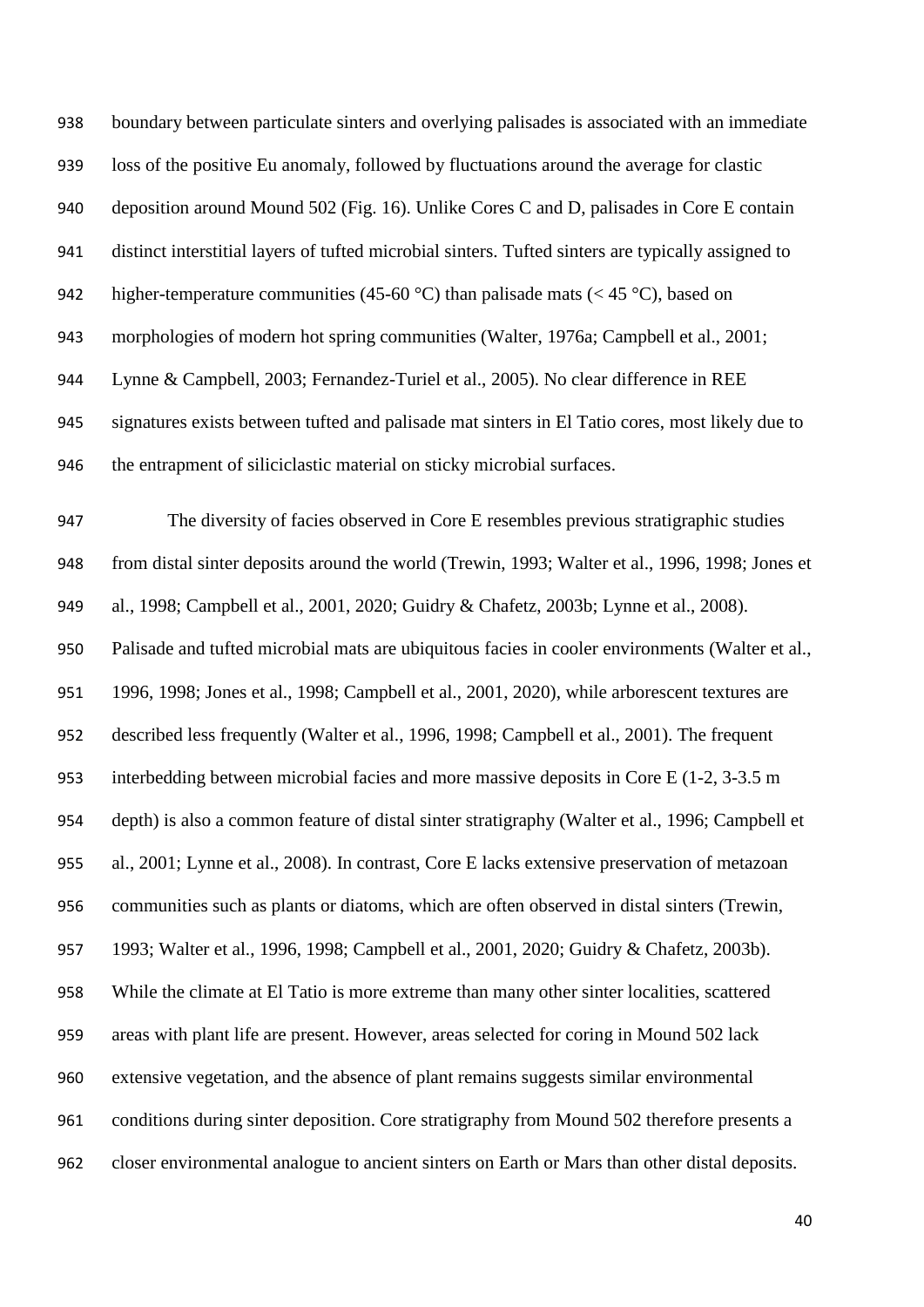boundary between particulate sinters and overlying palisades is associated with an immediate loss of the positive Eu anomaly, followed by fluctuations around the average for clastic deposition around Mound 502 (Fig. 16). Unlike Cores C and D, palisades in Core E contain distinct interstitial layers of tufted microbial sinters. Tufted sinters are typically assigned to 942 higher-temperature communities (45-60 °C) than palisade mats ( $\lt$  45 °C), based on morphologies of modern hot spring communities (Walter, 1976a; Campbell et al., 2001; Lynne & Campbell, 2003; Fernandez-Turiel et al., 2005). No clear difference in REE signatures exists between tufted and palisade mat sinters in El Tatio cores, most likely due to the entrapment of siliciclastic material on sticky microbial surfaces. The diversity of facies observed in Core E resembles previous stratigraphic studies from distal sinter deposits around the world (Trewin, 1993; Walter et al., 1996, 1998; Jones et al., 1998; Campbell et al., 2001, 2020; Guidry & Chafetz, 2003b; Lynne et al., 2008). Palisade and tufted microbial mats are ubiquitous facies in cooler environments (Walter et al., 1996, 1998; Jones et al., 1998; Campbell et al., 2001, 2020), while arborescent textures are described less frequently (Walter et al., 1996, 1998; Campbell et al., 2001). The frequent interbedding between microbial facies and more massive deposits in Core E (1-2, 3-3.5 m depth) is also a common feature of distal sinter stratigraphy (Walter et al., 1996; Campbell et al., 2001; Lynne et al., 2008). In contrast, Core E lacks extensive preservation of metazoan communities such as plants or diatoms, which are often observed in distal sinters (Trewin, 1993; Walter et al., 1996, 1998; Campbell et al., 2001, 2020; Guidry & Chafetz, 2003b). While the climate at El Tatio is more extreme than many other sinter localities, scattered areas with plant life are present. However, areas selected for coring in Mound 502 lack extensive vegetation, and the absence of plant remains suggests similar environmental conditions during sinter deposition. Core stratigraphy from Mound 502 therefore presents a closer environmental analogue to ancient sinters on Earth or Mars than other distal deposits.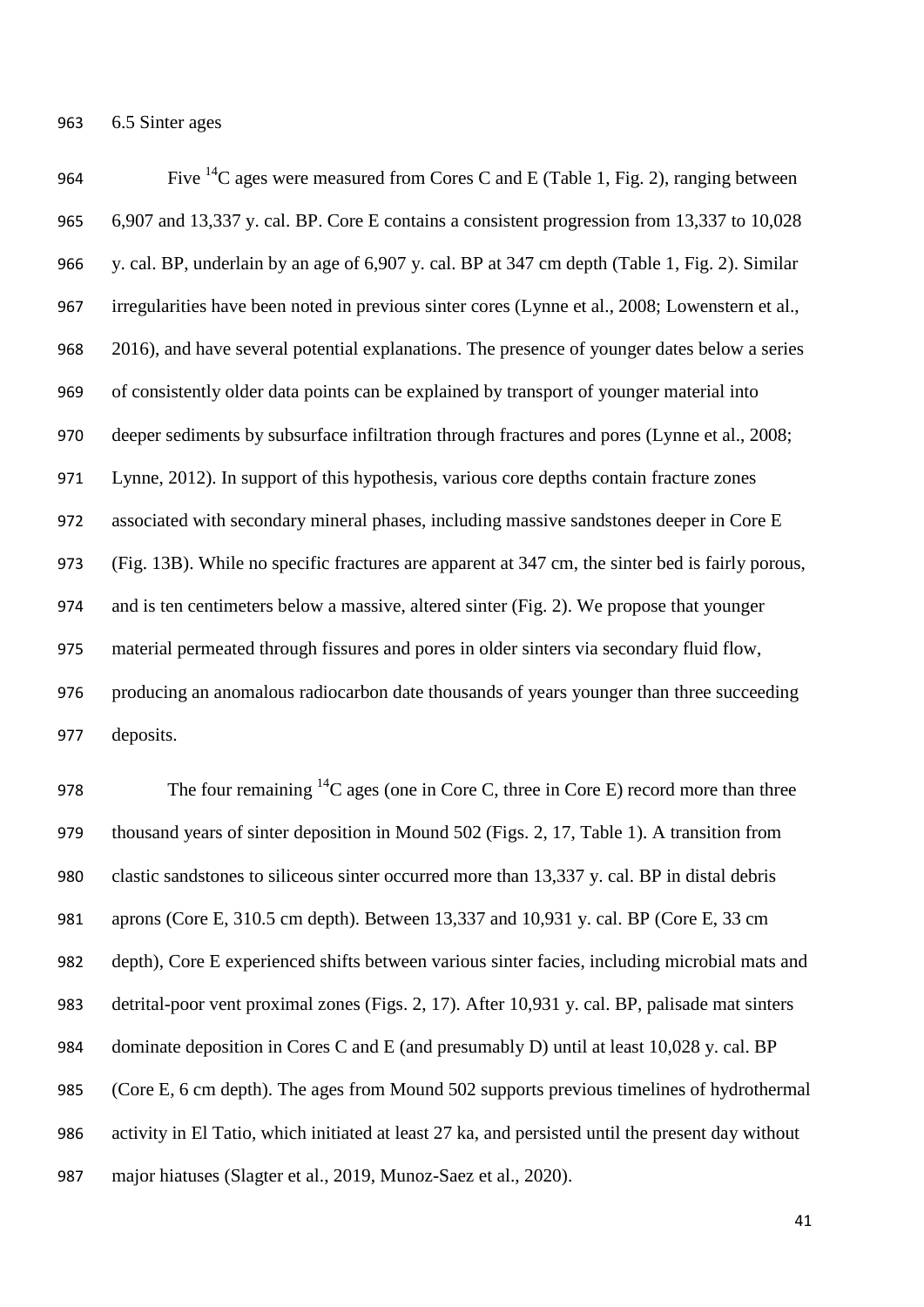6.5 Sinter ages

964 Five <sup>14</sup>C ages were measured from Cores C and E (Table 1, Fig. 2), ranging between 6,907 and 13,337 y. cal. BP. Core E contains a consistent progression from 13,337 to 10,028 y. cal. BP, underlain by an age of 6,907 y. cal. BP at 347 cm depth (Table 1, Fig. 2). Similar irregularities have been noted in previous sinter cores (Lynne et al., 2008; Lowenstern et al., 2016), and have several potential explanations. The presence of younger dates below a series of consistently older data points can be explained by transport of younger material into deeper sediments by subsurface infiltration through fractures and pores (Lynne et al., 2008; Lynne, 2012). In support of this hypothesis, various core depths contain fracture zones associated with secondary mineral phases, including massive sandstones deeper in Core E (Fig. 13B). While no specific fractures are apparent at 347 cm, the sinter bed is fairly porous, and is ten centimeters below a massive, altered sinter (Fig. 2). We propose that younger material permeated through fissures and pores in older sinters via secondary fluid flow, producing an anomalous radiocarbon date thousands of years younger than three succeeding deposits.

978 The four remaining  ${}^{14}C$  ages (one in Core C, three in Core E) record more than three thousand years of sinter deposition in Mound 502 (Figs. 2, 17, Table 1). A transition from clastic sandstones to siliceous sinter occurred more than 13,337 y. cal. BP in distal debris aprons (Core E, 310.5 cm depth). Between 13,337 and 10,931 y. cal. BP (Core E, 33 cm depth), Core E experienced shifts between various sinter facies, including microbial mats and detrital-poor vent proximal zones (Figs. 2, 17). After 10,931 y. cal. BP, palisade mat sinters dominate deposition in Cores C and E (and presumably D) until at least 10,028 y. cal. BP (Core E, 6 cm depth). The ages from Mound 502 supports previous timelines of hydrothermal activity in El Tatio, which initiated at least 27 ka, and persisted until the present day without major hiatuses (Slagter et al., 2019, Munoz-Saez et al., 2020).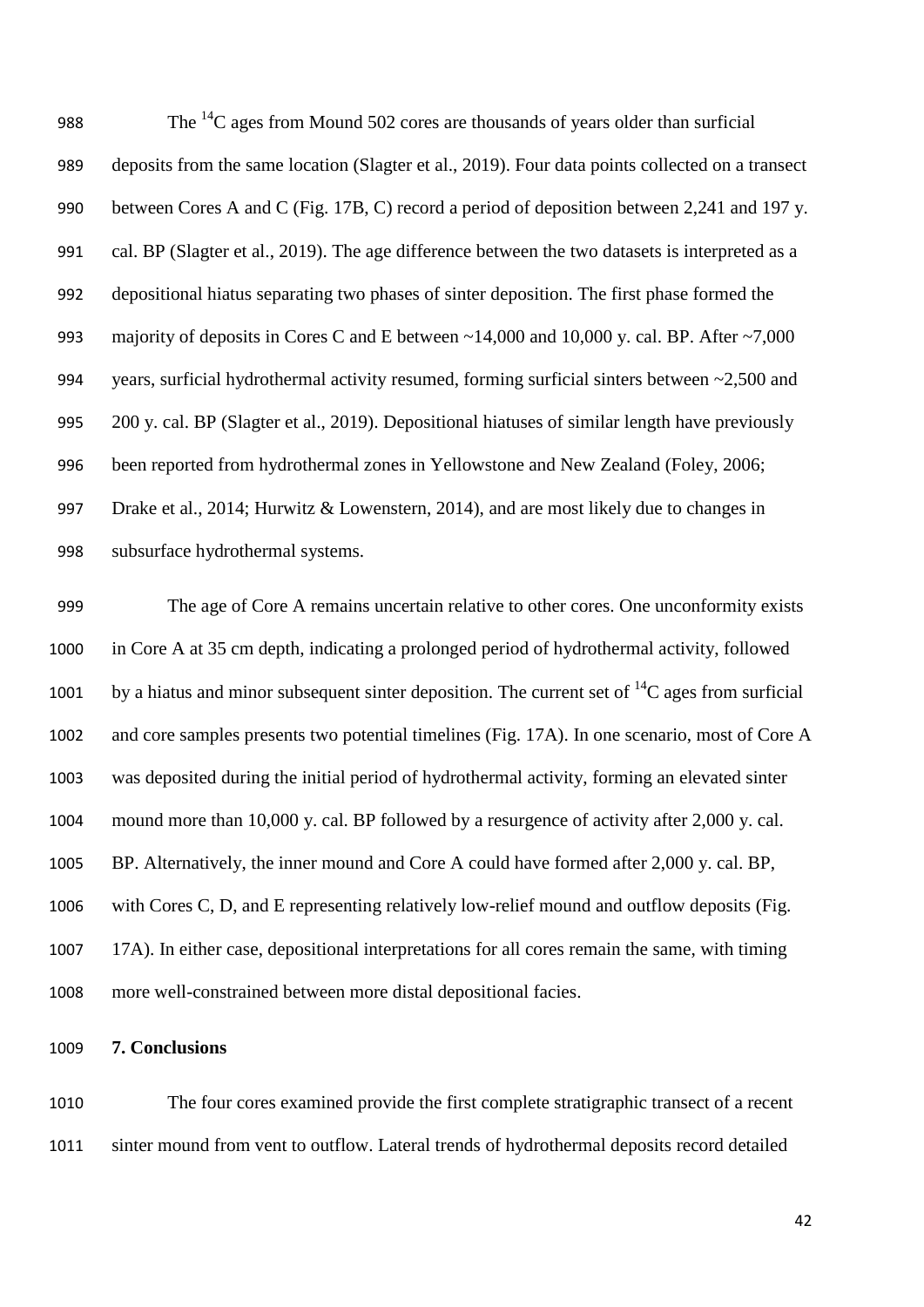988 The  $^{14}$ C ages from Mound 502 cores are thousands of years older than surficial deposits from the same location (Slagter et al., 2019). Four data points collected on a transect between Cores A and C (Fig. 17B, C) record a period of deposition between 2,241 and 197 y. cal. BP (Slagter et al., 2019). The age difference between the two datasets is interpreted as a depositional hiatus separating two phases of sinter deposition. The first phase formed the 993 majority of deposits in Cores C and E between ~14,000 and 10,000 y. cal. BP. After ~7,000 years, surficial hydrothermal activity resumed, forming surficial sinters between ~2,500 and 200 y. cal. BP (Slagter et al., 2019). Depositional hiatuses of similar length have previously been reported from hydrothermal zones in Yellowstone and New Zealand (Foley, 2006; Drake et al., 2014; Hurwitz & Lowenstern, 2014), and are most likely due to changes in subsurface hydrothermal systems.

 The age of Core A remains uncertain relative to other cores. One unconformity exists in Core A at 35 cm depth, indicating a prolonged period of hydrothermal activity, followed 1001 by a hiatus and minor subsequent sinter deposition. The current set of  ${}^{14}C$  ages from surficial and core samples presents two potential timelines (Fig. 17A). In one scenario, most of Core A was deposited during the initial period of hydrothermal activity, forming an elevated sinter mound more than 10,000 y. cal. BP followed by a resurgence of activity after 2,000 y. cal. BP. Alternatively, the inner mound and Core A could have formed after 2,000 y. cal. BP, with Cores C, D, and E representing relatively low-relief mound and outflow deposits (Fig. 17A). In either case, depositional interpretations for all cores remain the same, with timing more well-constrained between more distal depositional facies.

### **7. Conclusions**

 The four cores examined provide the first complete stratigraphic transect of a recent sinter mound from vent to outflow. Lateral trends of hydrothermal deposits record detailed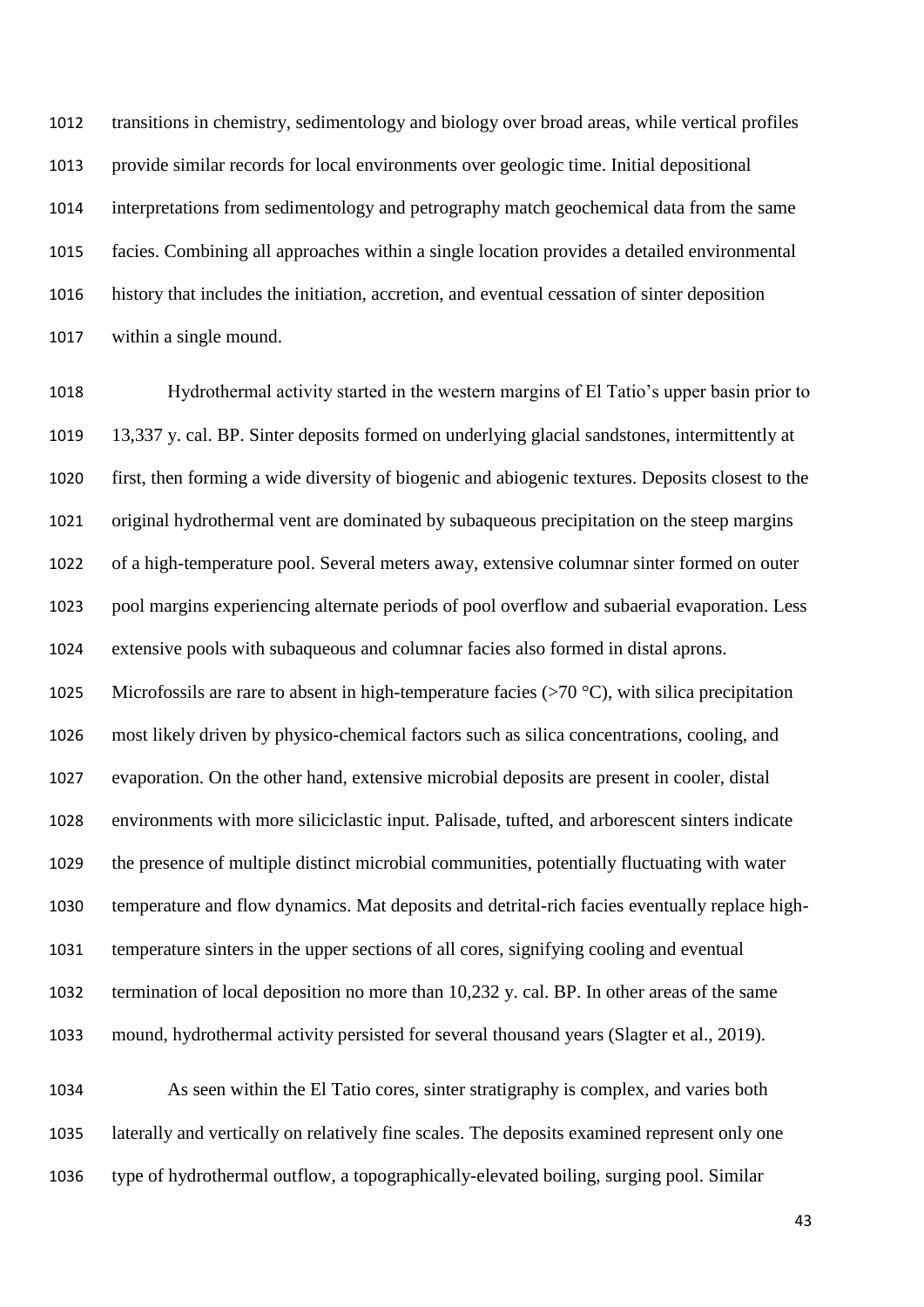transitions in chemistry, sedimentology and biology over broad areas, while vertical profiles provide similar records for local environments over geologic time. Initial depositional interpretations from sedimentology and petrography match geochemical data from the same facies. Combining all approaches within a single location provides a detailed environmental history that includes the initiation, accretion, and eventual cessation of sinter deposition within a single mound.

 Hydrothermal activity started in the western margins of El Tatio's upper basin prior to 13,337 y. cal. BP. Sinter deposits formed on underlying glacial sandstones, intermittently at first, then forming a wide diversity of biogenic and abiogenic textures. Deposits closest to the original hydrothermal vent are dominated by subaqueous precipitation on the steep margins of a high-temperature pool. Several meters away, extensive columnar sinter formed on outer pool margins experiencing alternate periods of pool overflow and subaerial evaporation. Less extensive pools with subaqueous and columnar facies also formed in distal aprons. 1025 Microfossils are rare to absent in high-temperature facies  $(>70 °C)$ , with silica precipitation most likely driven by physico-chemical factors such as silica concentrations, cooling, and evaporation. On the other hand, extensive microbial deposits are present in cooler, distal environments with more siliciclastic input. Palisade, tufted, and arborescent sinters indicate the presence of multiple distinct microbial communities, potentially fluctuating with water temperature and flow dynamics. Mat deposits and detrital-rich facies eventually replace high- temperature sinters in the upper sections of all cores, signifying cooling and eventual termination of local deposition no more than 10,232 y. cal. BP. In other areas of the same mound, hydrothermal activity persisted for several thousand years (Slagter et al., 2019).

 As seen within the El Tatio cores, sinter stratigraphy is complex, and varies both laterally and vertically on relatively fine scales. The deposits examined represent only one type of hydrothermal outflow, a topographically-elevated boiling, surging pool. Similar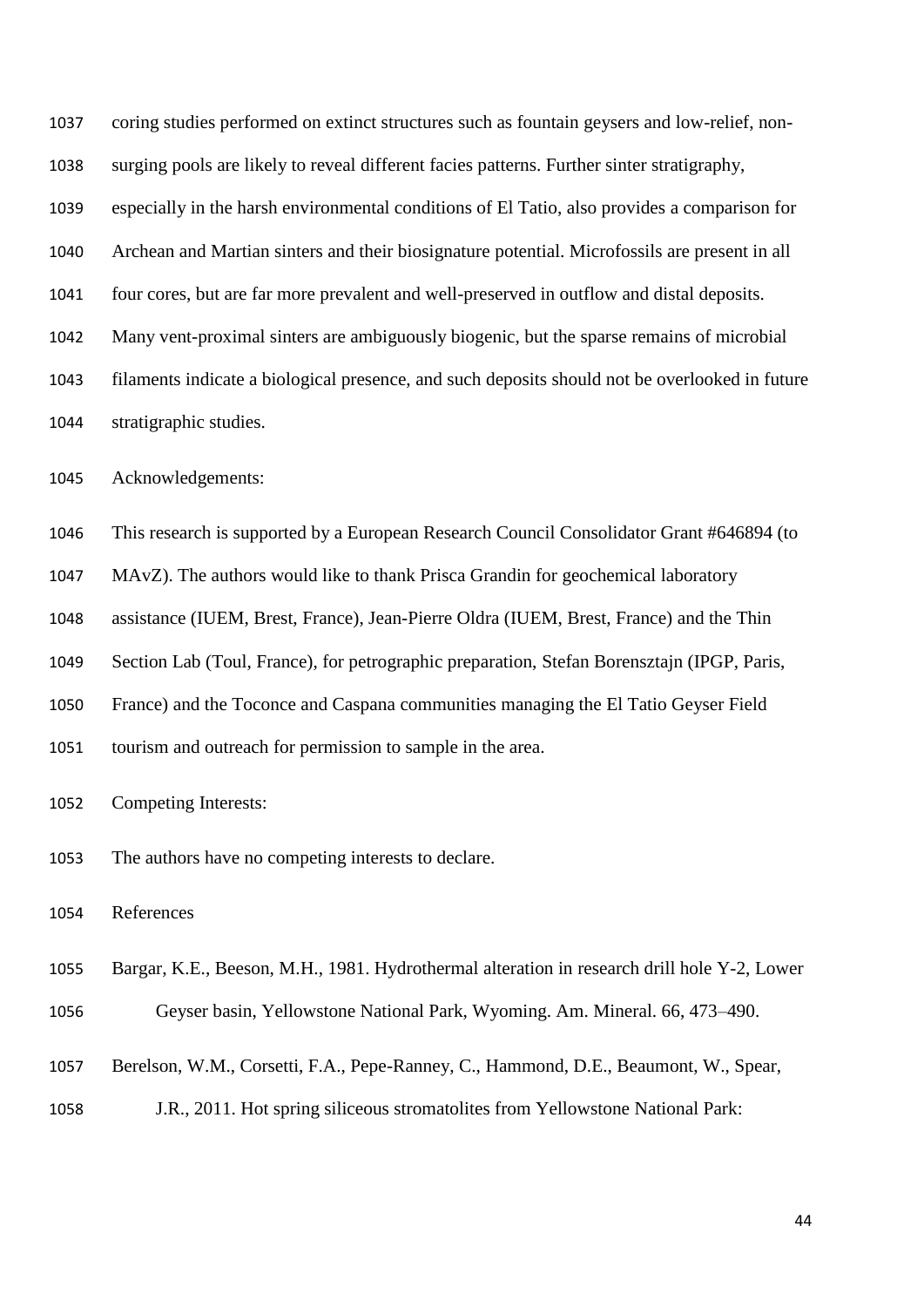coring studies performed on extinct structures such as fountain geysers and low-relief, non- surging pools are likely to reveal different facies patterns. Further sinter stratigraphy, especially in the harsh environmental conditions of El Tatio, also provides a comparison for Archean and Martian sinters and their biosignature potential. Microfossils are present in all four cores, but are far more prevalent and well-preserved in outflow and distal deposits. Many vent-proximal sinters are ambiguously biogenic, but the sparse remains of microbial filaments indicate a biological presence, and such deposits should not be overlooked in future stratigraphic studies.

Acknowledgements:

This research is supported by a European Research Council Consolidator Grant #646894 (to

MAvZ). The authors would like to thank Prisca Grandin for geochemical laboratory

assistance (IUEM, Brest, France), Jean-Pierre Oldra (IUEM, Brest, France) and the Thin

Section Lab (Toul, France), for petrographic preparation, Stefan Borensztajn (IPGP, Paris,

France) and the Toconce and Caspana communities managing the El Tatio Geyser Field

tourism and outreach for permission to sample in the area.

Competing Interests:

The authors have no competing interests to declare.

References

Bargar, K.E., Beeson, M.H., 1981. Hydrothermal alteration in research drill hole Y-2, Lower

Geyser basin, Yellowstone National Park, Wyoming. Am. Mineral. 66, 473–490.

Berelson, W.M., Corsetti, F.A., Pepe-Ranney, C., Hammond, D.E., Beaumont, W., Spear,

J.R., 2011. Hot spring siliceous stromatolites from Yellowstone National Park: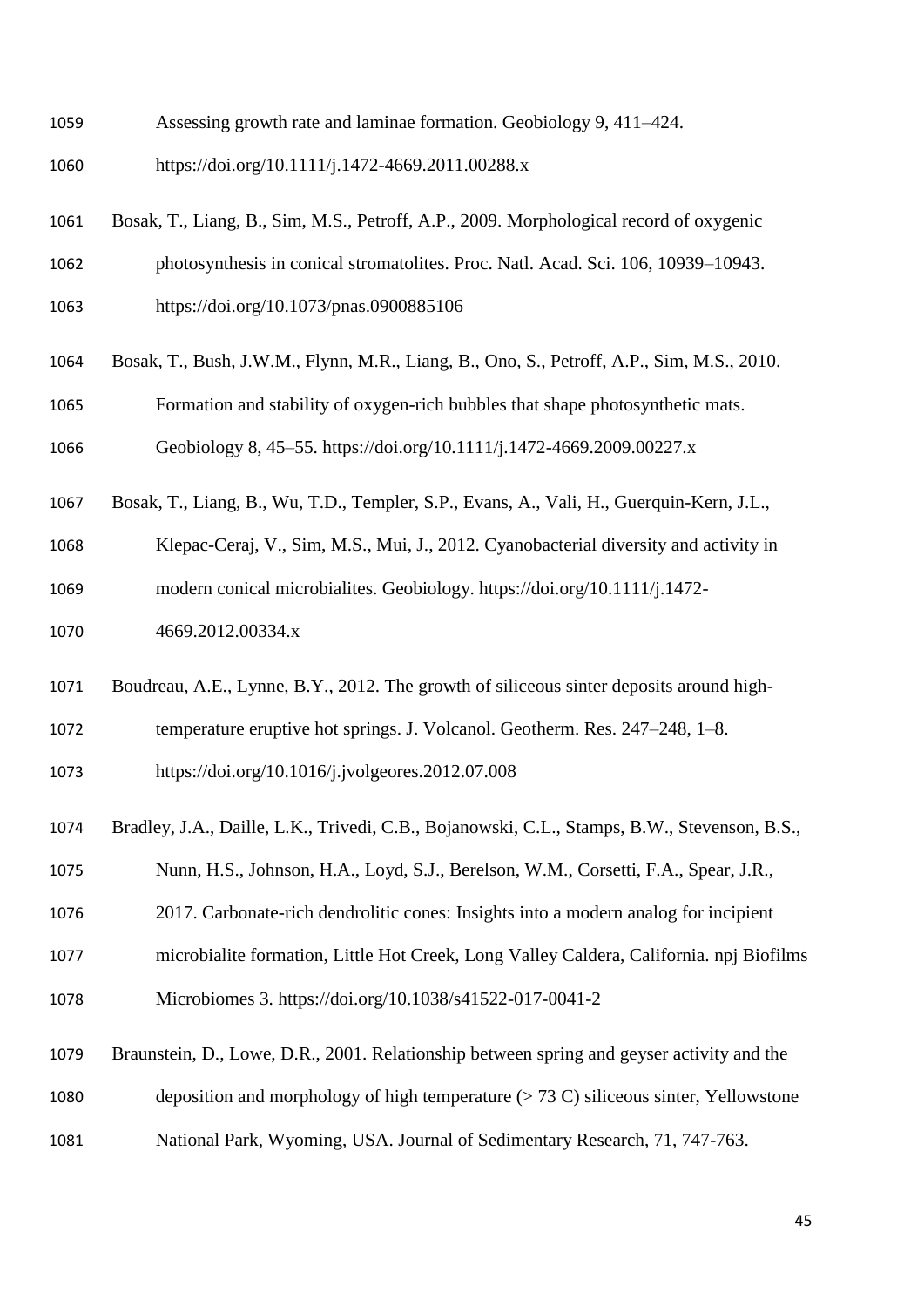- Assessing growth rate and laminae formation. Geobiology 9, 411–424.
- https://doi.org/10.1111/j.1472-4669.2011.00288.x
- Bosak, T., Liang, B., Sim, M.S., Petroff, A.P., 2009. Morphological record of oxygenic
- photosynthesis in conical stromatolites. Proc. Natl. Acad. Sci. 106, 10939–10943.
- https://doi.org/10.1073/pnas.0900885106
- Bosak, T., Bush, J.W.M., Flynn, M.R., Liang, B., Ono, S., Petroff, A.P., Sim, M.S., 2010.
- Formation and stability of oxygen-rich bubbles that shape photosynthetic mats.

Geobiology 8, 45–55. https://doi.org/10.1111/j.1472-4669.2009.00227.x

- Bosak, T., Liang, B., Wu, T.D., Templer, S.P., Evans, A., Vali, H., Guerquin-Kern, J.L.,
- Klepac-Ceraj, V., Sim, M.S., Mui, J., 2012. Cyanobacterial diversity and activity in modern conical microbialites. Geobiology. https://doi.org/10.1111/j.1472-
- 4669.2012.00334.x
- Boudreau, A.E., Lynne, B.Y., 2012. The growth of siliceous sinter deposits around high-
- temperature eruptive hot springs. J. Volcanol. Geotherm. Res. 247–248, 1–8.
- https://doi.org/10.1016/j.jvolgeores.2012.07.008
- Bradley, J.A., Daille, L.K., Trivedi, C.B., Bojanowski, C.L., Stamps, B.W., Stevenson, B.S.,
- Nunn, H.S., Johnson, H.A., Loyd, S.J., Berelson, W.M., Corsetti, F.A., Spear, J.R.,
- 2017. Carbonate-rich dendrolitic cones: Insights into a modern analog for incipient
- microbialite formation, Little Hot Creek, Long Valley Caldera, California. npj Biofilms
- Microbiomes 3. https://doi.org/10.1038/s41522-017-0041-2
- Braunstein, D., Lowe, D.R., 2001. Relationship between spring and geyser activity and the deposition and morphology of high temperature (> 73 C) siliceous sinter, Yellowstone
- 
- National Park, Wyoming, USA. Journal of Sedimentary Research, 71, 747-763.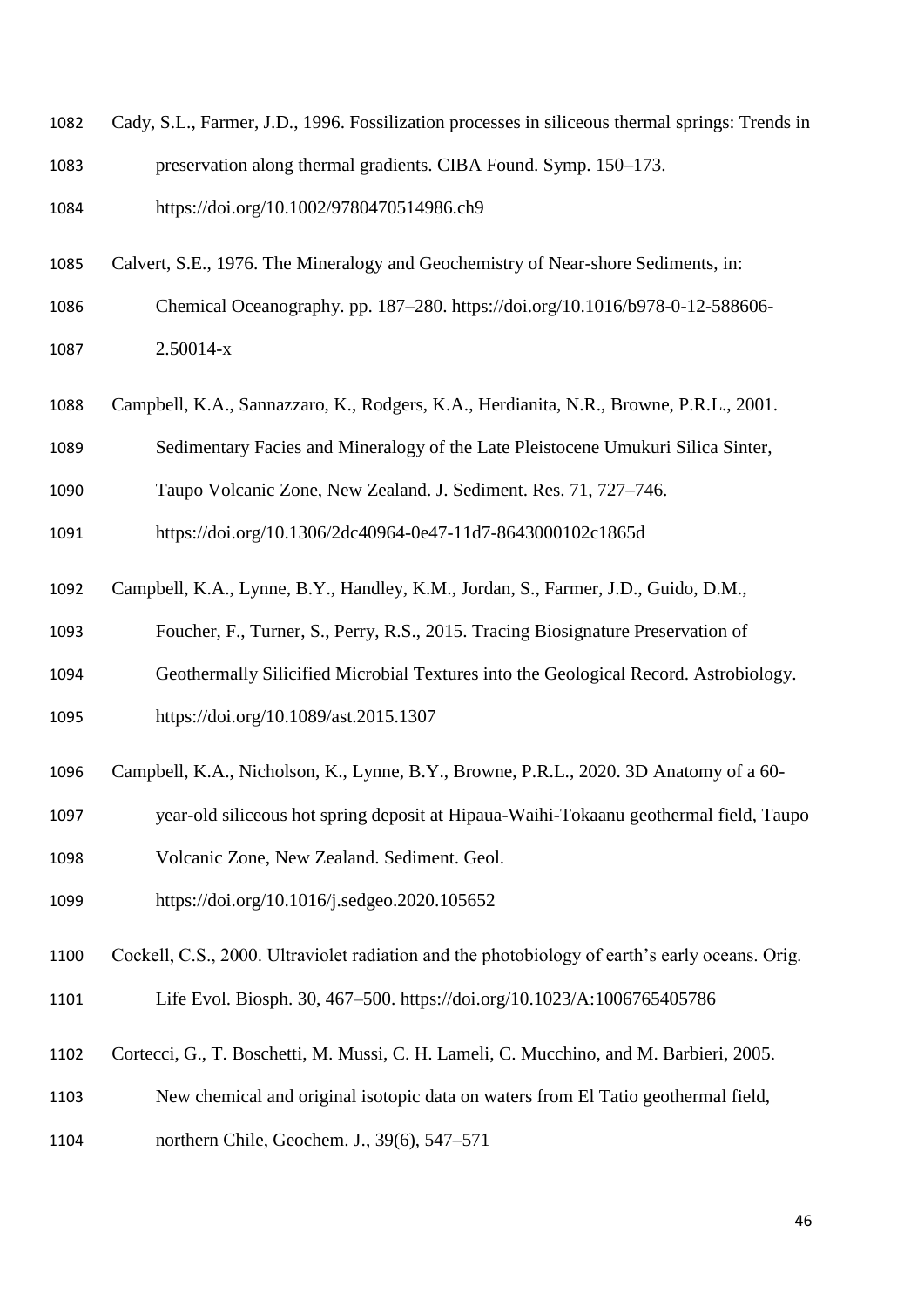- Cady, S.L., Farmer, J.D., 1996. Fossilization processes in siliceous thermal springs: Trends in preservation along thermal gradients. CIBA Found. Symp. 150–173.
- https://doi.org/10.1002/9780470514986.ch9
- Calvert, S.E., 1976. The Mineralogy and Geochemistry of Near-shore Sediments, in:
- Chemical Oceanography. pp. 187–280. https://doi.org/10.1016/b978-0-12-588606- 2.50014-x
- Campbell, K.A., Sannazzaro, K., Rodgers, K.A., Herdianita, N.R., Browne, P.R.L., 2001.
- Sedimentary Facies and Mineralogy of the Late Pleistocene Umukuri Silica Sinter,
- Taupo Volcanic Zone, New Zealand. J. Sediment. Res. 71, 727–746.

https://doi.org/10.1306/2dc40964-0e47-11d7-8643000102c1865d

- Campbell, K.A., Lynne, B.Y., Handley, K.M., Jordan, S., Farmer, J.D., Guido, D.M.,
- Foucher, F., Turner, S., Perry, R.S., 2015. Tracing Biosignature Preservation of
- Geothermally Silicified Microbial Textures into the Geological Record. Astrobiology.
- https://doi.org/10.1089/ast.2015.1307
- Campbell, K.A., Nicholson, K., Lynne, B.Y., Browne, P.R.L., 2020. 3D Anatomy of a 60-
- year-old siliceous hot spring deposit at Hipaua-Waihi-Tokaanu geothermal field, Taupo
- Volcanic Zone, New Zealand. Sediment. Geol.
- https://doi.org/10.1016/j.sedgeo.2020.105652
- Cockell, C.S., 2000. Ultraviolet radiation and the photobiology of earth's early oceans. Orig.
- Life Evol. Biosph. 30, 467–500. https://doi.org/10.1023/A:1006765405786
- Cortecci, G., T. Boschetti, M. Mussi, C. H. Lameli, C. Mucchino, and M. Barbieri, 2005.
- New chemical and original isotopic data on waters from El Tatio geothermal field,
- northern Chile, Geochem. J., 39(6), 547–571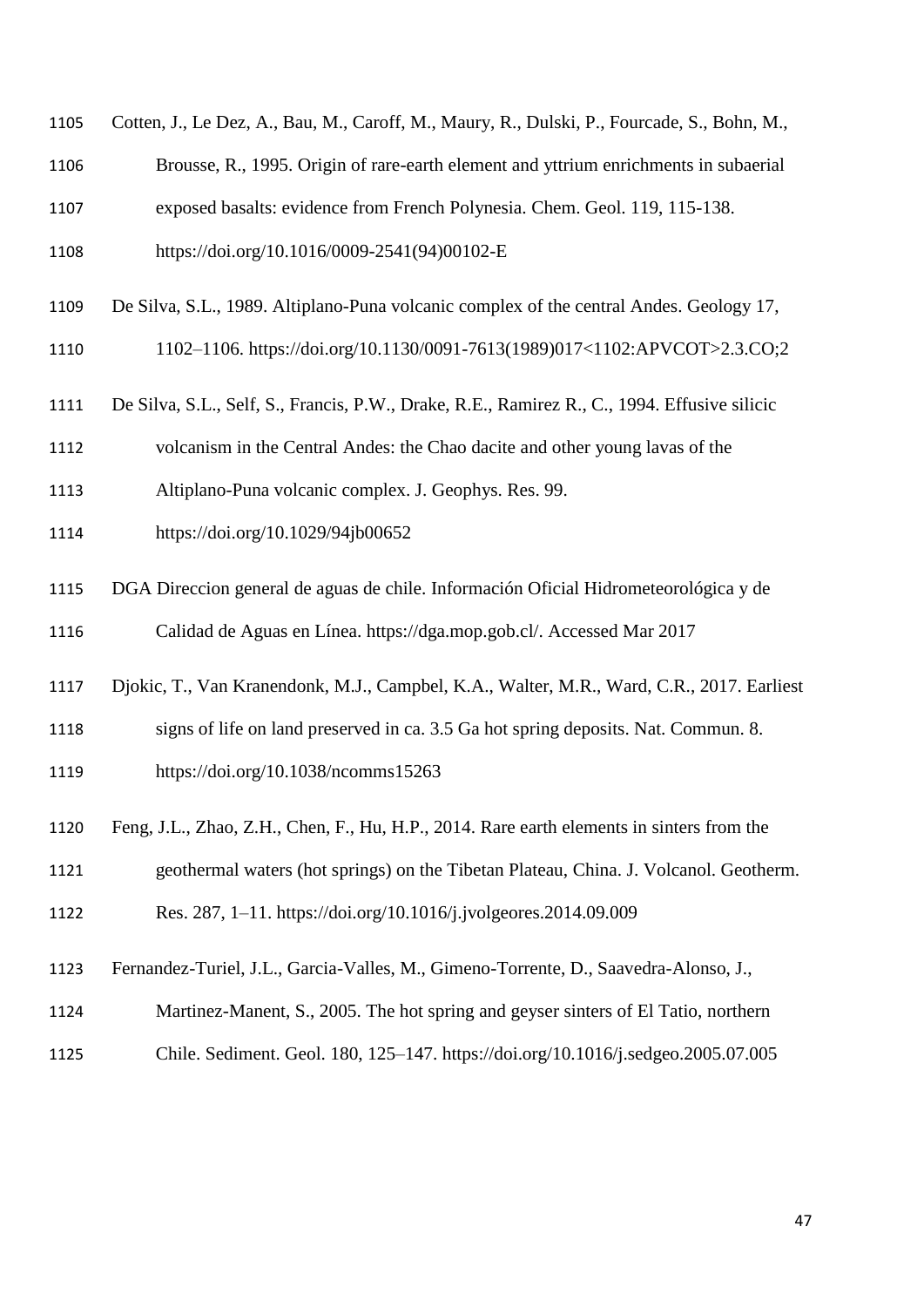| 1105 | Cotten, J., Le Dez, A., Bau, M., Caroff, M., Maury, R., Dulski, P., Fourcade, S., Bohn, M.,  |
|------|----------------------------------------------------------------------------------------------|
| 1106 | Brousse, R., 1995. Origin of rare-earth element and yttrium enrichments in subaerial         |
| 1107 | exposed basalts: evidence from French Polynesia. Chem. Geol. 119, 115-138.                   |
| 1108 | https://doi.org/10.1016/0009-2541(94)00102-E                                                 |
| 1109 | De Silva, S.L., 1989. Altiplano-Puna volcanic complex of the central Andes. Geology 17,      |
| 1110 | 1102-1106. https://doi.org/10.1130/0091-7613(1989)017<1102:APVCOT>2.3.CO;2                   |
| 1111 | De Silva, S.L., Self, S., Francis, P.W., Drake, R.E., Ramirez R., C., 1994. Effusive silicic |
| 1112 | volcanism in the Central Andes: the Chao dacite and other young lavas of the                 |
| 1113 | Altiplano-Puna volcanic complex. J. Geophys. Res. 99.                                        |
| 1114 | https://doi.org/10.1029/94jb00652                                                            |
| 1115 | DGA Direccion general de aguas de chile. Información Oficial Hidrometeorológica y de         |
| 1116 | Calidad de Aguas en Línea. https://dga.mop.gob.cl/. Accessed Mar 2017                        |
| 1117 | Djokic, T., Van Kranendonk, M.J., Campbel, K.A., Walter, M.R., Ward, C.R., 2017. Earliest    |
| 1118 | signs of life on land preserved in ca. 3.5 Ga hot spring deposits. Nat. Commun. 8.           |
| 1119 | https://doi.org/10.1038/ncomms15263                                                          |
| 1120 | Feng, J.L., Zhao, Z.H., Chen, F., Hu, H.P., 2014. Rare earth elements in sinters from the    |

geothermal waters (hot springs) on the Tibetan Plateau, China. J. Volcanol. Geotherm.

Res. 287, 1–11. https://doi.org/10.1016/j.jvolgeores.2014.09.009

- Fernandez-Turiel, J.L., Garcia-Valles, M., Gimeno-Torrente, D., Saavedra-Alonso, J.,
- Martinez-Manent, S., 2005. The hot spring and geyser sinters of El Tatio, northern
- Chile. Sediment. Geol. 180, 125–147. https://doi.org/10.1016/j.sedgeo.2005.07.005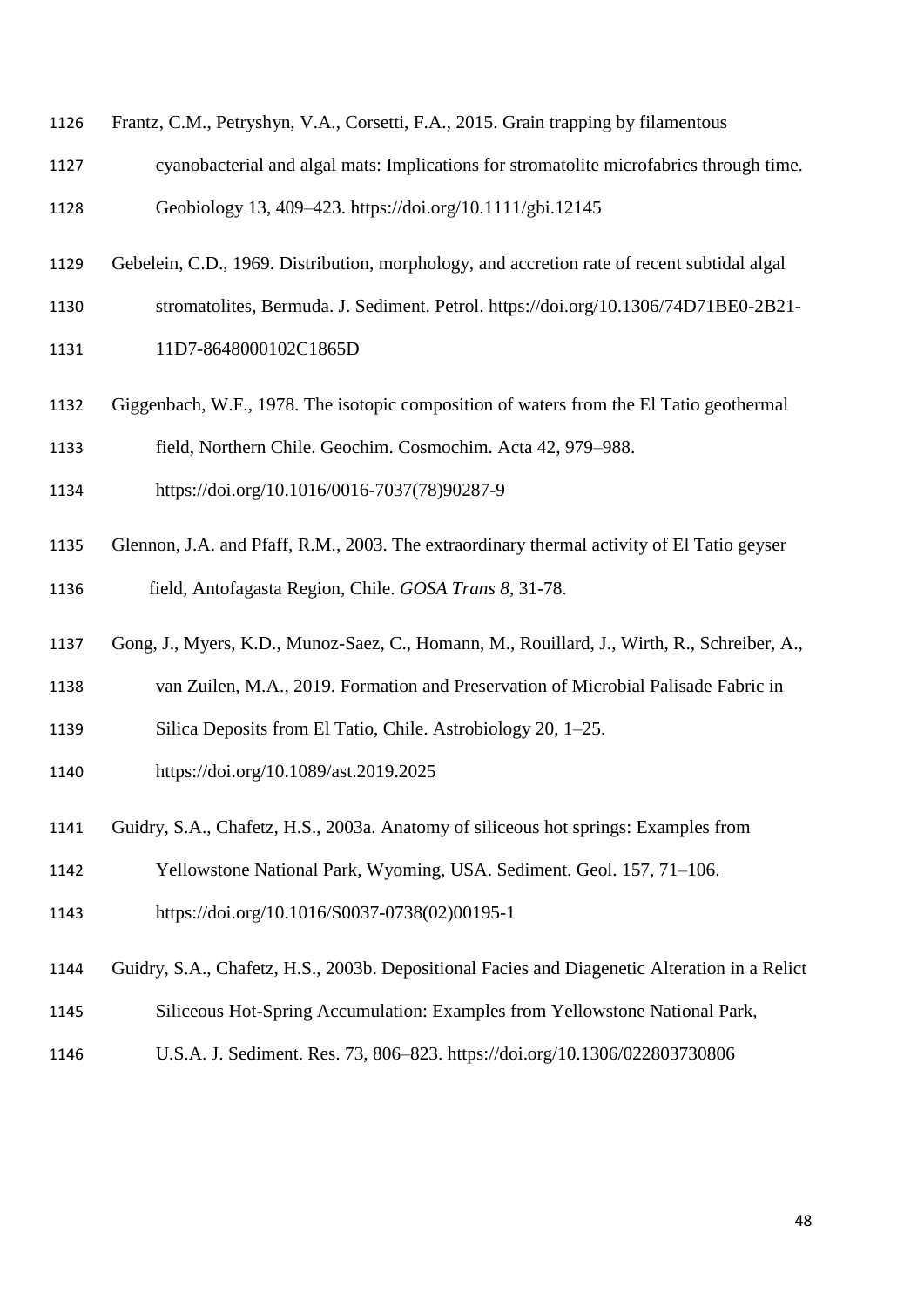- Frantz, C.M., Petryshyn, V.A., Corsetti, F.A., 2015. Grain trapping by filamentous
- cyanobacterial and algal mats: Implications for stromatolite microfabrics through time.
- Geobiology 13, 409–423. https://doi.org/10.1111/gbi.12145
- Gebelein, C.D., 1969. Distribution, morphology, and accretion rate of recent subtidal algal
- stromatolites, Bermuda. J. Sediment. Petrol. https://doi.org/10.1306/74D71BE0-2B21-
- 1131 11D7-8648000102C1865D
- Giggenbach, W.F., 1978. The isotopic composition of waters from the El Tatio geothermal
- field, Northern Chile. Geochim. Cosmochim. Acta 42, 979–988.
- https://doi.org/10.1016/0016-7037(78)90287-9
- Glennon, J.A. and Pfaff, R.M., 2003. The extraordinary thermal activity of El Tatio geyser
- field, Antofagasta Region, Chile. *GOSA Trans 8*, 31-78.
- Gong, J., Myers, K.D., Munoz-Saez, C., Homann, M., Rouillard, J., Wirth, R., Schreiber, A.,
- van Zuilen, M.A., 2019. Formation and Preservation of Microbial Palisade Fabric in
- Silica Deposits from El Tatio, Chile. Astrobiology 20, 1–25.
- https://doi.org/10.1089/ast.2019.2025
- Guidry, S.A., Chafetz, H.S., 2003a. Anatomy of siliceous hot springs: Examples from
- Yellowstone National Park, Wyoming, USA. Sediment. Geol. 157, 71–106.
- https://doi.org/10.1016/S0037-0738(02)00195-1
- Guidry, S.A., Chafetz, H.S., 2003b. Depositional Facies and Diagenetic Alteration in a Relict
- Siliceous Hot-Spring Accumulation: Examples from Yellowstone National Park,
- U.S.A. J. Sediment. Res. 73, 806–823. https://doi.org/10.1306/022803730806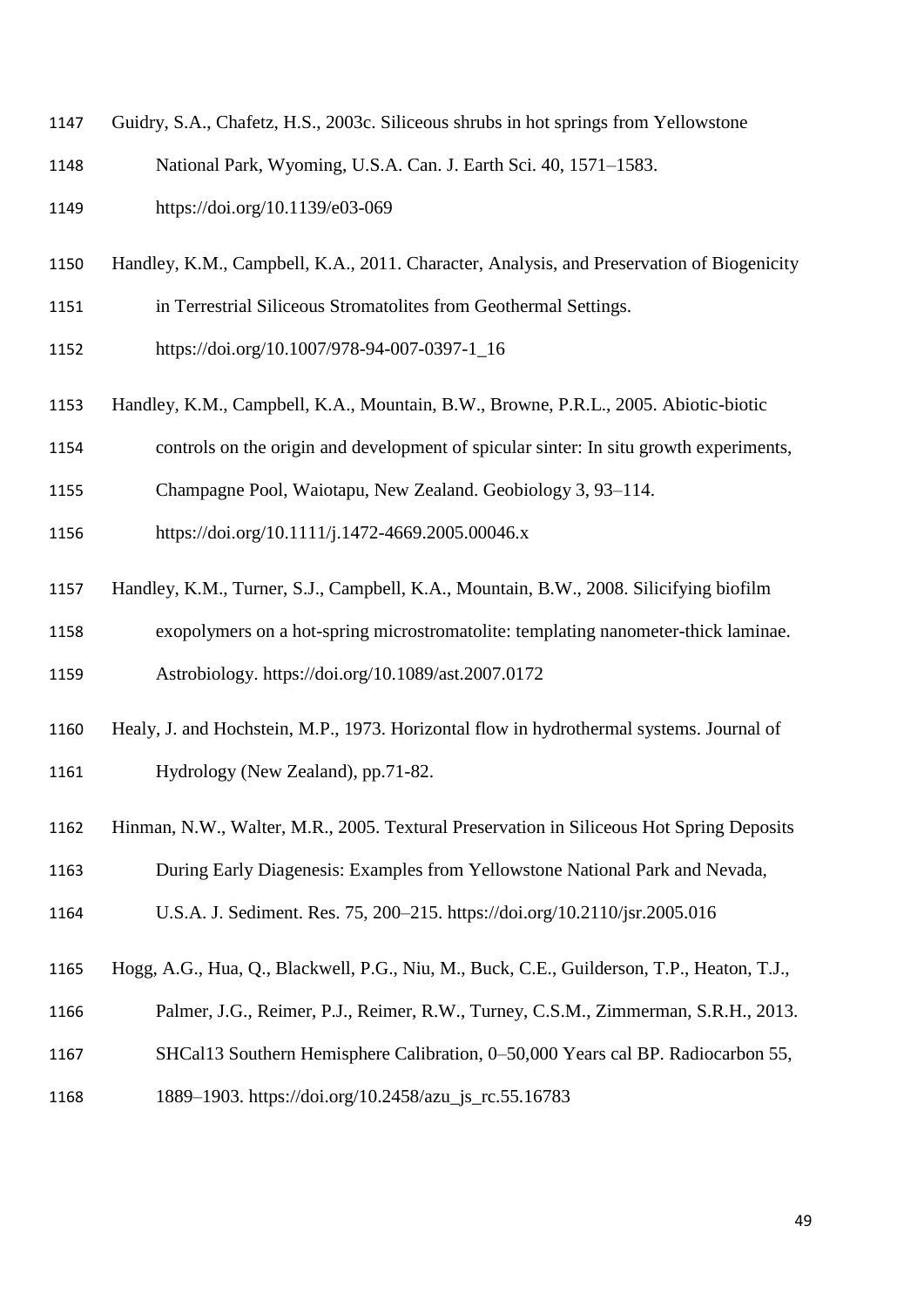- Guidry, S.A., Chafetz, H.S., 2003c. Siliceous shrubs in hot springs from Yellowstone
- National Park, Wyoming, U.S.A. Can. J. Earth Sci. 40, 1571–1583.
- https://doi.org/10.1139/e03-069
- Handley, K.M., Campbell, K.A., 2011. Character, Analysis, and Preservation of Biogenicity
- in Terrestrial Siliceous Stromatolites from Geothermal Settings.
- https://doi.org/10.1007/978-94-007-0397-1\_16
- Handley, K.M., Campbell, K.A., Mountain, B.W., Browne, P.R.L., 2005. Abiotic-biotic
- controls on the origin and development of spicular sinter: In situ growth experiments,
- Champagne Pool, Waiotapu, New Zealand. Geobiology 3, 93–114.
- https://doi.org/10.1111/j.1472-4669.2005.00046.x
- Handley, K.M., Turner, S.J., Campbell, K.A., Mountain, B.W., 2008. Silicifying biofilm
- exopolymers on a hot-spring microstromatolite: templating nanometer-thick laminae.

Astrobiology. https://doi.org/10.1089/ast.2007.0172

- Healy, J. and Hochstein, M.P., 1973. Horizontal flow in hydrothermal systems. Journal of Hydrology (New Zealand), pp.71-82.
- Hinman, N.W., Walter, M.R., 2005. Textural Preservation in Siliceous Hot Spring Deposits
- During Early Diagenesis: Examples from Yellowstone National Park and Nevada,
- U.S.A. J. Sediment. Res. 75, 200–215. https://doi.org/10.2110/jsr.2005.016
- Hogg, A.G., Hua, Q., Blackwell, P.G., Niu, M., Buck, C.E., Guilderson, T.P., Heaton, T.J.,
- Palmer, J.G., Reimer, P.J., Reimer, R.W., Turney, C.S.M., Zimmerman, S.R.H., 2013.
- SHCal13 Southern Hemisphere Calibration, 0–50,000 Years cal BP. Radiocarbon 55,
- 1889–1903. https://doi.org/10.2458/azu\_js\_rc.55.16783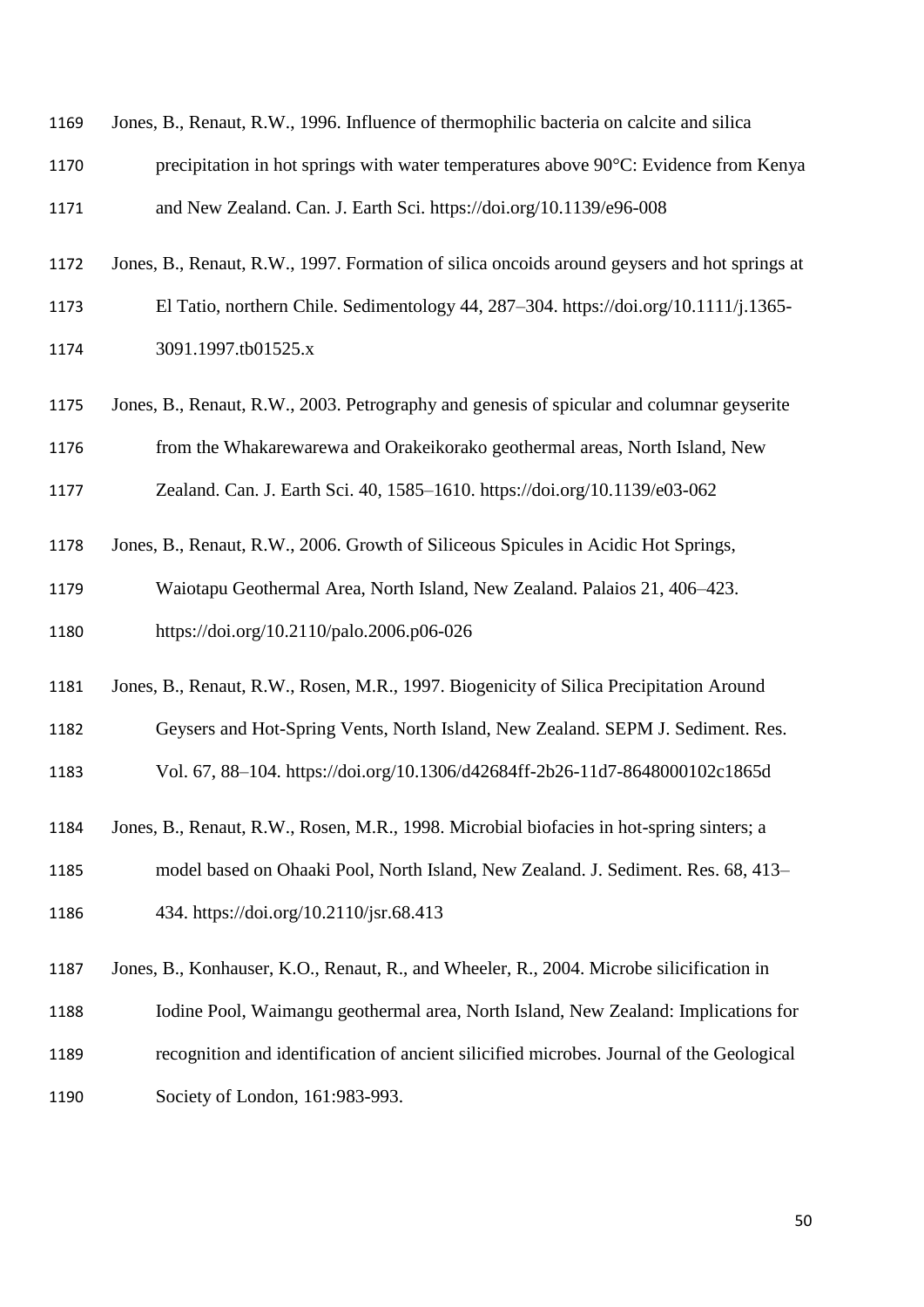| 1169 | Jones, B., Renaut, R.W., 1996. Influence of thermophilic bacteria on calcite and silica        |
|------|------------------------------------------------------------------------------------------------|
| 1170 | precipitation in hot springs with water temperatures above $90^{\circ}$ C: Evidence from Kenya |
| 1171 | and New Zealand. Can. J. Earth Sci. https://doi.org/10.1139/e96-008                            |
| 1172 | Jones, B., Renaut, R.W., 1997. Formation of silica oncoids around geysers and hot springs at   |

- El Tatio, northern Chile. Sedimentology 44, 287–304. https://doi.org/10.1111/j.1365-
- 3091.1997.tb01525.x
- Jones, B., Renaut, R.W., 2003. Petrography and genesis of spicular and columnar geyserite

from the Whakarewarewa and Orakeikorako geothermal areas, North Island, New

Zealand. Can. J. Earth Sci. 40, 1585–1610. https://doi.org/10.1139/e03-062

- Jones, B., Renaut, R.W., 2006. Growth of Siliceous Spicules in Acidic Hot Springs,
- Waiotapu Geothermal Area, North Island, New Zealand. Palaios 21, 406–423. https://doi.org/10.2110/palo.2006.p06-026
- Jones, B., Renaut, R.W., Rosen, M.R., 1997. Biogenicity of Silica Precipitation Around
- Geysers and Hot-Spring Vents, North Island, New Zealand. SEPM J. Sediment. Res.
- Vol. 67, 88–104. https://doi.org/10.1306/d42684ff-2b26-11d7-8648000102c1865d
- Jones, B., Renaut, R.W., Rosen, M.R., 1998. Microbial biofacies in hot-spring sinters; a
- model based on Ohaaki Pool, North Island, New Zealand. J. Sediment. Res. 68, 413– 434. https://doi.org/10.2110/jsr.68.413
- Jones, B., Konhauser, K.O., Renaut, R., and Wheeler, R., 2004. Microbe silicification in
- Iodine Pool, Waimangu geothermal area, North Island, New Zealand: Implications for
- recognition and identification of ancient silicified microbes. Journal of the Geological
- 1190 Society of London, 161:983-993.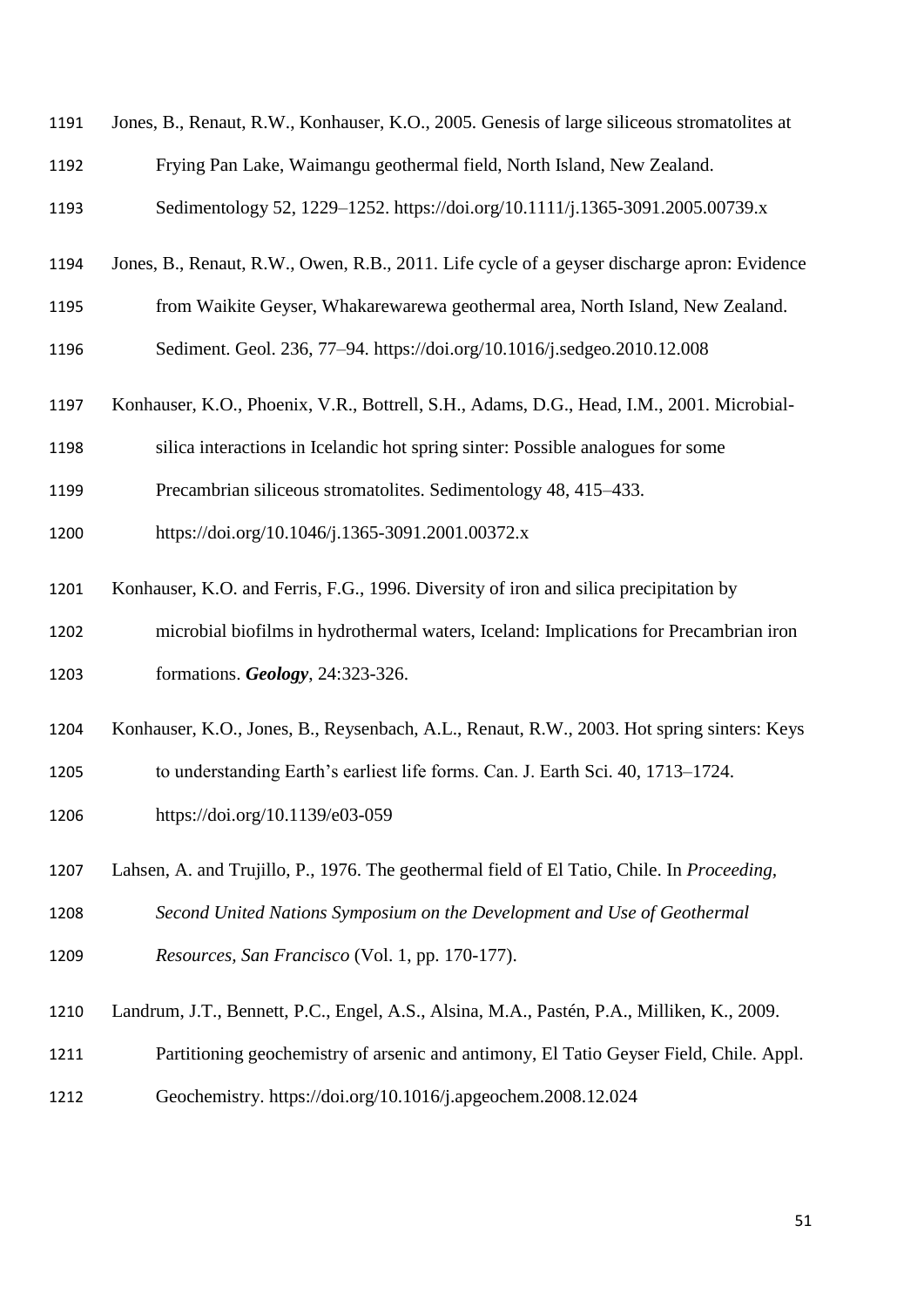| 1191 | Jones, B., Renaut, R.W., Konhauser, K.O., 2005. Genesis of large siliceous stromatolites at |
|------|---------------------------------------------------------------------------------------------|
| 1192 | Frying Pan Lake, Waimangu geothermal field, North Island, New Zealand.                      |
| 1193 | Sedimentology 52, 1229–1252. https://doi.org/10.1111/j.1365-3091.2005.00739.x               |
| 1194 | Jones, B., Renaut, R.W., Owen, R.B., 2011. Life cycle of a geyser discharge apron: Evidence |
| 1195 | from Waikite Geyser, Whakarewarewa geothermal area, North Island, New Zealand.              |
| 1196 | Sediment. Geol. 236, 77-94. https://doi.org/10.1016/j.sedgeo.2010.12.008                    |
| 1197 | Konhauser, K.O., Phoenix, V.R., Bottrell, S.H., Adams, D.G., Head, I.M., 2001. Microbial-   |
| 1198 | silica interactions in Icelandic hot spring sinter: Possible analogues for some             |
| 1199 | Precambrian siliceous stromatolites. Sedimentology 48, 415–433.                             |
| 1200 | https://doi.org/10.1046/j.1365-3091.2001.00372.x                                            |
| 1201 | Konhauser, K.O. and Ferris, F.G., 1996. Diversity of iron and silica precipitation by       |
| 1202 | microbial biofilms in hydrothermal waters, Iceland: Implications for Precambrian iron       |
| 1203 | formations. Geology, 24:323-326.                                                            |
| 1204 | Konhauser, K.O., Jones, B., Reysenbach, A.L., Renaut, R.W., 2003. Hot spring sinters: Keys  |
| 1205 | to understanding Earth's earliest life forms. Can. J. Earth Sci. 40, 1713–1724.             |
| 1206 | https://doi.org/10.1139/e03-059                                                             |
| 1207 | Lahsen, A. and Trujillo, P., 1976. The geothermal field of El Tatio, Chile. In Proceeding,  |
| 1208 | Second United Nations Symposium on the Development and Use of Geothermal                    |
| 1209 | Resources, San Francisco (Vol. 1, pp. 170-177).                                             |
| 1210 | Landrum, J.T., Bennett, P.C., Engel, A.S., Alsina, M.A., Pastén, P.A., Milliken, K., 2009.  |
| 1211 | Partitioning geochemistry of arsenic and antimony, El Tatio Geyser Field, Chile. Appl.      |
| 1212 | Geochemistry. https://doi.org/10.1016/j.apgeochem.2008.12.024                               |
|      |                                                                                             |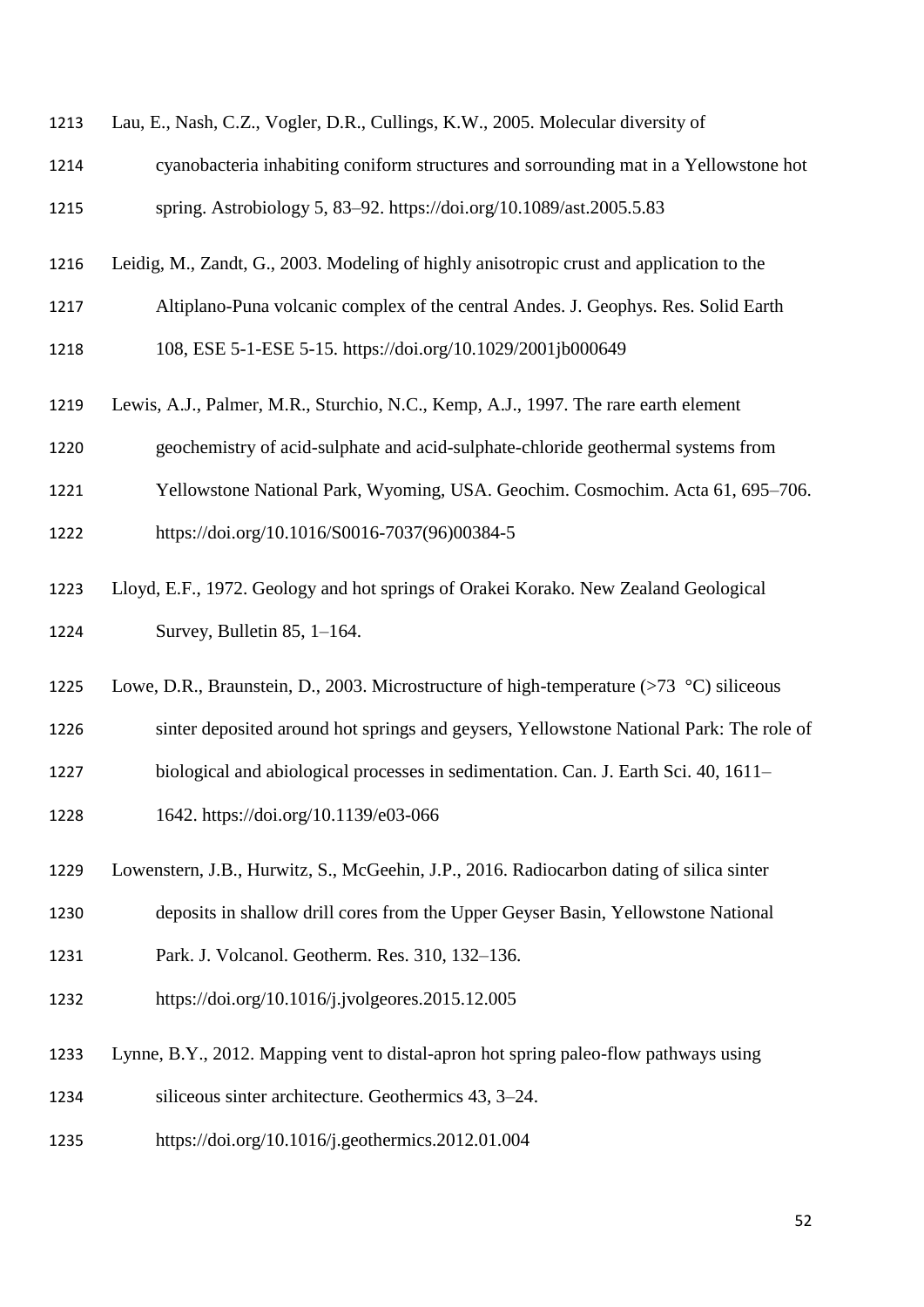|  | 1213 Lau, E., Nash, C.Z., Vogler, D.R., Cullings, K.W., 2005. Molecular diversity of |  |  |  |  |  |  |
|--|--------------------------------------------------------------------------------------|--|--|--|--|--|--|
|--|--------------------------------------------------------------------------------------|--|--|--|--|--|--|

- cyanobacteria inhabiting coniform structures and sorrounding mat in a Yellowstone hot spring. Astrobiology 5, 83–92. https://doi.org/10.1089/ast.2005.5.83
- Leidig, M., Zandt, G., 2003. Modeling of highly anisotropic crust and application to the
- Altiplano-Puna volcanic complex of the central Andes. J. Geophys. Res. Solid Earth
- 108, ESE 5-1-ESE 5-15. https://doi.org/10.1029/2001jb000649
- Lewis, A.J., Palmer, M.R., Sturchio, N.C., Kemp, A.J., 1997. The rare earth element
- geochemistry of acid-sulphate and acid-sulphate-chloride geothermal systems from
- Yellowstone National Park, Wyoming, USA. Geochim. Cosmochim. Acta 61, 695–706.
- https://doi.org/10.1016/S0016-7037(96)00384-5
- Lloyd, E.F., 1972. Geology and hot springs of Orakei Korako. New Zealand Geological Survey, Bulletin 85, 1–164.
- 1225 Lowe, D.R., Braunstein, D., 2003. Microstructure of high-temperature (>73 °C) siliceous
- sinter deposited around hot springs and geysers, Yellowstone National Park: The role of
- biological and abiological processes in sedimentation. Can. J. Earth Sci. 40, 1611–
- 1642. https://doi.org/10.1139/e03-066
- Lowenstern, J.B., Hurwitz, S., McGeehin, J.P., 2016. Radiocarbon dating of silica sinter
- deposits in shallow drill cores from the Upper Geyser Basin, Yellowstone National
- Park. J. Volcanol. Geotherm. Res. 310, 132–136.
- https://doi.org/10.1016/j.jvolgeores.2015.12.005
- Lynne, B.Y., 2012. Mapping vent to distal-apron hot spring paleo-flow pathways using
- siliceous sinter architecture. Geothermics 43, 3–24.
- https://doi.org/10.1016/j.geothermics.2012.01.004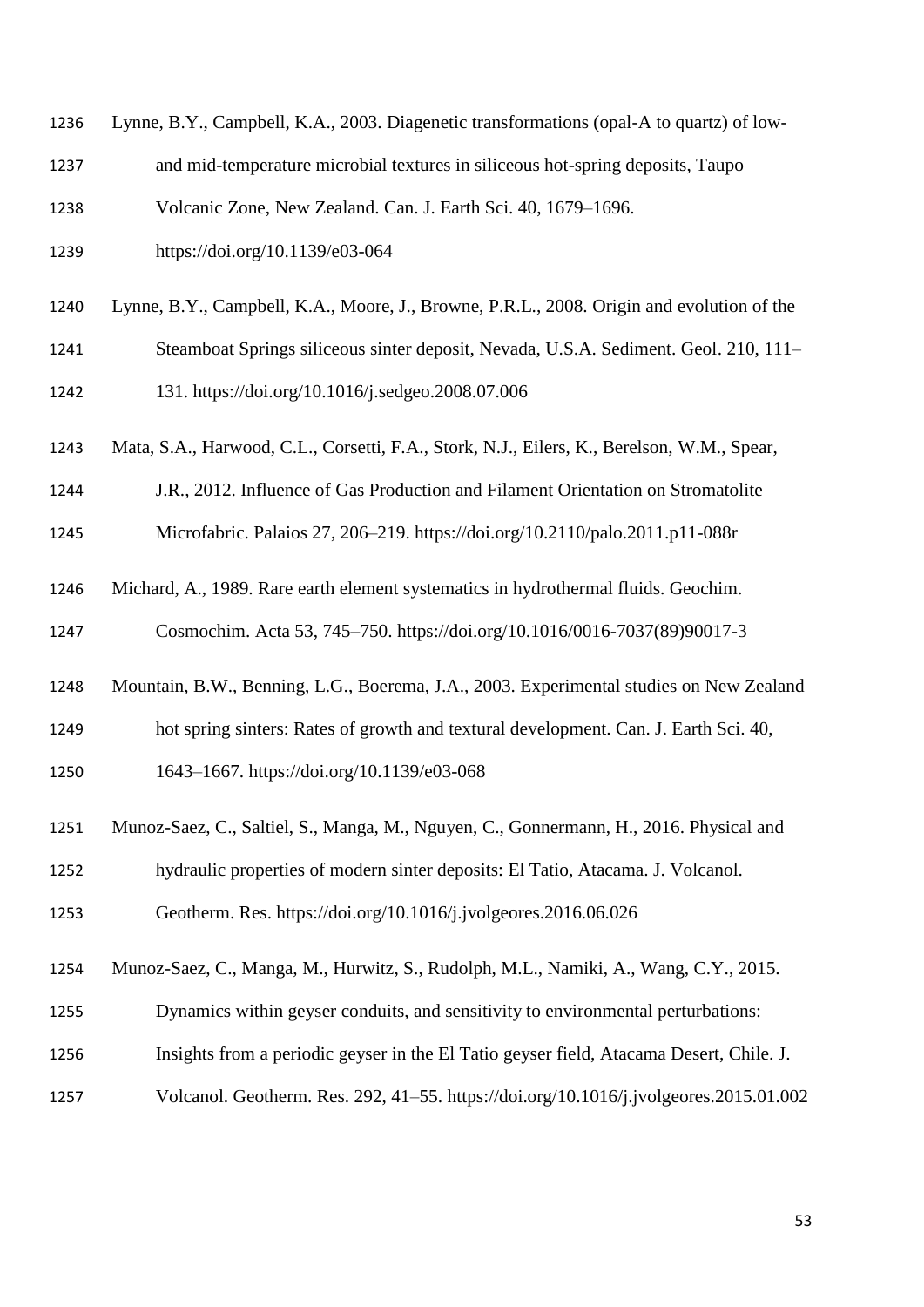| 1236 | Lynne, B.Y., Campbell, K.A., 2003. Diagenetic transformations (opal-A to quartz) of low- |
|------|------------------------------------------------------------------------------------------|
|      |                                                                                          |

and mid-temperature microbial textures in siliceous hot-spring deposits, Taupo

Volcanic Zone, New Zealand. Can. J. Earth Sci. 40, 1679–1696.

- https://doi.org/10.1139/e03-064
- Lynne, B.Y., Campbell, K.A., Moore, J., Browne, P.R.L., 2008. Origin and evolution of the
- Steamboat Springs siliceous sinter deposit, Nevada, U.S.A. Sediment. Geol. 210, 111–

131. https://doi.org/10.1016/j.sedgeo.2008.07.006

- Mata, S.A., Harwood, C.L., Corsetti, F.A., Stork, N.J., Eilers, K., Berelson, W.M., Spear,
- J.R., 2012. Influence of Gas Production and Filament Orientation on Stromatolite

Microfabric. Palaios 27, 206–219. https://doi.org/10.2110/palo.2011.p11-088r

- Michard, A., 1989. Rare earth element systematics in hydrothermal fluids. Geochim. Cosmochim. Acta 53, 745–750. https://doi.org/10.1016/0016-7037(89)90017-3
- Mountain, B.W., Benning, L.G., Boerema, J.A., 2003. Experimental studies on New Zealand
- hot spring sinters: Rates of growth and textural development. Can. J. Earth Sci. 40,
- 1643–1667. https://doi.org/10.1139/e03-068
- Munoz-Saez, C., Saltiel, S., Manga, M., Nguyen, C., Gonnermann, H., 2016. Physical and
- hydraulic properties of modern sinter deposits: El Tatio, Atacama. J. Volcanol.

Geotherm. Res. https://doi.org/10.1016/j.jvolgeores.2016.06.026

- Munoz-Saez, C., Manga, M., Hurwitz, S., Rudolph, M.L., Namiki, A., Wang, C.Y., 2015.
- Dynamics within geyser conduits, and sensitivity to environmental perturbations:
- Insights from a periodic geyser in the El Tatio geyser field, Atacama Desert, Chile. J.
- Volcanol. Geotherm. Res. 292, 41–55. https://doi.org/10.1016/j.jvolgeores.2015.01.002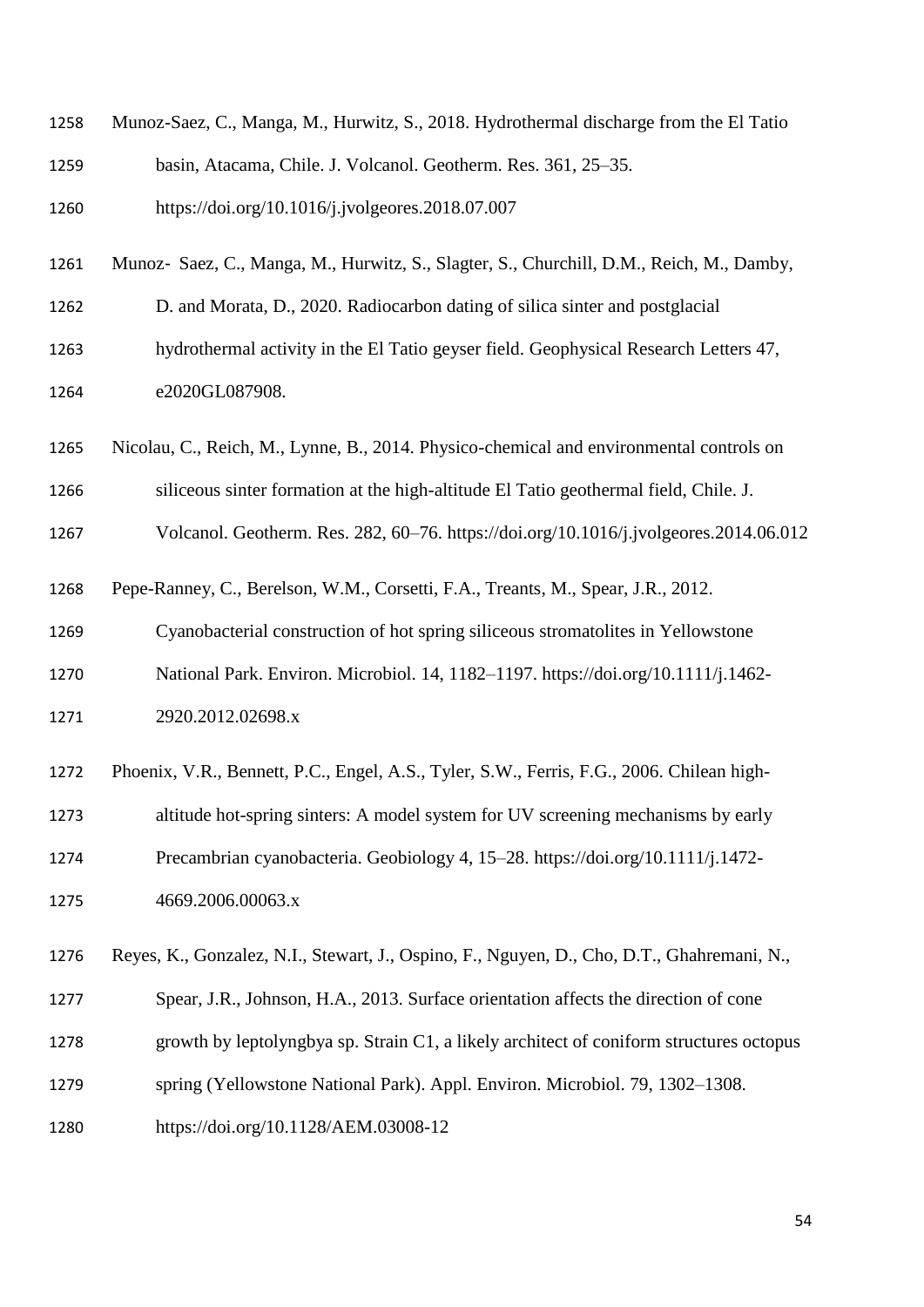| 1258 | Munoz-Saez, C., Manga, M., Hurwitz, S., 2018. Hydrothermal discharge from the El Tatio |
|------|----------------------------------------------------------------------------------------|
| 1259 | basin, Atacama, Chile. J. Volcanol. Geotherm. Res. 361, 25–35.                         |
| 1260 | https://doi.org/10.1016/j.jvolgeores.2018.07.007                                       |

- Munoz‐ Saez, C., Manga, M., Hurwitz, S., Slagter, S., Churchill, D.M., Reich, M., Damby,
- D. and Morata, D., 2020. Radiocarbon dating of silica sinter and postglacial
- hydrothermal activity in the El Tatio geyser field. Geophysical Research Letters 47, e2020GL087908.
- Nicolau, C., Reich, M., Lynne, B., 2014. Physico-chemical and environmental controls on
- siliceous sinter formation at the high-altitude El Tatio geothermal field, Chile. J.
- Volcanol. Geotherm. Res. 282, 60–76. https://doi.org/10.1016/j.jvolgeores.2014.06.012
- Pepe-Ranney, C., Berelson, W.M., Corsetti, F.A., Treants, M., Spear, J.R., 2012.
- Cyanobacterial construction of hot spring siliceous stromatolites in Yellowstone
- National Park. Environ. Microbiol. 14, 1182–1197. https://doi.org/10.1111/j.1462-
- 2920.2012.02698.x
- Phoenix, V.R., Bennett, P.C., Engel, A.S., Tyler, S.W., Ferris, F.G., 2006. Chilean high-
- altitude hot-spring sinters: A model system for UV screening mechanisms by early
- Precambrian cyanobacteria. Geobiology 4, 15–28. https://doi.org/10.1111/j.1472-
- 4669.2006.00063.x
- Reyes, K., Gonzalez, N.I., Stewart, J., Ospino, F., Nguyen, D., Cho, D.T., Ghahremani, N.,
- Spear, J.R., Johnson, H.A., 2013. Surface orientation affects the direction of cone
- growth by leptolyngbya sp. Strain C1, a likely architect of coniform structures octopus
- spring (Yellowstone National Park). Appl. Environ. Microbiol. 79, 1302–1308.
- https://doi.org/10.1128/AEM.03008-12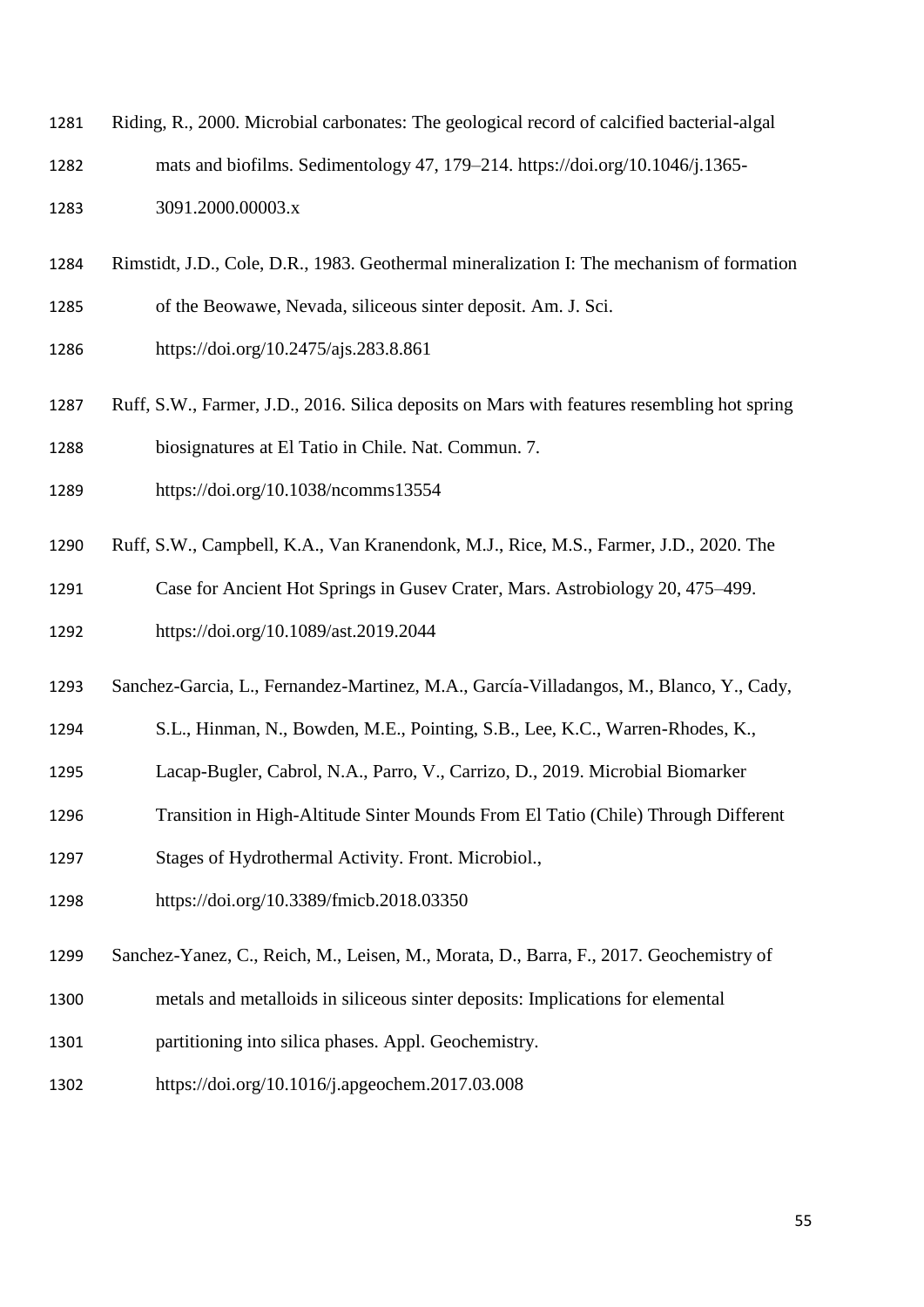- Riding, R., 2000. Microbial carbonates: The geological record of calcified bacterial-algal mats and biofilms. Sedimentology 47, 179–214. https://doi.org/10.1046/j.1365- 3091.2000.00003.x
- Rimstidt, J.D., Cole, D.R., 1983. Geothermal mineralization I: The mechanism of formation

of the Beowawe, Nevada, siliceous sinter deposit. Am. J. Sci.

https://doi.org/10.2475/ajs.283.8.861

- Ruff, S.W., Farmer, J.D., 2016. Silica deposits on Mars with features resembling hot spring biosignatures at El Tatio in Chile. Nat. Commun. 7.
- https://doi.org/10.1038/ncomms13554
- Ruff, S.W., Campbell, K.A., Van Kranendonk, M.J., Rice, M.S., Farmer, J.D., 2020. The

Case for Ancient Hot Springs in Gusev Crater, Mars. Astrobiology 20, 475–499.

- https://doi.org/10.1089/ast.2019.2044
- Sanchez-Garcia, L., Fernandez-Martinez, M.A., García-Villadangos, M., Blanco, Y., Cady,
- S.L., Hinman, N., Bowden, M.E., Pointing, S.B., Lee, K.C., Warren-Rhodes, K.,
- Lacap-Bugler, Cabrol, N.A., Parro, V., Carrizo, D., 2019. Microbial Biomarker
- Transition in High-Altitude Sinter Mounds From El Tatio (Chile) Through Different
- Stages of Hydrothermal Activity. Front. Microbiol.,
- https://doi.org/10.3389/fmicb.2018.03350
- Sanchez-Yanez, C., Reich, M., Leisen, M., Morata, D., Barra, F., 2017. Geochemistry of
- metals and metalloids in siliceous sinter deposits: Implications for elemental
- partitioning into silica phases. Appl. Geochemistry.
- https://doi.org/10.1016/j.apgeochem.2017.03.008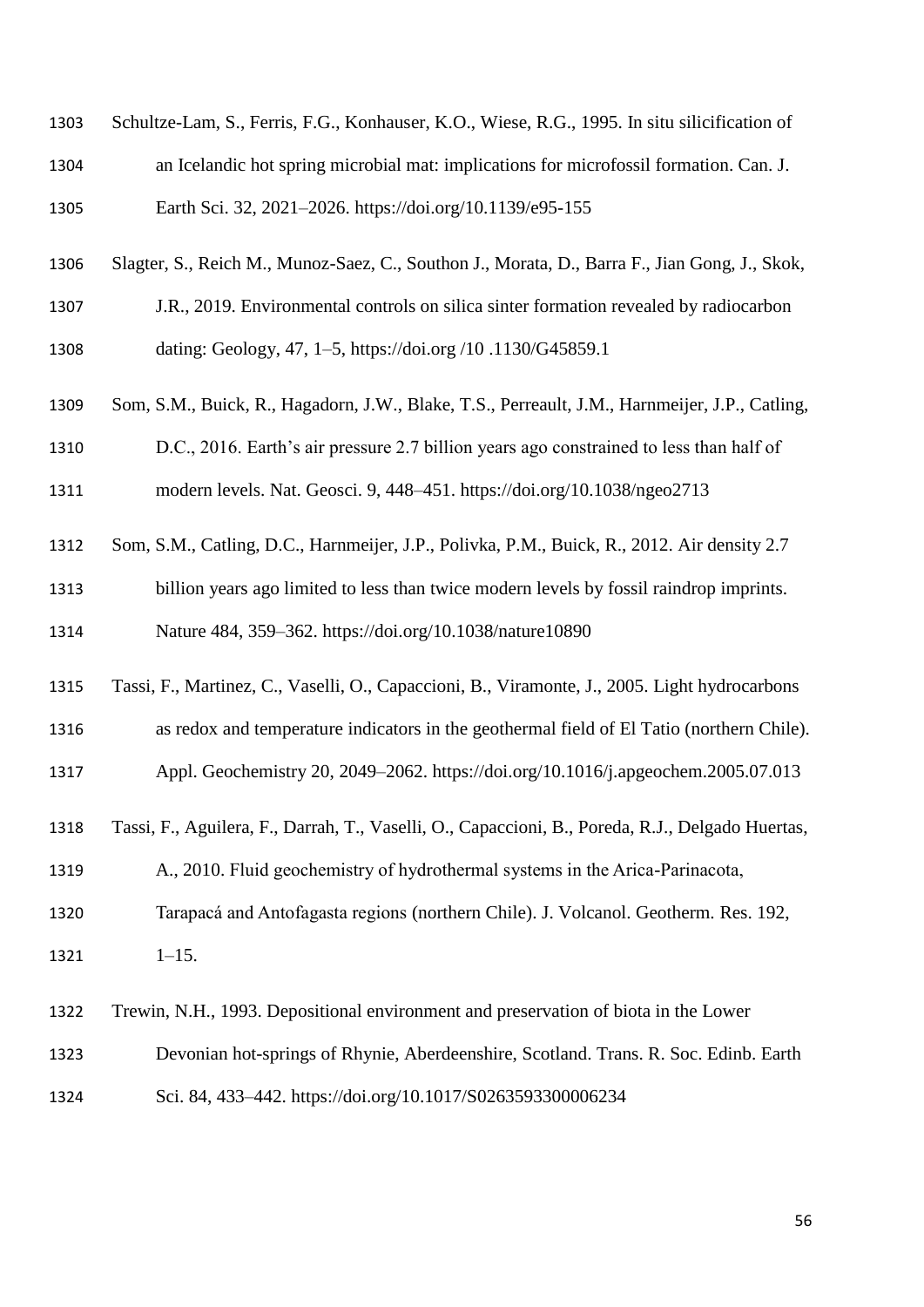| 1304 | an Icelandic hot spring microbial mat: implications for microfossil formation. Can. J.           |
|------|--------------------------------------------------------------------------------------------------|
| 1305 | Earth Sci. 32, 2021-2026. https://doi.org/10.1139/e95-155                                        |
| 1306 | Slagter, S., Reich M., Munoz-Saez, C., Southon J., Morata, D., Barra F., Jian Gong, J., Skok,    |
| 1307 | J.R., 2019. Environmental controls on silica sinter formation revealed by radiocarbon            |
| 1308 | dating: Geology, 47, 1–5, https://doi.org/10.1130/G45859.1                                       |
| 1309 | Som, S.M., Buick, R., Hagadorn, J.W., Blake, T.S., Perreault, J.M., Harnmeijer, J.P., Catling,   |
| 1310 | D.C., 2016. Earth's air pressure 2.7 billion years ago constrained to less than half of          |
| 1311 | modern levels. Nat. Geosci. 9, 448-451. https://doi.org/10.1038/ngeo2713                         |
| 1312 | Som, S.M., Catling, D.C., Harnmeijer, J.P., Polivka, P.M., Buick, R., 2012. Air density 2.7      |
| 1313 | billion years ago limited to less than twice modern levels by fossil raindrop imprints.          |
| 1314 | Nature 484, 359-362. https://doi.org/10.1038/nature10890                                         |
| 1315 | Tassi, F., Martinez, C., Vaselli, O., Capaccioni, B., Viramonte, J., 2005. Light hydrocarbons    |
| 1316 | as redox and temperature indicators in the geothermal field of El Tatio (northern Chile).        |
| 1317 | Appl. Geochemistry 20, 2049–2062. https://doi.org/10.1016/j.apgeochem.2005.07.013                |
| 1318 | Tassi, F., Aguilera, F., Darrah, T., Vaselli, O., Capaccioni, B., Poreda, R.J., Delgado Huertas, |
| 1319 | A., 2010. Fluid geochemistry of hydrothermal systems in the Arica-Parinacota,                    |
| 1320 | Tarapacá and Antofagasta regions (northern Chile). J. Volcanol. Geotherm. Res. 192,              |
| 1321 | $1 - 15$ .                                                                                       |
| 1322 | Trewin, N.H., 1993. Depositional environment and preservation of biota in the Lower              |
| 1323 | Devonian hot-springs of Rhynie, Aberdeenshire, Scotland. Trans. R. Soc. Edinb. Earth             |
| 1324 | Sci. 84, 433-442. https://doi.org/10.1017/S0263593300006234                                      |

Schultze-Lam, S., Ferris, F.G., Konhauser, K.O., Wiese, R.G., 1995. In situ silicification of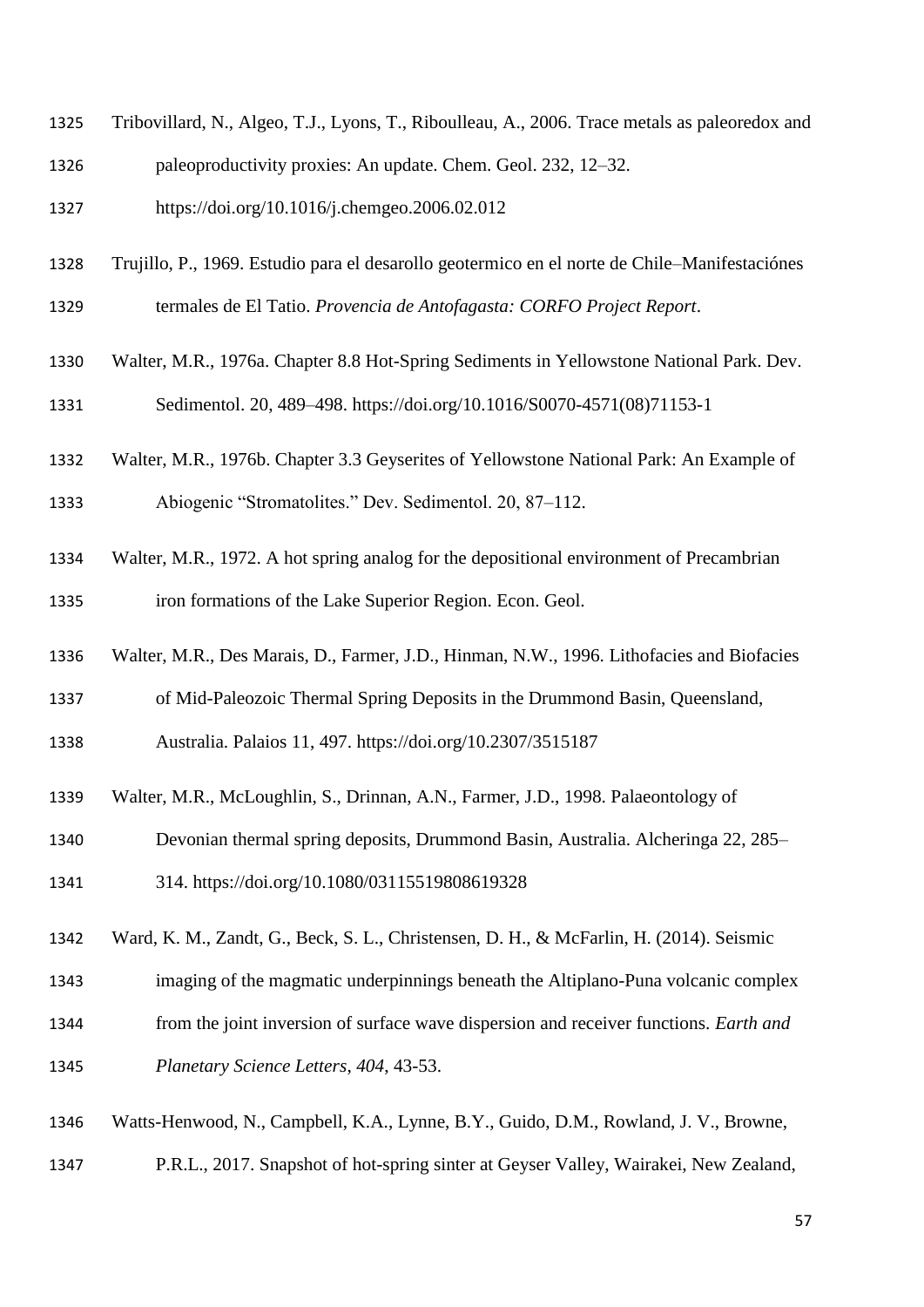- Tribovillard, N., Algeo, T.J., Lyons, T., Riboulleau, A., 2006. Trace metals as paleoredox and
- paleoproductivity proxies: An update. Chem. Geol. 232, 12–32.
- https://doi.org/10.1016/j.chemgeo.2006.02.012
- Trujillo, P., 1969. Estudio para el desarollo geotermico en el norte de Chile–Manifestaciónes
- termales de El Tatio. *Provencia de Antofagasta: CORFO Project Report*.
- Walter, M.R., 1976a. Chapter 8.8 Hot-Spring Sediments in Yellowstone National Park. Dev. Sedimentol. 20, 489–498. https://doi.org/10.1016/S0070-4571(08)71153-1
- Walter, M.R., 1976b. Chapter 3.3 Geyserites of Yellowstone National Park: An Example of
- biogenic "Stromatolites." Dev. Sedimentol. 20, 87–112.
- Walter, M.R., 1972. A hot spring analog for the depositional environment of Precambrian
- iron formations of the Lake Superior Region. Econ. Geol.
- Walter, M.R., Des Marais, D., Farmer, J.D., Hinman, N.W., 1996. Lithofacies and Biofacies
- of Mid-Paleozoic Thermal Spring Deposits in the Drummond Basin, Queensland,
- Australia. Palaios 11, 497. https://doi.org/10.2307/3515187
- Walter, M.R., McLoughlin, S., Drinnan, A.N., Farmer, J.D., 1998. Palaeontology of
- Devonian thermal spring deposits, Drummond Basin, Australia. Alcheringa 22, 285–
- 314. https://doi.org/10.1080/03115519808619328
- Ward, K. M., Zandt, G., Beck, S. L., Christensen, D. H., & McFarlin, H. (2014). Seismic
- imaging of the magmatic underpinnings beneath the Altiplano-Puna volcanic complex
- from the joint inversion of surface wave dispersion and receiver functions. *Earth and*
- *Planetary Science Letters*, *404*, 43-53.
- Watts-Henwood, N., Campbell, K.A., Lynne, B.Y., Guido, D.M., Rowland, J. V., Browne,
- P.R.L., 2017. Snapshot of hot-spring sinter at Geyser Valley, Wairakei, New Zealand,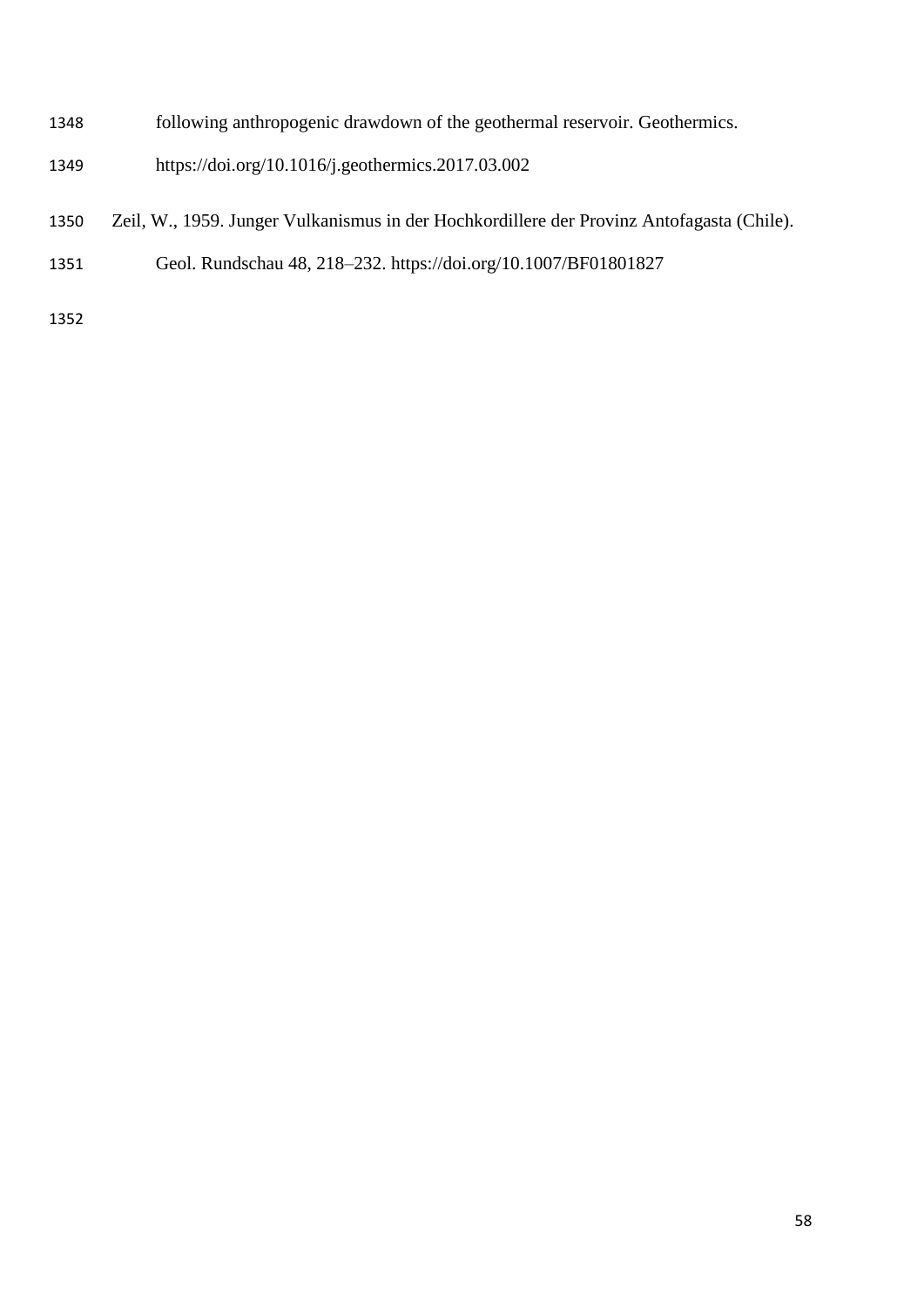- following anthropogenic drawdown of the geothermal reservoir. Geothermics.
- https://doi.org/10.1016/j.geothermics.2017.03.002
- Zeil, W., 1959. Junger Vulkanismus in der Hochkordillere der Provinz Antofagasta (Chile).
- Geol. Rundschau 48, 218–232. https://doi.org/10.1007/BF01801827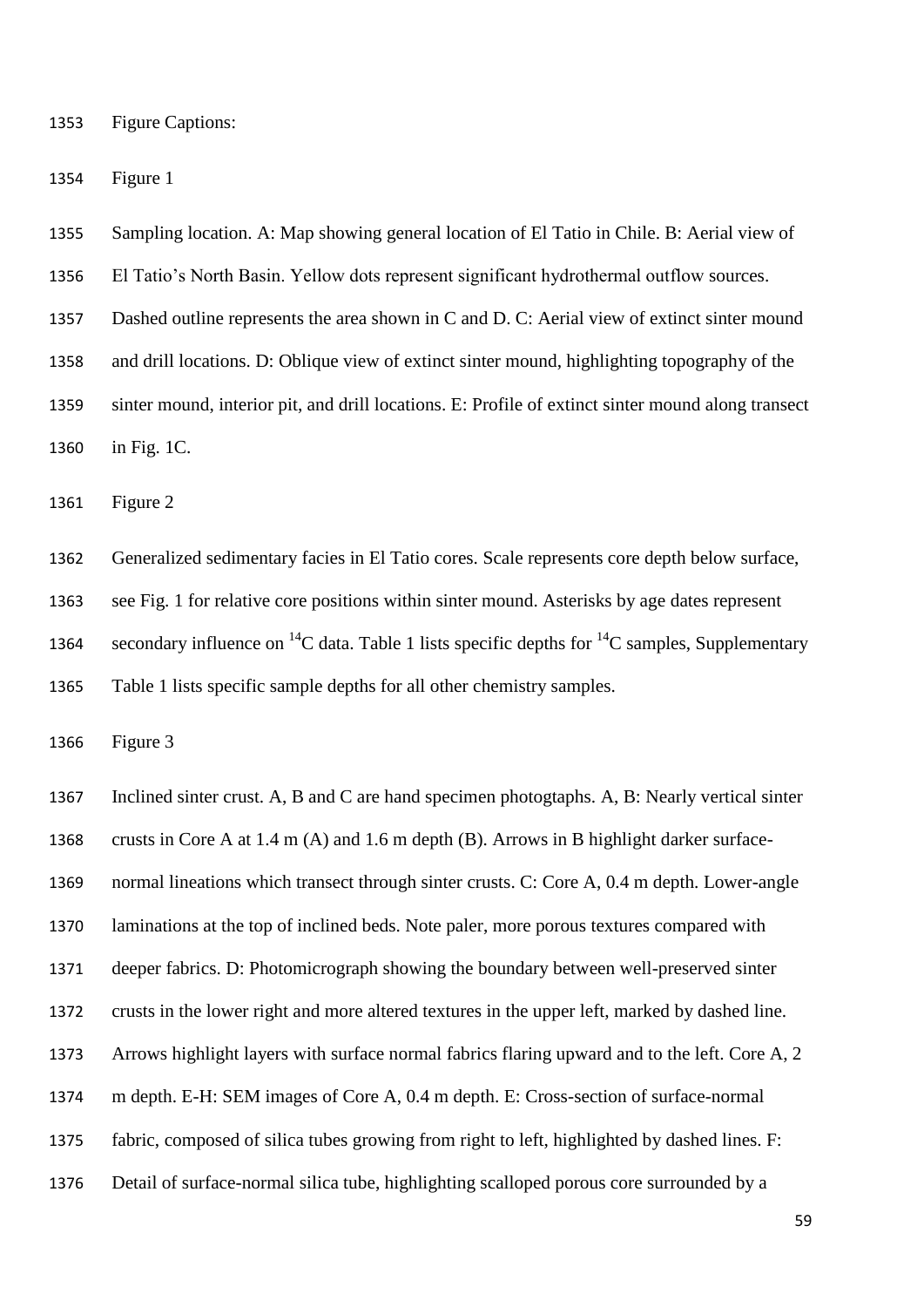Figure Captions:

Figure 1

- Sampling location. A: Map showing general location of El Tatio in Chile. B: Aerial view of
- El Tatio's North Basin. Yellow dots represent significant hydrothermal outflow sources.

Dashed outline represents the area shown in C and D. C: Aerial view of extinct sinter mound

and drill locations. D: Oblique view of extinct sinter mound, highlighting topography of the

 sinter mound, interior pit, and drill locations. E: Profile of extinct sinter mound along transect in Fig. 1C.

Figure 2

 Generalized sedimentary facies in El Tatio cores. Scale represents core depth below surface, see Fig. 1 for relative core positions within sinter mound. Asterisks by age dates represent 1364 secondary influence on <sup>14</sup>C data. Table 1 lists specific depths for <sup>14</sup>C samples, Supplementary Table 1 lists specific sample depths for all other chemistry samples.

Figure 3

 Inclined sinter crust. A, B and C are hand specimen photogtaphs. A, B: Nearly vertical sinter crusts in Core A at 1.4 m (A) and 1.6 m depth (B). Arrows in B highlight darker surface- normal lineations which transect through sinter crusts. C: Core A, 0.4 m depth. Lower-angle laminations at the top of inclined beds. Note paler, more porous textures compared with deeper fabrics. D: Photomicrograph showing the boundary between well-preserved sinter crusts in the lower right and more altered textures in the upper left, marked by dashed line. Arrows highlight layers with surface normal fabrics flaring upward and to the left. Core A, 2 m depth. E-H: SEM images of Core A, 0.4 m depth. E: Cross-section of surface-normal fabric, composed of silica tubes growing from right to left, highlighted by dashed lines. F: Detail of surface-normal silica tube, highlighting scalloped porous core surrounded by a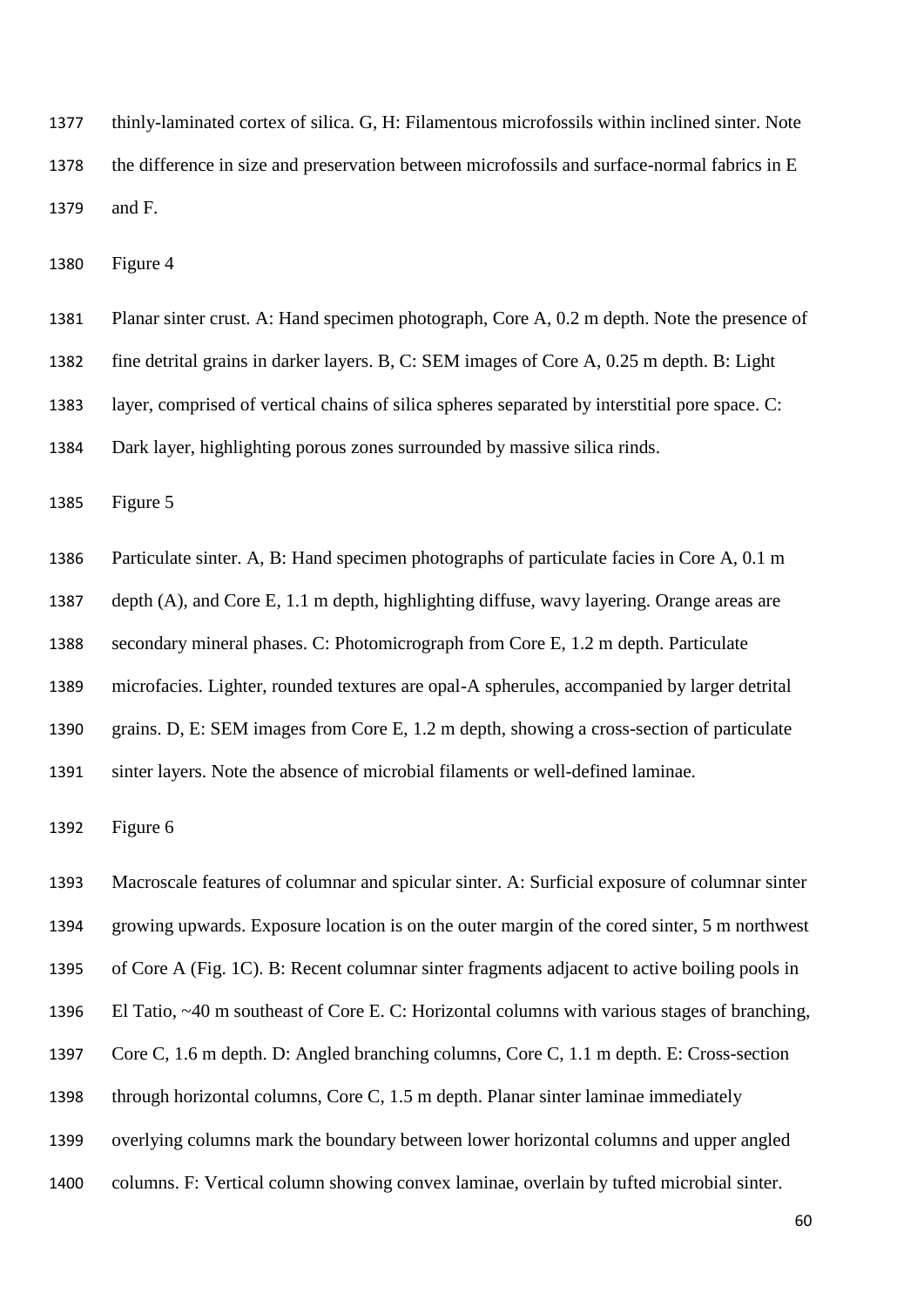thinly-laminated cortex of silica. G, H: Filamentous microfossils within inclined sinter. Note the difference in size and preservation between microfossils and surface-normal fabrics in E and F.

Figure 4

- Planar sinter crust. A: Hand specimen photograph, Core A, 0.2 m depth. Note the presence of
- fine detrital grains in darker layers. B, C: SEM images of Core A, 0.25 m depth. B: Light
- layer, comprised of vertical chains of silica spheres separated by interstitial pore space. C:
- Dark layer, highlighting porous zones surrounded by massive silica rinds.

Figure 5

- Particulate sinter. A, B: Hand specimen photographs of particulate facies in Core A, 0.1 m
- depth (A), and Core E, 1.1 m depth, highlighting diffuse, wavy layering. Orange areas are
- secondary mineral phases. C: Photomicrograph from Core E, 1.2 m depth. Particulate
- microfacies. Lighter, rounded textures are opal-A spherules, accompanied by larger detrital
- grains. D, E: SEM images from Core E, 1.2 m depth, showing a cross-section of particulate
- sinter layers. Note the absence of microbial filaments or well-defined laminae.

Figure 6

- Macroscale features of columnar and spicular sinter. A: Surficial exposure of columnar sinter
- growing upwards. Exposure location is on the outer margin of the cored sinter, 5 m northwest
- of Core A (Fig. 1C). B: Recent columnar sinter fragments adjacent to active boiling pools in
- El Tatio, ~40 m southeast of Core E. C: Horizontal columns with various stages of branching,
- Core C, 1.6 m depth. D: Angled branching columns, Core C, 1.1 m depth. E: Cross-section
- through horizontal columns, Core C, 1.5 m depth. Planar sinter laminae immediately
- overlying columns mark the boundary between lower horizontal columns and upper angled
- columns. F: Vertical column showing convex laminae, overlain by tufted microbial sinter.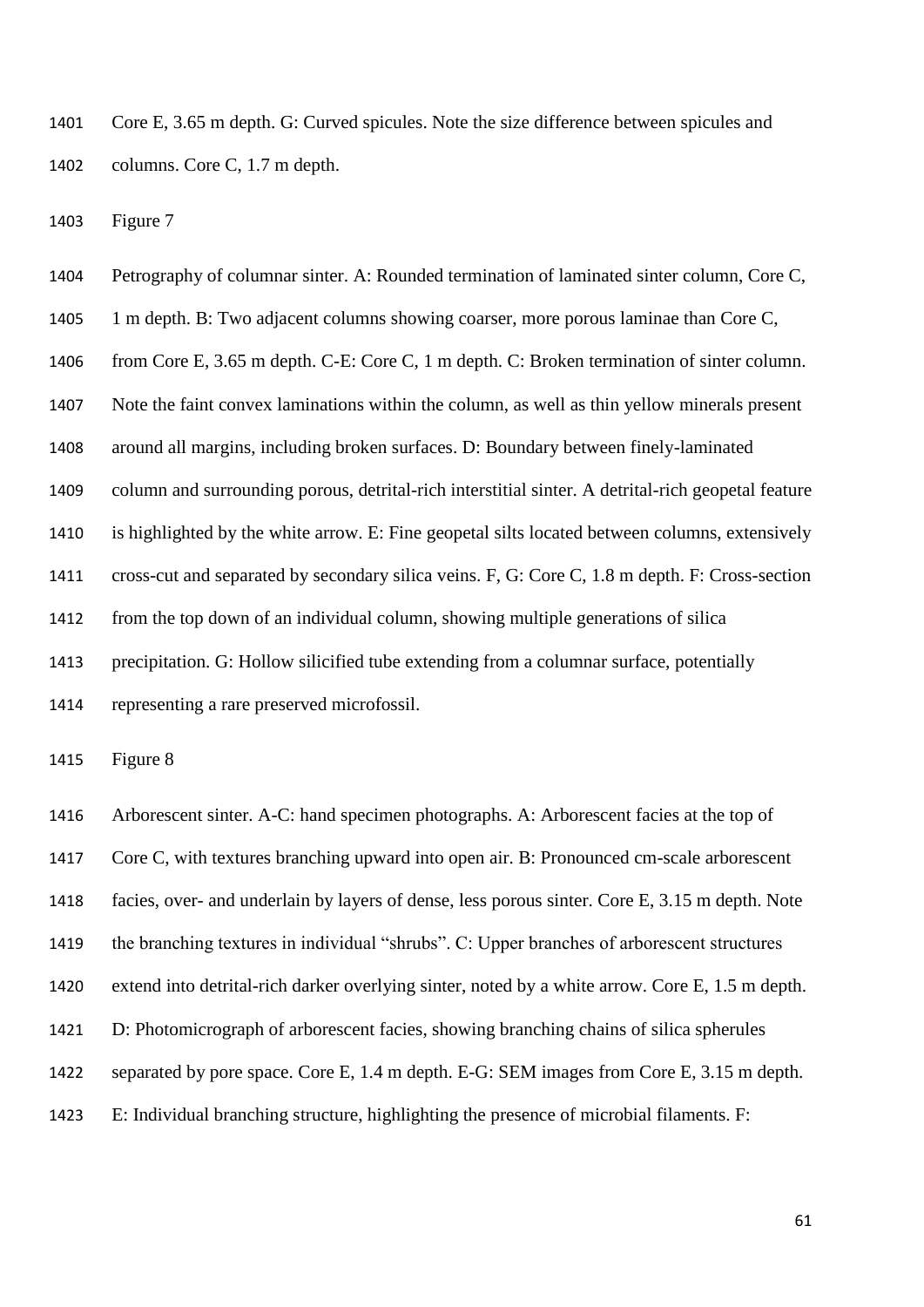Core E, 3.65 m depth. G: Curved spicules. Note the size difference between spicules and columns. Core C, 1.7 m depth.

Figure 7

 Petrography of columnar sinter. A: Rounded termination of laminated sinter column, Core C, 1 m depth. B: Two adjacent columns showing coarser, more porous laminae than Core C, from Core E, 3.65 m depth. C-E: Core C, 1 m depth. C: Broken termination of sinter column. Note the faint convex laminations within the column, as well as thin yellow minerals present around all margins, including broken surfaces. D: Boundary between finely-laminated column and surrounding porous, detrital-rich interstitial sinter. A detrital-rich geopetal feature is highlighted by the white arrow. E: Fine geopetal silts located between columns, extensively cross-cut and separated by secondary silica veins. F, G: Core C, 1.8 m depth. F: Cross-section from the top down of an individual column, showing multiple generations of silica precipitation. G: Hollow silicified tube extending from a columnar surface, potentially representing a rare preserved microfossil.

Figure 8

 Arborescent sinter. A-C: hand specimen photographs. A: Arborescent facies at the top of Core C, with textures branching upward into open air. B: Pronounced cm-scale arborescent facies, over- and underlain by layers of dense, less porous sinter. Core E, 3.15 m depth. Note the branching textures in individual "shrubs". C: Upper branches of arborescent structures extend into detrital-rich darker overlying sinter, noted by a white arrow. Core E, 1.5 m depth. D: Photomicrograph of arborescent facies, showing branching chains of silica spherules separated by pore space. Core E, 1.4 m depth. E-G: SEM images from Core E, 3.15 m depth. E: Individual branching structure, highlighting the presence of microbial filaments. F: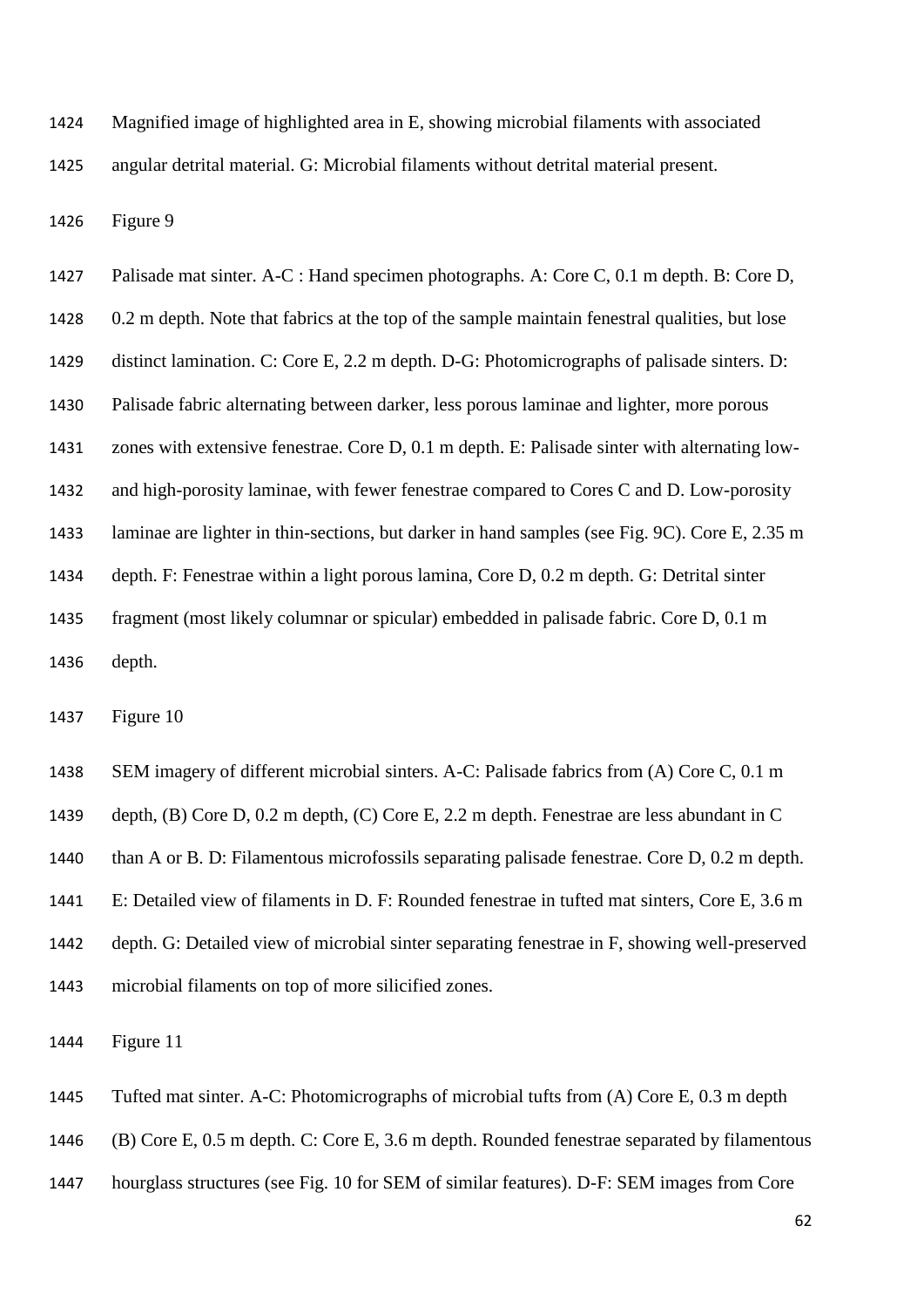Magnified image of highlighted area in E, showing microbial filaments with associated angular detrital material. G: Microbial filaments without detrital material present.

Figure 9

1427 Palisade mat sinter. A-C : Hand specimen photographs. A: Core C, 0.1 m depth. B: Core D, 0.2 m depth. Note that fabrics at the top of the sample maintain fenestral qualities, but lose distinct lamination. C: Core E, 2.2 m depth. D-G: Photomicrographs of palisade sinters. D: Palisade fabric alternating between darker, less porous laminae and lighter, more porous zones with extensive fenestrae. Core D, 0.1 m depth. E: Palisade sinter with alternating low- and high-porosity laminae, with fewer fenestrae compared to Cores C and D. Low-porosity laminae are lighter in thin-sections, but darker in hand samples (see Fig. 9C). Core E, 2.35 m depth. F: Fenestrae within a light porous lamina, Core D, 0.2 m depth. G: Detrital sinter fragment (most likely columnar or spicular) embedded in palisade fabric. Core D, 0.1 m depth.

Figure 10

SEM imagery of different microbial sinters. A-C: Palisade fabrics from (A) Core C, 0.1 m

depth, (B) Core D, 0.2 m depth, (C) Core E, 2.2 m depth. Fenestrae are less abundant in C

than A or B. D: Filamentous microfossils separating palisade fenestrae. Core D, 0.2 m depth.

E: Detailed view of filaments in D. F: Rounded fenestrae in tufted mat sinters, Core E, 3.6 m

depth. G: Detailed view of microbial sinter separating fenestrae in F, showing well-preserved

microbial filaments on top of more silicified zones.

Figure 11

Tufted mat sinter. A-C: Photomicrographs of microbial tufts from (A) Core E, 0.3 m depth

(B) Core E, 0.5 m depth. C: Core E, 3.6 m depth. Rounded fenestrae separated by filamentous

hourglass structures (see Fig. 10 for SEM of similar features). D-F: SEM images from Core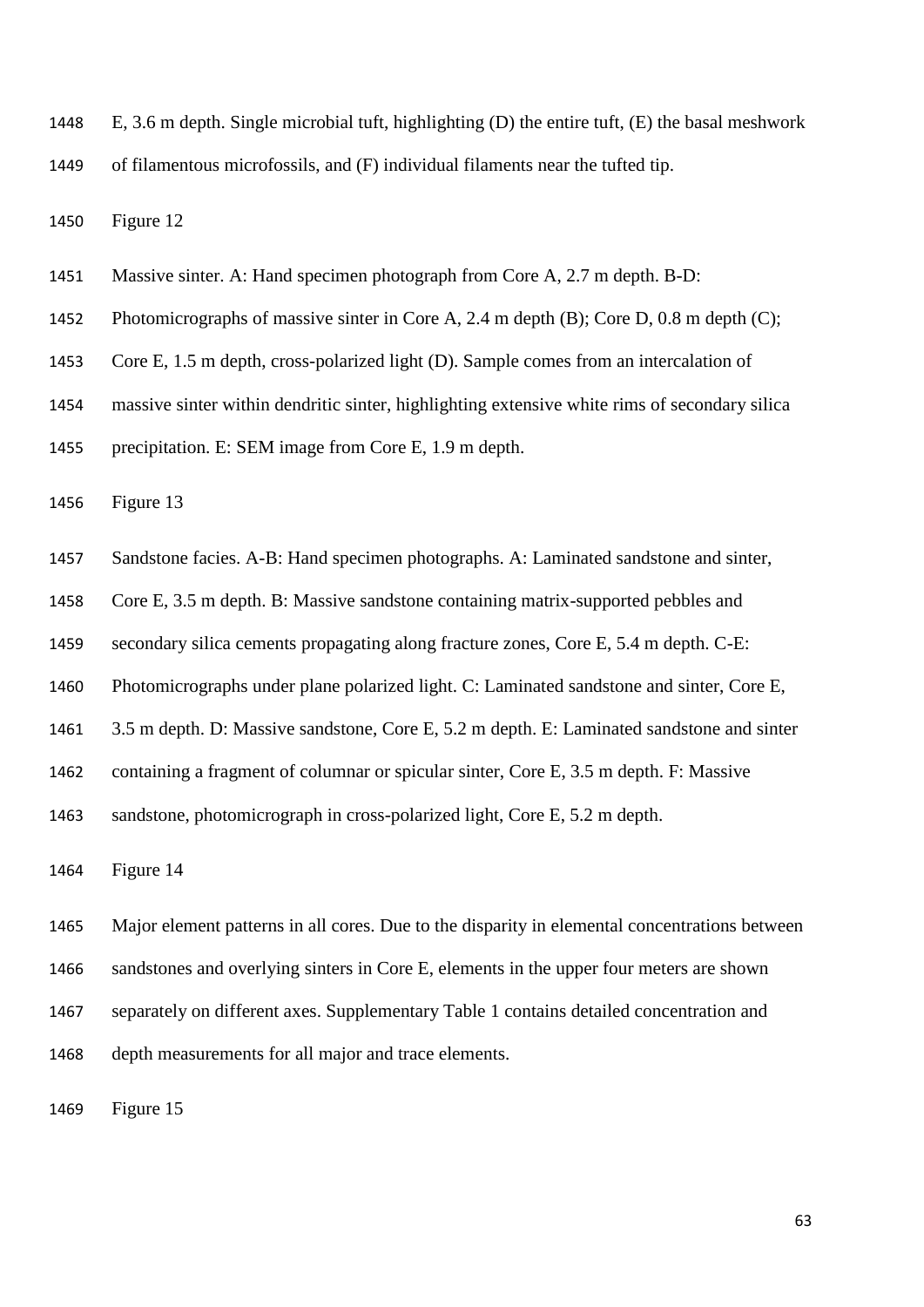E, 3.6 m depth. Single microbial tuft, highlighting (D) the entire tuft, (E) the basal meshwork

of filamentous microfossils, and (F) individual filaments near the tufted tip.

Figure 12

- Massive sinter. A: Hand specimen photograph from Core A, 2.7 m depth. B-D:
- 1452 Photomicrographs of massive sinter in Core A, 2.4 m depth (B); Core D, 0.8 m depth (C);
- Core E, 1.5 m depth, cross-polarized light (D). Sample comes from an intercalation of
- massive sinter within dendritic sinter, highlighting extensive white rims of secondary silica
- precipitation. E: SEM image from Core E, 1.9 m depth.

Figure 13

- Sandstone facies. A-B: Hand specimen photographs. A: Laminated sandstone and sinter,
- Core E, 3.5 m depth. B: Massive sandstone containing matrix-supported pebbles and
- secondary silica cements propagating along fracture zones, Core E, 5.4 m depth. C-E:
- Photomicrographs under plane polarized light. C: Laminated sandstone and sinter, Core E,
- 3.5 m depth. D: Massive sandstone, Core E, 5.2 m depth. E: Laminated sandstone and sinter
- containing a fragment of columnar or spicular sinter, Core E, 3.5 m depth. F: Massive
- sandstone, photomicrograph in cross-polarized light, Core E, 5.2 m depth.

Figure 14

 Major element patterns in all cores. Due to the disparity in elemental concentrations between sandstones and overlying sinters in Core E, elements in the upper four meters are shown separately on different axes. Supplementary Table 1 contains detailed concentration and depth measurements for all major and trace elements.

Figure 15